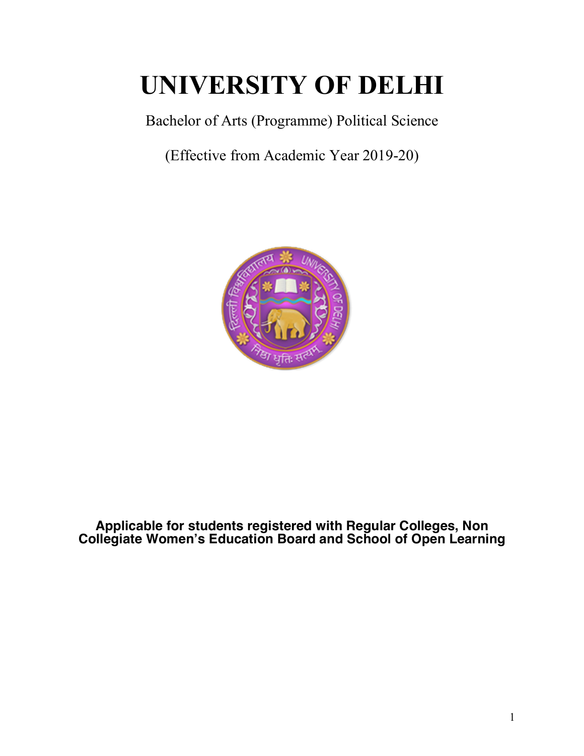# **UNIVERSITY OF DELHI**

Bachelor of Arts (Programme) Political Science

(Effective from Academic Year 2019-20)



**Applicable for students registered with Regular Colleges, Non Collegiate Women's Education Board and School of Open Learning**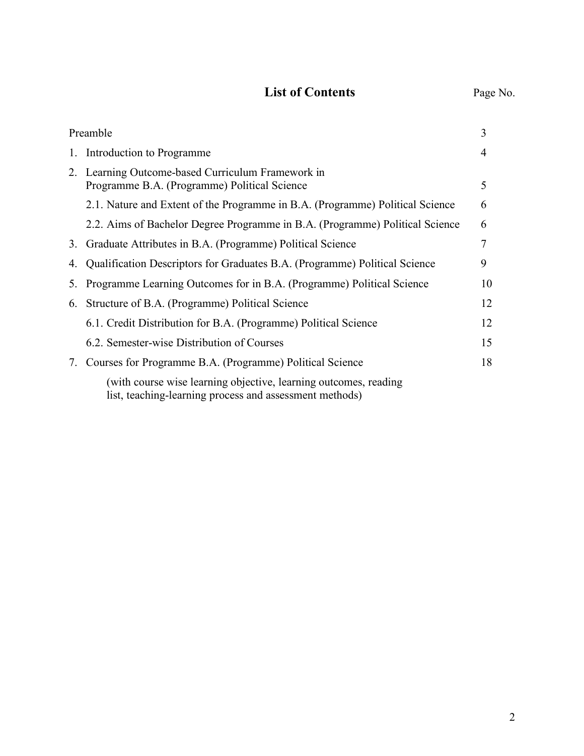# **List of Contents** Page No.

|    | Preamble                                                                                                                    | 3  |
|----|-----------------------------------------------------------------------------------------------------------------------------|----|
|    | 1. Introduction to Programme                                                                                                | 4  |
|    | 2. Learning Outcome-based Curriculum Framework in<br>Programme B.A. (Programme) Political Science                           | 5  |
|    | 2.1. Nature and Extent of the Programme in B.A. (Programme) Political Science                                               | 6  |
|    | 2.2. Aims of Bachelor Degree Programme in B.A. (Programme) Political Science                                                | 6  |
|    | 3. Graduate Attributes in B.A. (Programme) Political Science                                                                | 7  |
| 4. | Qualification Descriptors for Graduates B.A. (Programme) Political Science                                                  | 9  |
| 5. | Programme Learning Outcomes for in B.A. (Programme) Political Science                                                       | 10 |
| 6. | Structure of B.A. (Programme) Political Science                                                                             | 12 |
|    | 6.1. Credit Distribution for B.A. (Programme) Political Science                                                             | 12 |
|    | 6.2. Semester-wise Distribution of Courses                                                                                  | 15 |
| 7. | Courses for Programme B.A. (Programme) Political Science                                                                    | 18 |
|    | (with course wise learning objective, learning outcomes, reading<br>list, teaching-learning process and assessment methods) |    |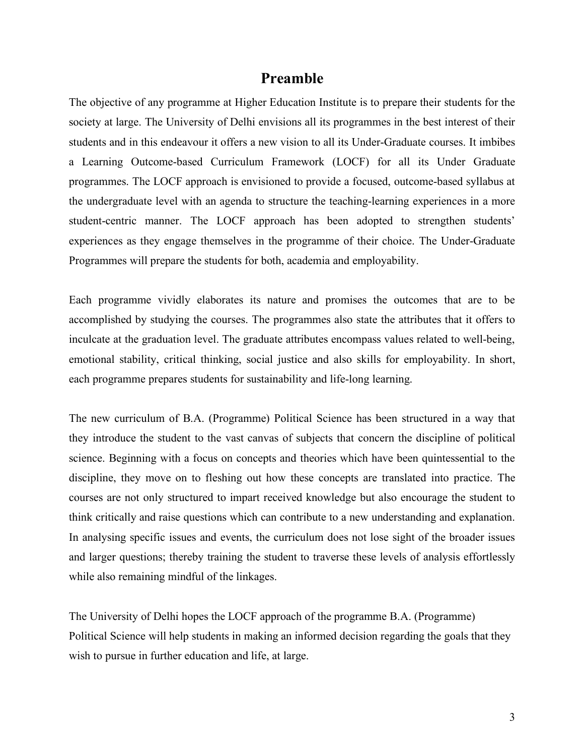# **Preamble**

The objective of any programme at Higher Education Institute is to prepare their students for the society at large. The University of Delhi envisions all its programmes in the best interest of their students and in this endeavour it offers a new vision to all its Under-Graduate courses. It imbibes a Learning Outcome-based Curriculum Framework (LOCF) for all its Under Graduate programmes. The LOCF approach is envisioned to provide a focused, outcome-based syllabus at the undergraduate level with an agenda to structure the teaching-learning experiences in a more student-centric manner. The LOCF approach has been adopted to strengthen students' experiences as they engage themselves in the programme of their choice. The Under-Graduate Programmes will prepare the students for both, academia and employability.

Each programme vividly elaborates its nature and promises the outcomes that are to be accomplished by studying the courses. The programmes also state the attributes that it offers to inculcate at the graduation level. The graduate attributes encompass values related to well-being, emotional stability, critical thinking, social justice and also skills for employability. In short, each programme prepares students for sustainability and life-long learning.

The new curriculum of B.A. (Programme) Political Science has been structured in a way that they introduce the student to the vast canvas of subjects that concern the discipline of political science. Beginning with a focus on concepts and theories which have been quintessential to the discipline, they move on to fleshing out how these concepts are translated into practice. The courses are not only structured to impart received knowledge but also encourage the student to think critically and raise questions which can contribute to a new understanding and explanation. In analysing specific issues and events, the curriculum does not lose sight of the broader issues and larger questions; thereby training the student to traverse these levels of analysis effortlessly while also remaining mindful of the linkages.

The University of Delhi hopes the LOCF approach of the programme B.A. (Programme) Political Science will help students in making an informed decision regarding the goals that they wish to pursue in further education and life, at large.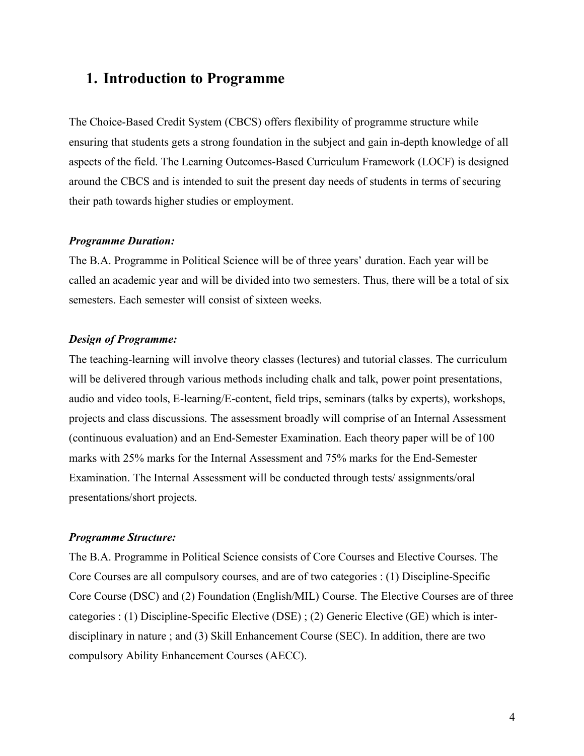# **1. Introduction to Programme**

The Choice-Based Credit System (CBCS) offers flexibility of programme structure while ensuring that students gets a strong foundation in the subject and gain in-depth knowledge of all aspects of the field. The Learning Outcomes-Based Curriculum Framework (LOCF) is designed around the CBCS and is intended to suit the present day needs of students in terms of securing their path towards higher studies or employment.

#### *Programme Duration:*

The B.A. Programme in Political Science will be of three years' duration. Each year will be called an academic year and will be divided into two semesters. Thus, there will be a total of six semesters. Each semester will consist of sixteen weeks.

#### *Design of Programme:*

The teaching-learning will involve theory classes (lectures) and tutorial classes. The curriculum will be delivered through various methods including chalk and talk, power point presentations, audio and video tools, E-learning/E-content, field trips, seminars (talks by experts), workshops, projects and class discussions. The assessment broadly will comprise of an Internal Assessment (continuous evaluation) and an End-Semester Examination. Each theory paper will be of 100 marks with 25% marks for the Internal Assessment and 75% marks for the End-Semester Examination. The Internal Assessment will be conducted through tests/ assignments/oral presentations/short projects.

#### *Programme Structure:*

The B.A. Programme in Political Science consists of Core Courses and Elective Courses. The Core Courses are all compulsory courses, and are of two categories : (1) Discipline-Specific Core Course (DSC) and (2) Foundation (English/MIL) Course. The Elective Courses are of three categories : (1) Discipline-Specific Elective (DSE) ; (2) Generic Elective (GE) which is interdisciplinary in nature ; and (3) Skill Enhancement Course (SEC). In addition, there are two compulsory Ability Enhancement Courses (AECC).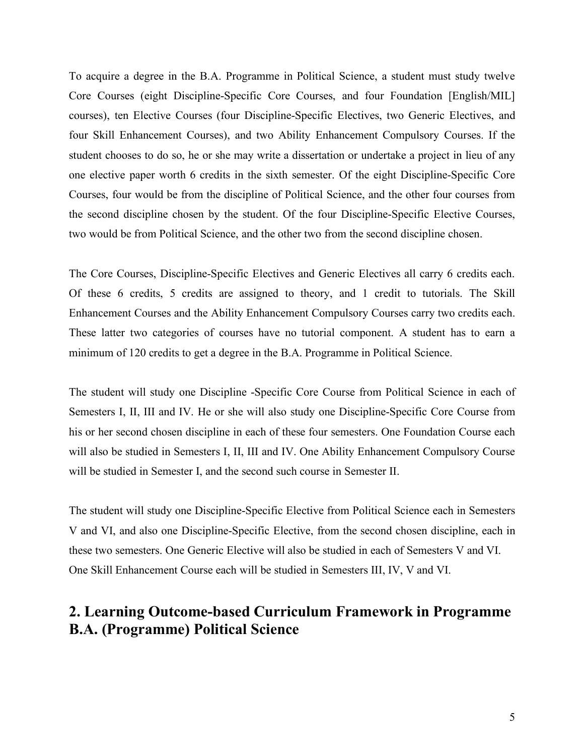To acquire a degree in the B.A. Programme in Political Science, a student must study twelve Core Courses (eight Discipline-Specific Core Courses, and four Foundation [English/MIL] courses), ten Elective Courses (four Discipline-Specific Electives, two Generic Electives, and four Skill Enhancement Courses), and two Ability Enhancement Compulsory Courses. If the student chooses to do so, he or she may write a dissertation or undertake a project in lieu of any one elective paper worth 6 credits in the sixth semester. Of the eight Discipline-Specific Core Courses, four would be from the discipline of Political Science, and the other four courses from the second discipline chosen by the student. Of the four Discipline-Specific Elective Courses, two would be from Political Science, and the other two from the second discipline chosen.

The Core Courses, Discipline-Specific Electives and Generic Electives all carry 6 credits each. Of these 6 credits, 5 credits are assigned to theory, and 1 credit to tutorials. The Skill Enhancement Courses and the Ability Enhancement Compulsory Courses carry two credits each. These latter two categories of courses have no tutorial component. A student has to earn a minimum of 120 credits to get a degree in the B.A. Programme in Political Science.

The student will study one Discipline -Specific Core Course from Political Science in each of Semesters I, II, III and IV. He or she will also study one Discipline-Specific Core Course from his or her second chosen discipline in each of these four semesters. One Foundation Course each will also be studied in Semesters I, II, III and IV. One Ability Enhancement Compulsory Course will be studied in Semester I, and the second such course in Semester II.

The student will study one Discipline-Specific Elective from Political Science each in Semesters V and VI, and also one Discipline-Specific Elective, from the second chosen discipline, each in these two semesters. One Generic Elective will also be studied in each of Semesters V and VI. One Skill Enhancement Course each will be studied in Semesters III, IV, V and VI.

# **2. Learning Outcome-based Curriculum Framework in Programme B.A. (Programme) Political Science**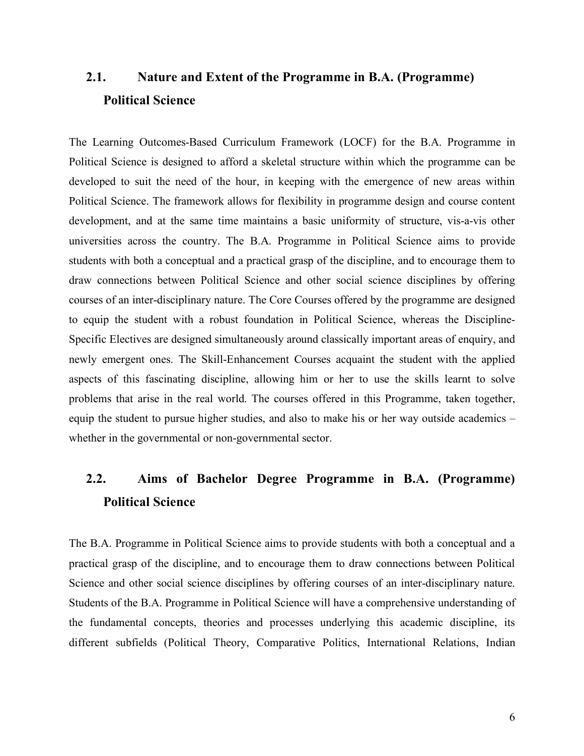# **2.1. Nature and Extent of the Programme in B.A. (Programme) Political Science**

The Learning Outcomes-Based Curriculum Framework (LOCF) for the B.A. Programme in Political Science is designed to afford a skeletal structure within which the programme can be developed to suit the need of the hour, in keeping with the emergence of new areas within Political Science. The framework allows for flexibility in programme design and course content development, and at the same time maintains a basic uniformity of structure, vis-a-vis other universities across the country. The B.A. Programme in Political Science aims to provide students with both a conceptual and a practical grasp of the discipline, and to encourage them to draw connections between Political Science and other social science disciplines by offering courses of an inter-disciplinary nature. The Core Courses offered by the programme are designed to equip the student with a robust foundation in Political Science, whereas the Discipline-Specific Electives are designed simultaneously around classically important areas of enquiry, and newly emergent ones. The Skill-Enhancement Courses acquaint the student with the applied aspects of this fascinating discipline, allowing him or her to use the skills learnt to solve problems that arise in the real world. The courses offered in this Programme, taken together, equip the student to pursue higher studies, and also to make his or her way outside academics – whether in the governmental or non-governmental sector.

# **2.2. Aims of Bachelor Degree Programme in B.A. (Programme) Political Science**

The B.A. Programme in Political Science aims to provide students with both a conceptual and a practical grasp of the discipline, and to encourage them to draw connections between Political Science and other social science disciplines by offering courses of an inter-disciplinary nature. Students of the B.A. Programme in Political Science will have a comprehensive understanding of the fundamental concepts, theories and processes underlying this academic discipline, its different subfields (Political Theory, Comparative Politics, International Relations, Indian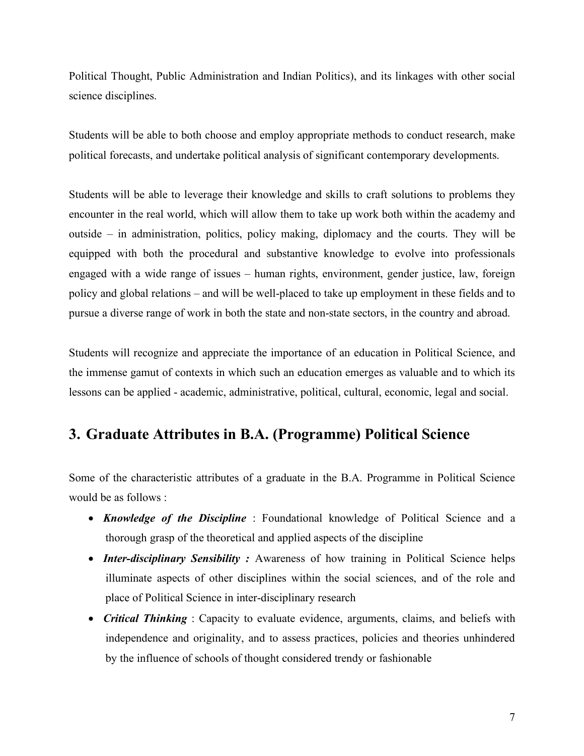Political Thought, Public Administration and Indian Politics), and its linkages with other social science disciplines.

Students will be able to both choose and employ appropriate methods to conduct research, make political forecasts, and undertake political analysis of significant contemporary developments.

Students will be able to leverage their knowledge and skills to craft solutions to problems they encounter in the real world, which will allow them to take up work both within the academy and outside – in administration, politics, policy making, diplomacy and the courts. They will be equipped with both the procedural and substantive knowledge to evolve into professionals engaged with a wide range of issues – human rights, environment, gender justice, law, foreign policy and global relations – and will be well-placed to take up employment in these fields and to pursue a diverse range of work in both the state and non-state sectors, in the country and abroad.

Students will recognize and appreciate the importance of an education in Political Science, and the immense gamut of contexts in which such an education emerges as valuable and to which its lessons can be applied - academic, administrative, political, cultural, economic, legal and social.

# **3. Graduate Attributes in B.A. (Programme) Political Science**

Some of the characteristic attributes of a graduate in the B.A. Programme in Political Science would be as follows :

- *Knowledge of the Discipline* : Foundational knowledge of Political Science and a thorough grasp of the theoretical and applied aspects of the discipline
- *Inter-disciplinary Sensibility :* Awareness of how training in Political Science helps illuminate aspects of other disciplines within the social sciences, and of the role and place of Political Science in inter-disciplinary research
- *Critical Thinking* : Capacity to evaluate evidence, arguments, claims, and beliefs with independence and originality, and to assess practices, policies and theories unhindered by the influence of schools of thought considered trendy or fashionable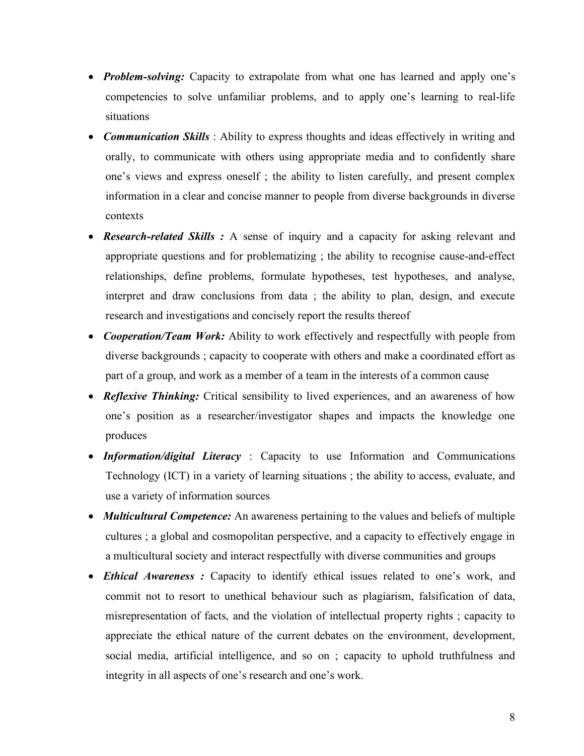- *Problem-solving:* Capacity to extrapolate from what one has learned and apply one's competencies to solve unfamiliar problems, and to apply one's learning to real-life situations
- *Communication Skills* : Ability to express thoughts and ideas effectively in writing and orally, to communicate with others using appropriate media and to confidently share one's views and express oneself ; the ability to listen carefully, and present complex information in a clear and concise manner to people from diverse backgrounds in diverse contexts
- *Research-related Skills* : A sense of inquiry and a capacity for asking relevant and appropriate questions and for problematizing ; the ability to recognise cause-and-effect relationships, define problems, formulate hypotheses, test hypotheses, and analyse, interpret and draw conclusions from data ; the ability to plan, design, and execute research and investigations and concisely report the results thereof
- *Cooperation/Team Work:* Ability to work effectively and respectfully with people from diverse backgrounds ; capacity to cooperate with others and make a coordinated effort as part of a group, and work as a member of a team in the interests of a common cause
- *Reflexive Thinking:* Critical sensibility to lived experiences, and an awareness of how one's position as a researcher/investigator shapes and impacts the knowledge one produces
- *Information/digital Literacy* : Capacity to use Information and Communications Technology (ICT) in a variety of learning situations ; the ability to access, evaluate, and use a variety of information sources
- *Multicultural Competence:* An awareness pertaining to the values and beliefs of multiple cultures ; a global and cosmopolitan perspective, and a capacity to effectively engage in a multicultural society and interact respectfully with diverse communities and groups
- *Ethical Awareness :* Capacity to identify ethical issues related to one's work, and commit not to resort to unethical behaviour such as plagiarism, falsification of data, misrepresentation of facts, and the violation of intellectual property rights ; capacity to appreciate the ethical nature of the current debates on the environment, development, social media, artificial intelligence, and so on ; capacity to uphold truthfulness and integrity in all aspects of one's research and one's work.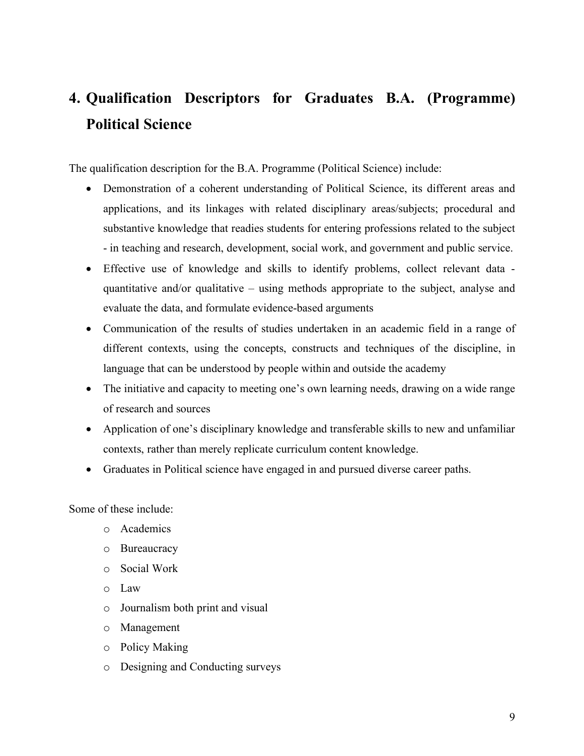# **4. Qualification Descriptors for Graduates B.A. (Programme) Political Science**

The qualification description for the B.A. Programme (Political Science) include:

- Demonstration of a coherent understanding of Political Science, its different areas and applications, and its linkages with related disciplinary areas/subjects; procedural and substantive knowledge that readies students for entering professions related to the subject - in teaching and research, development, social work, and government and public service.
- Effective use of knowledge and skills to identify problems, collect relevant data quantitative and/or qualitative – using methods appropriate to the subject, analyse and evaluate the data, and formulate evidence-based arguments
- Communication of the results of studies undertaken in an academic field in a range of different contexts, using the concepts, constructs and techniques of the discipline, in language that can be understood by people within and outside the academy
- The initiative and capacity to meeting one's own learning needs, drawing on a wide range of research and sources
- Application of one's disciplinary knowledge and transferable skills to new and unfamiliar contexts, rather than merely replicate curriculum content knowledge.
- Graduates in Political science have engaged in and pursued diverse career paths.

Some of these include:

- o Academics
- o Bureaucracy
- o Social Work
- o Law
- o Journalism both print and visual
- o Management
- o Policy Making
- o Designing and Conducting surveys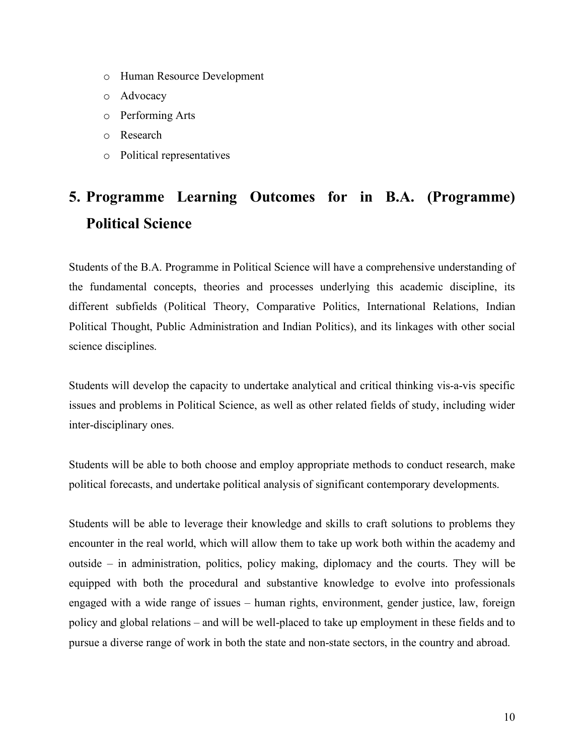- o Human Resource Development
- o Advocacy
- o Performing Arts
- o Research
- o Political representatives

# **5. Programme Learning Outcomes for in B.A. (Programme) Political Science**

Students of the B.A. Programme in Political Science will have a comprehensive understanding of the fundamental concepts, theories and processes underlying this academic discipline, its different subfields (Political Theory, Comparative Politics, International Relations, Indian Political Thought, Public Administration and Indian Politics), and its linkages with other social science disciplines.

Students will develop the capacity to undertake analytical and critical thinking vis-a-vis specific issues and problems in Political Science, as well as other related fields of study, including wider inter-disciplinary ones.

Students will be able to both choose and employ appropriate methods to conduct research, make political forecasts, and undertake political analysis of significant contemporary developments.

Students will be able to leverage their knowledge and skills to craft solutions to problems they encounter in the real world, which will allow them to take up work both within the academy and outside – in administration, politics, policy making, diplomacy and the courts. They will be equipped with both the procedural and substantive knowledge to evolve into professionals engaged with a wide range of issues – human rights, environment, gender justice, law, foreign policy and global relations – and will be well-placed to take up employment in these fields and to pursue a diverse range of work in both the state and non-state sectors, in the country and abroad.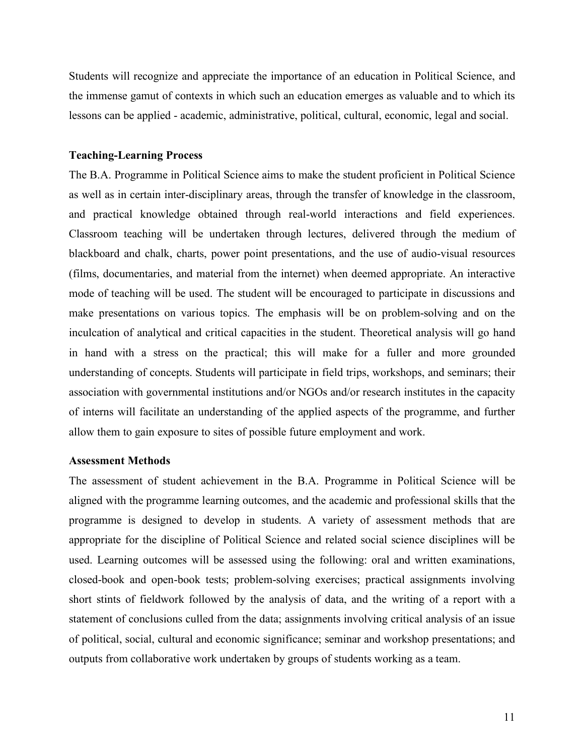Students will recognize and appreciate the importance of an education in Political Science, and the immense gamut of contexts in which such an education emerges as valuable and to which its lessons can be applied - academic, administrative, political, cultural, economic, legal and social.

#### **Teaching-Learning Process**

The B.A. Programme in Political Science aims to make the student proficient in Political Science as well as in certain inter-disciplinary areas, through the transfer of knowledge in the classroom, and practical knowledge obtained through real-world interactions and field experiences. Classroom teaching will be undertaken through lectures, delivered through the medium of blackboard and chalk, charts, power point presentations, and the use of audio-visual resources (films, documentaries, and material from the internet) when deemed appropriate. An interactive mode of teaching will be used. The student will be encouraged to participate in discussions and make presentations on various topics. The emphasis will be on problem-solving and on the inculcation of analytical and critical capacities in the student. Theoretical analysis will go hand in hand with a stress on the practical; this will make for a fuller and more grounded understanding of concepts. Students will participate in field trips, workshops, and seminars; their association with governmental institutions and/or NGOs and/or research institutes in the capacity of interns will facilitate an understanding of the applied aspects of the programme, and further allow them to gain exposure to sites of possible future employment and work.

#### **Assessment Methods**

The assessment of student achievement in the B.A. Programme in Political Science will be aligned with the programme learning outcomes, and the academic and professional skills that the programme is designed to develop in students. A variety of assessment methods that are appropriate for the discipline of Political Science and related social science disciplines will be used. Learning outcomes will be assessed using the following: oral and written examinations, closed-book and open-book tests; problem-solving exercises; practical assignments involving short stints of fieldwork followed by the analysis of data, and the writing of a report with a statement of conclusions culled from the data; assignments involving critical analysis of an issue of political, social, cultural and economic significance; seminar and workshop presentations; and outputs from collaborative work undertaken by groups of students working as a team.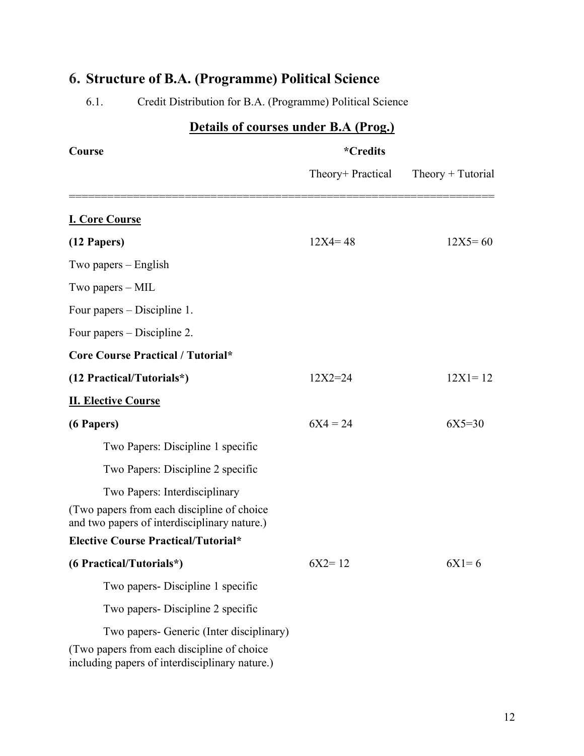| Details of courses under B.A (Prog.)                                                                                                      |                   |                     |  |
|-------------------------------------------------------------------------------------------------------------------------------------------|-------------------|---------------------|--|
| Course                                                                                                                                    | <i>*</i> Credits  |                     |  |
|                                                                                                                                           | Theory+ Practical | $Theory + Tutorial$ |  |
| <b>I. Core Course</b>                                                                                                                     |                   |                     |  |
| (12 Papers)                                                                                                                               | $12X4 = 48$       | $12X5 = 60$         |  |
| Two papers – English                                                                                                                      |                   |                     |  |
| Two papers – MIL                                                                                                                          |                   |                     |  |
| Four papers – Discipline 1.                                                                                                               |                   |                     |  |
| Four papers – Discipline 2.                                                                                                               |                   |                     |  |
| <b>Core Course Practical / Tutorial*</b>                                                                                                  |                   |                     |  |
| (12 Practical/Tutorials*)                                                                                                                 | $12X2 = 24$       | $12X1 = 12$         |  |
| <b>II. Elective Course</b>                                                                                                                |                   |                     |  |
| (6 Papers)                                                                                                                                | $6X4 = 24$        | $6X5=30$            |  |
| Two Papers: Discipline 1 specific                                                                                                         |                   |                     |  |
| Two Papers: Discipline 2 specific                                                                                                         |                   |                     |  |
| Two Papers: Interdisciplinary                                                                                                             |                   |                     |  |
| (Two papers from each discipline of choice)<br>and two papers of interdisciplinary nature.)                                               |                   |                     |  |
| <b>Elective Course Practical/Tutorial*</b>                                                                                                |                   |                     |  |
| (6 Practical/Tutorials*)                                                                                                                  | $6X2 = 12$        | $6X1=6$             |  |
| Two papers- Discipline 1 specific                                                                                                         |                   |                     |  |
| Two papers- Discipline 2 specific                                                                                                         |                   |                     |  |
| Two papers- Generic (Inter disciplinary)<br>(Two papers from each discipline of choice)<br>including papers of interdisciplinary nature.) |                   |                     |  |

# **6. Structure of B.A. (Programme) Political Science**

6.1. Credit Distribution for B.A. (Programme) Political Science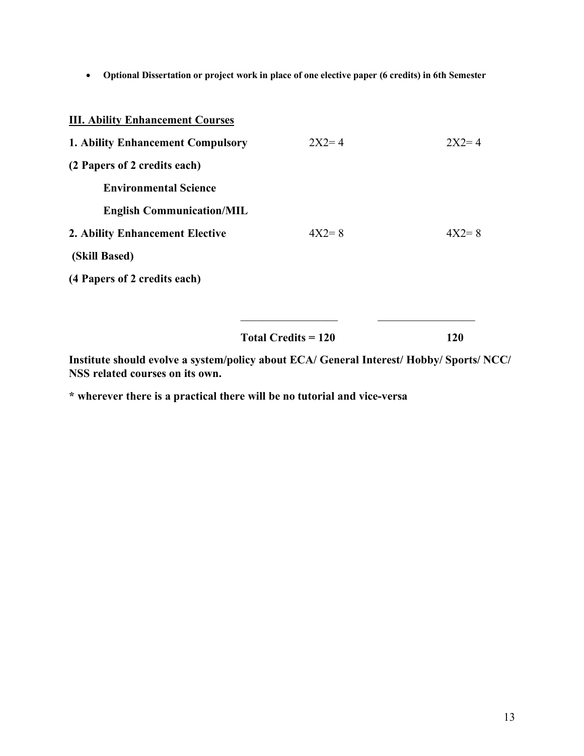• **Optional Dissertation or project work in place of one elective paper (6 credits) in 6th Semester** 

| <b>III. Ability Enhancement Courses</b>  |           |           |
|------------------------------------------|-----------|-----------|
| <b>1. Ability Enhancement Compulsory</b> | $2X2 = 4$ | $2X2 = 4$ |
| (2 Papers of 2 credits each)             |           |           |
| <b>Environmental Science</b>             |           |           |
| <b>English Communication/MIL</b>         |           |           |
| 2. Ability Enhancement Elective          | $4X2=8$   | $4X2=8$   |
| (Skill Based)                            |           |           |
| (4 Papers of 2 credits each)             |           |           |
|                                          |           |           |
|                                          |           |           |

| <b>Total Credits = 120</b> |  |
|----------------------------|--|
|----------------------------|--|

**Institute should evolve a system/policy about ECA/ General Interest/ Hobby/ Sports/ NCC/ NSS related courses on its own.** 

**\* wherever there is a practical there will be no tutorial and vice-versa**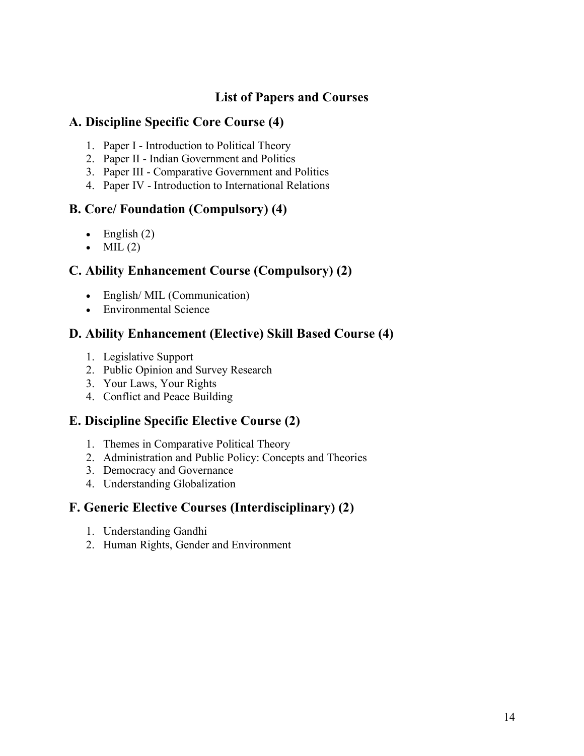# **List of Papers and Courses**

# **A. Discipline Specific Core Course (4)**

- 1. Paper I Introduction to Political Theory
- 2. Paper II Indian Government and Politics
- 3. Paper III Comparative Government and Politics
- 4. Paper IV Introduction to International Relations

# **B. Core/ Foundation (Compulsory) (4)**

- English  $(2)$
- $\bullet$  MIL (2)

# **C. Ability Enhancement Course (Compulsory) (2)**

- English/MIL (Communication)
- Environmental Science

# **D. Ability Enhancement (Elective) Skill Based Course (4)**

- 1. Legislative Support
- 2. Public Opinion and Survey Research
- 3. Your Laws, Your Rights
- 4. Conflict and Peace Building

# **E. Discipline Specific Elective Course (2)**

- 1. Themes in Comparative Political Theory
- 2. Administration and Public Policy: Concepts and Theories
- 3. Democracy and Governance
- 4. Understanding Globalization

# **F. Generic Elective Courses (Interdisciplinary) (2)**

- 1. Understanding Gandhi
- 2. Human Rights, Gender and Environment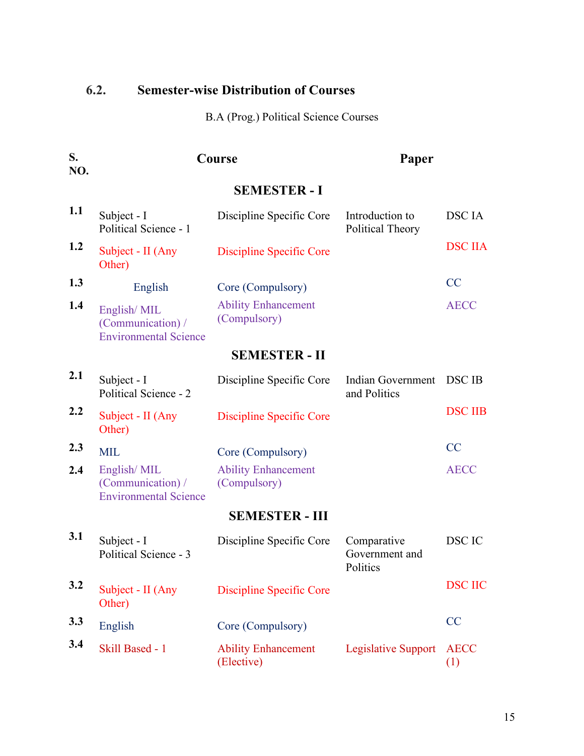# **6.2. Semester-wise Distribution of Courses**

B.A (Prog.) Political Science Courses

| S.<br>NO. | Course                                                           |                                            | Paper                                     |                    |
|-----------|------------------------------------------------------------------|--------------------------------------------|-------------------------------------------|--------------------|
|           |                                                                  | <b>SEMESTER - I</b>                        |                                           |                    |
| 1.1       | Subject - I<br>Political Science - 1                             | Discipline Specific Core                   | Introduction to<br>Political Theory       | <b>DSC</b> IA      |
| 1.2       | Subject - II (Any<br>Other)                                      | <b>Discipline Specific Core</b>            |                                           | <b>DSC IIA</b>     |
| 1.3       | English                                                          | Core (Compulsory)                          |                                           | CC                 |
| 1.4       | English/MIL<br>(Communication) /<br><b>Environmental Science</b> | <b>Ability Enhancement</b><br>(Compulsory) |                                           | <b>AECC</b>        |
|           |                                                                  | <b>SEMESTER - II</b>                       |                                           |                    |
| 2.1       | Subject - I<br>Political Science - 2                             | Discipline Specific Core                   | Indian Government<br>and Politics         | <b>DSC IB</b>      |
| 2.2       | Subject - II (Any<br>Other)                                      | <b>Discipline Specific Core</b>            |                                           | <b>DSC IIB</b>     |
| 2.3       | <b>MIL</b>                                                       | Core (Compulsory)                          |                                           | CC                 |
| 2.4       | English/MIL<br>(Communication) /<br><b>Environmental Science</b> | <b>Ability Enhancement</b><br>(Compulsory) |                                           | <b>AECC</b>        |
|           |                                                                  | <b>SEMESTER - III</b>                      |                                           |                    |
| 3.1       | Subject - I<br>Political Science - 3                             | Discipline Specific Core                   | Comparative<br>Government and<br>Politics | DSC IC             |
| 3.2       | Subject - II (Any<br>Other)                                      | <b>Discipline Specific Core</b>            |                                           | <b>DSC IIC</b>     |
| 3.3       | English                                                          | Core (Compulsory)                          |                                           | CC                 |
| 3.4       | Skill Based - 1                                                  | <b>Ability Enhancement</b><br>(Elective)   | <b>Legislative Support</b>                | <b>AECC</b><br>(1) |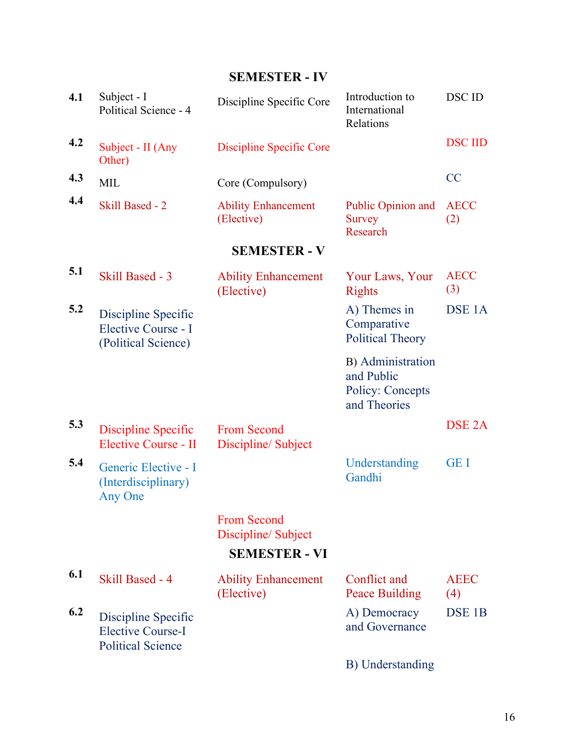**SEMESTER - IV**

| 4.1 | Subject - I<br>Political Science - 4                                        | Discipline Specific Core                                         | Introduction to<br>International<br>Relations                              | DSC ID             |
|-----|-----------------------------------------------------------------------------|------------------------------------------------------------------|----------------------------------------------------------------------------|--------------------|
| 4.2 | Subject - II (Any<br>Other)                                                 | Discipline Specific Core                                         |                                                                            | <b>DSC IID</b>     |
| 4.3 | <b>MIL</b>                                                                  | Core (Compulsory)                                                |                                                                            | <b>CC</b>          |
| 4.4 | <b>Skill Based - 2</b>                                                      | <b>Ability Enhancement</b><br>(Elective)                         | Public Opinion and<br><b>Survey</b><br>Research                            | <b>AECC</b><br>(2) |
|     |                                                                             | <b>SEMESTER - V</b>                                              |                                                                            |                    |
| 5.1 | Skill Based - 3                                                             | <b>Ability Enhancement</b><br>(Elective)                         | Your Laws, Your<br><b>Rights</b>                                           | <b>AECC</b><br>(3) |
| 5.2 | Discipline Specific<br>Elective Course - I<br>(Political Science)           |                                                                  | A) Themes in<br>Comparative<br><b>Political Theory</b>                     | DSE <sub>1</sub> A |
|     |                                                                             |                                                                  | B) Administration<br>and Public<br><b>Policy: Concepts</b><br>and Theories |                    |
| 5.3 | Discipline Specific<br>Elective Course - II                                 | <b>From Second</b><br>Discipline/Subject                         |                                                                            | DSE <sub>2</sub> A |
| 5.4 | Generic Elective - I<br>(Interdisciplinary)<br>Any One                      |                                                                  | Understanding<br>Gandhi                                                    | <b>GEI</b>         |
|     |                                                                             | <b>From Second</b><br>Discipline/Subject<br><b>SEMESTER - VI</b> |                                                                            |                    |
| 6.1 | Skill Based - 4                                                             | <b>Ability Enhancement</b><br>(Elective)                         | Conflict and<br><b>Peace Building</b>                                      | <b>AEEC</b><br>(4) |
| 6.2 | Discipline Specific<br><b>Elective Course-I</b><br><b>Political Science</b> |                                                                  | A) Democracy<br>and Governance                                             | DSE <sub>1B</sub>  |
|     |                                                                             |                                                                  | B) Understanding                                                           |                    |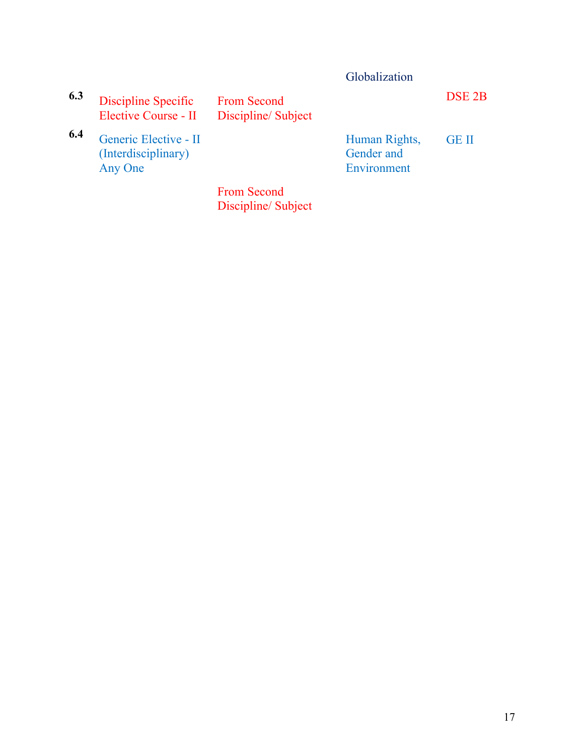|     |                                                         |                                          | Globalization                              |                   |
|-----|---------------------------------------------------------|------------------------------------------|--------------------------------------------|-------------------|
| 6.3 | Discipline Specific<br>Elective Course - II             | <b>From Second</b><br>Discipline/Subject |                                            | DSE <sub>2B</sub> |
| 6.4 | Generic Elective - II<br>(Interdisciplinary)<br>Any One |                                          | Human Rights,<br>Gender and<br>Environment | <b>GE II</b>      |
|     |                                                         | <b>From Second</b><br>Discipline/Subject |                                            |                   |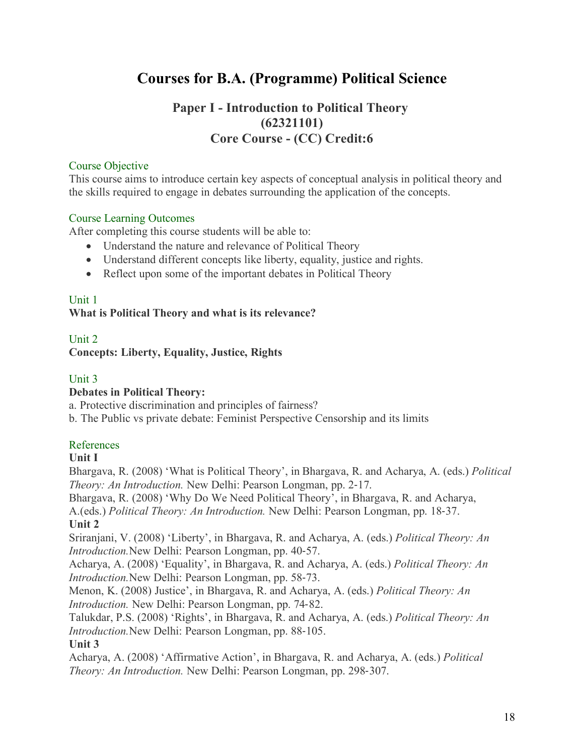# **Courses for B.A. (Programme) Political Science**

# **Paper I - Introduction to Political Theory (62321101) Core Course - (CC) Credit:6**

# Course Objective

This course aims to introduce certain key aspects of conceptual analysis in political theory and the skills required to engage in debates surrounding the application of the concepts.

# Course Learning Outcomes

After completing this course students will be able to:

- Understand the nature and relevance of Political Theory
- Understand different concepts like liberty, equality, justice and rights.
- Reflect upon some of the important debates in Political Theory

# Unit 1

# **What is Political Theory and what is its relevance?**

# Unit 2 **Concepts: Liberty, Equality, Justice, Rights**

# Unit 3

# **Debates in Political Theory:**

a. Protective discrimination and principles of fairness?

b. The Public vs private debate: Feminist Perspective Censorship and its limits

# References

# **Unit I**

Bhargava, R. (2008) 'What is Political Theory', in Bhargava, R. and Acharya, A. (eds.) *Political Theory: An Introduction.* New Delhi: Pearson Longman, pp. 2-17.

Bhargava, R. (2008) 'Why Do We Need Political Theory', in Bhargava, R. and Acharya,

A.(eds.) *Political Theory: An Introduction.* New Delhi: Pearson Longman, pp. 18-37. **Unit 2**

Sriranjani, V. (2008) 'Liberty', in Bhargava, R. and Acharya, A. (eds.) *Political Theory: An Introduction.*New Delhi: Pearson Longman, pp. 40-57.

Acharya, A. (2008) 'Equality', in Bhargava, R. and Acharya, A. (eds.) *Political Theory: An Introduction.*New Delhi: Pearson Longman, pp. 58-73.

Menon, K. (2008) Justice', in Bhargava, R. and Acharya, A. (eds.) *Political Theory: An Introduction.* New Delhi: Pearson Longman, pp. 74-82.

Talukdar, P.S. (2008) 'Rights', in Bhargava, R. and Acharya, A. (eds.) *Political Theory: An Introduction.*New Delhi: Pearson Longman, pp. 88-105.

# **Unit 3**

Acharya, A. (2008) 'Affirmative Action', in Bhargava, R. and Acharya, A. (eds.) *Political Theory: An Introduction.* New Delhi: Pearson Longman, pp. 298-307.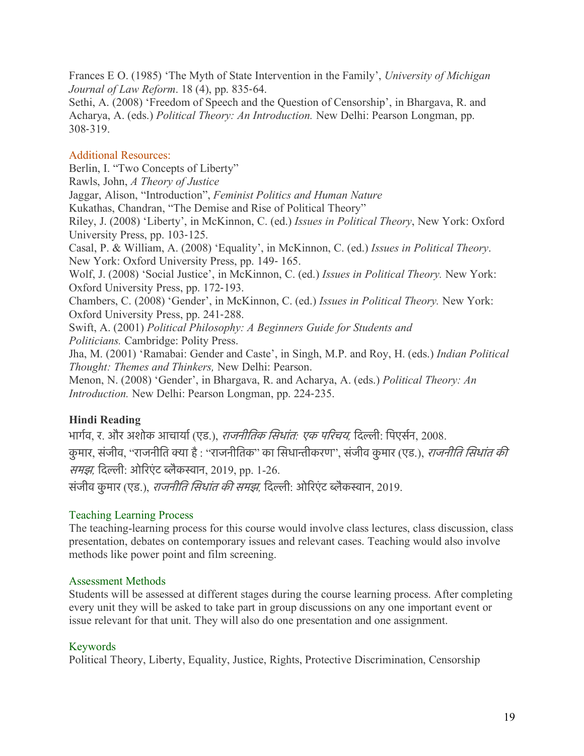Frances E O. (1985) 'The Myth of State Intervention in the Family', *University of Michigan Journal of Law Reform*. 18 (4), pp. 835-64.

Sethi, A. (2008) 'Freedom of Speech and the Question of Censorship', in Bhargava, R. and Acharya, A. (eds.) *Political Theory: An Introduction.* New Delhi: Pearson Longman, pp. 308-319.

# Additional Resources:

Berlin, I. "Two Concepts of Liberty" Rawls, John, *A Theory of Justice* Jaggar, Alison, "Introduction", *Feminist Politics and Human Nature* Kukathas, Chandran, "The Demise and Rise of Political Theory" Riley, J. (2008) 'Liberty', in McKinnon, C. (ed.) *Issues in Political Theory*, New York: Oxford University Press, pp. 103-125. Casal, P. & William, A. (2008) 'Equality', in McKinnon, C. (ed.) *Issues in Political Theory*. New York: Oxford University Press, pp. 149- 165. Wolf, J. (2008) 'Social Justice', in McKinnon, C. (ed.) *Issues in Political Theory.* New York: Oxford University Press, pp. 172-193. Chambers, C. (2008) 'Gender', in McKinnon, C. (ed.) *Issues in Political Theory.* New York: Oxford University Press, pp. 241-288. Swift, A. (2001) *Political Philosophy: A Beginners Guide for Students and Politicians.* Cambridge: Polity Press. Jha, M. (2001) 'Ramabai: Gender and Caste', in Singh, M.P. and Roy, H. (eds.) *Indian Political Thought: Themes and Thinkers,* New Delhi: Pearson. Menon, N. (2008) 'Gender', in Bhargava, R. and Acharya, A. (eds.) *Political Theory: An* 

*Introduction.* New Delhi: Pearson Longman, pp. 224-235.

# **Hindi Reading**

भागरव, र. और अशोक आचायार(एड.), राजनीितक िसधांत*:* एक पिरचय*,* िदली: िपएसरन, 2008. कुमार, संजीव, ''राजनीति क्या है : ''राजनीतिक'' का सिधान्तीकरण'', संजीव कुमार (एड.), *राजनीति सिधांत की समझ*, दिल्ली: ओरिएंट ब्लैकस्वान, 2019, pp. 1-26. संजीव कुमार (एड.), *राजनीति सिधांत की समझ*, दिल्ली: ओरिएंट ब्लैकस्वान, 2019.

# Teaching Learning Process

The teaching-learning process for this course would involve class lectures, class discussion, class presentation, debates on contemporary issues and relevant cases. Teaching would also involve methods like power point and film screening.

# Assessment Methods

Students will be assessed at different stages during the course learning process. After completing every unit they will be asked to take part in group discussions on any one important event or issue relevant for that unit. They will also do one presentation and one assignment.

# Keywords

Political Theory, Liberty, Equality, Justice, Rights, Protective Discrimination, Censorship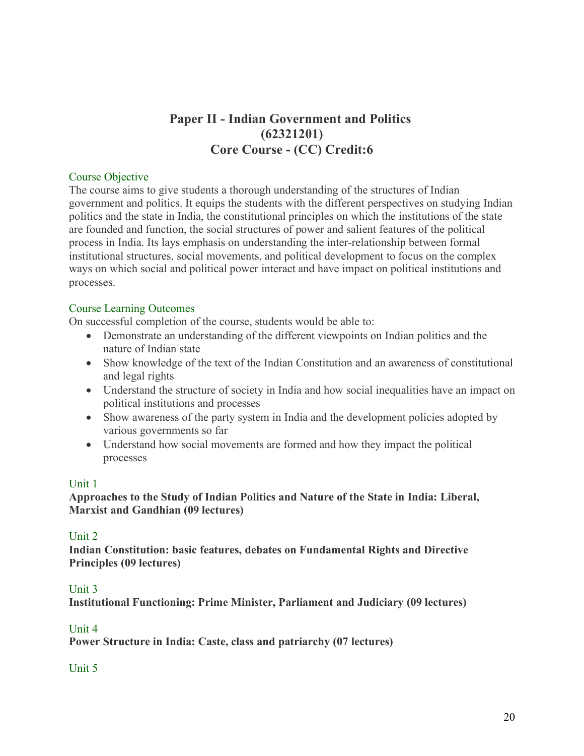# **Paper II - Indian Government and Politics (62321201) Core Course - (CC) Credit:6**

#### Course Objective

The course aims to give students a thorough understanding of the structures of Indian government and politics. It equips the students with the different perspectives on studying Indian politics and the state in India, the constitutional principles on which the institutions of the state are founded and function, the social structures of power and salient features of the political process in India. Its lays emphasis on understanding the inter-relationship between formal institutional structures, social movements, and political development to focus on the complex ways on which social and political power interact and have impact on political institutions and processes.

#### Course Learning Outcomes

On successful completion of the course, students would be able to:

- Demonstrate an understanding of the different viewpoints on Indian politics and the nature of Indian state
- Show knowledge of the text of the Indian Constitution and an awareness of constitutional and legal rights
- Understand the structure of society in India and how social inequalities have an impact on political institutions and processes
- Show awareness of the party system in India and the development policies adopted by various governments so far
- Understand how social movements are formed and how they impact the political processes

# Unit 1

**Approaches to the Study of Indian Politics and Nature of the State in India: Liberal, Marxist and Gandhian (09 lectures)**

#### Unit 2

**Indian Constitution: basic features, debates on Fundamental Rights and Directive Principles (09 lectures)**

#### Unit 3

**Institutional Functioning: Prime Minister, Parliament and Judiciary (09 lectures)**

#### Unit 4

**Power Structure in India: Caste, class and patriarchy (07 lectures)**

#### Unit 5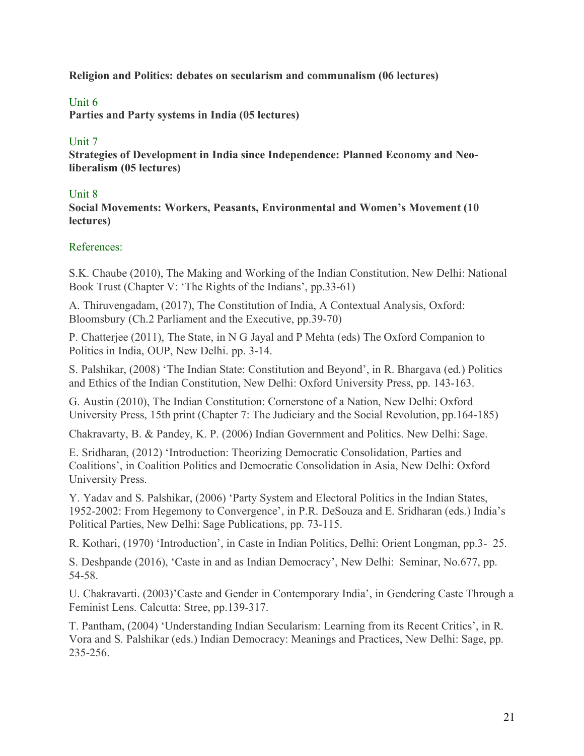**Religion and Politics: debates on secularism and communalism (06 lectures)**

# Unit 6

**Parties and Party systems in India (05 lectures)**

### Unit 7

**Strategies of Development in India since Independence: Planned Economy and Neoliberalism (05 lectures)**

#### Unit 8

**Social Movements: Workers, Peasants, Environmental and Women's Movement (10 lectures)**

# References:

S.K. Chaube (2010), The Making and Working of the Indian Constitution, New Delhi: National Book Trust (Chapter V: 'The Rights of the Indians', pp.33-61)

A. Thiruvengadam, (2017), The Constitution of India, A Contextual Analysis, Oxford: Bloomsbury (Ch.2 Parliament and the Executive, pp.39-70)

P. Chatterjee (2011), The State, in N G Jayal and P Mehta (eds) The Oxford Companion to Politics in India, OUP, New Delhi. pp. 3-14.

S. Palshikar, (2008) 'The Indian State: Constitution and Beyond', in R. Bhargava (ed.) Politics and Ethics of the Indian Constitution, New Delhi: Oxford University Press, pp. 143-163.

G. Austin (2010), The Indian Constitution: Cornerstone of a Nation, New Delhi: Oxford University Press, 15th print (Chapter 7: The Judiciary and the Social Revolution, pp.164-185)

Chakravarty, B. & Pandey, K. P. (2006) Indian Government and Politics. New Delhi: Sage.

E. Sridharan, (2012) 'Introduction: Theorizing Democratic Consolidation, Parties and Coalitions', in Coalition Politics and Democratic Consolidation in Asia, New Delhi: Oxford University Press.

Y. Yadav and S. Palshikar, (2006) 'Party System and Electoral Politics in the Indian States, 1952-2002: From Hegemony to Convergence', in P.R. DeSouza and E. Sridharan (eds.) India's Political Parties, New Delhi: Sage Publications, pp. 73-115.

R. Kothari, (1970) 'Introduction', in Caste in Indian Politics, Delhi: Orient Longman, pp.3- 25.

S. Deshpande (2016), 'Caste in and as Indian Democracy', New Delhi: Seminar, No.677, pp. 54-58.

U. Chakravarti. (2003)'Caste and Gender in Contemporary India', in Gendering Caste Through a Feminist Lens. Calcutta: Stree, pp.139-317.

T. Pantham, (2004) 'Understanding Indian Secularism: Learning from its Recent Critics', in R. Vora and S. Palshikar (eds.) Indian Democracy: Meanings and Practices, New Delhi: Sage, pp. 235-256.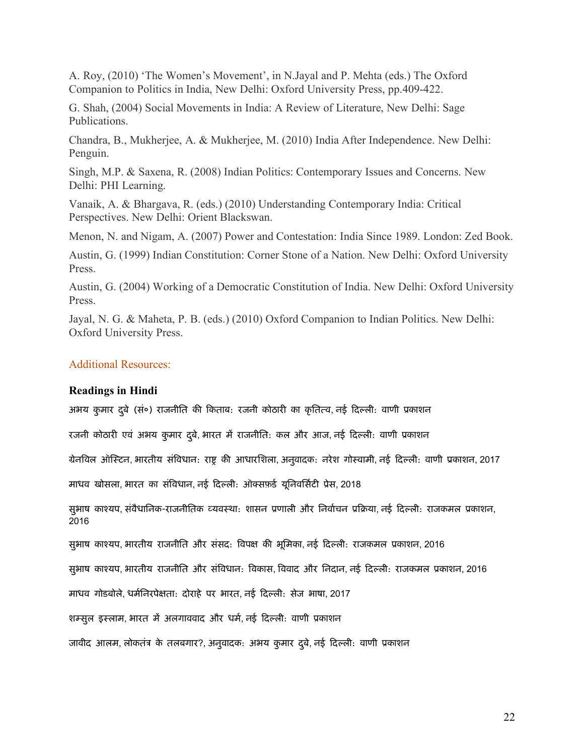A. Roy, (2010) 'The Women's Movement', in N.Jayal and P. Mehta (eds.) The Oxford Companion to Politics in India, New Delhi: Oxford University Press, pp.409-422.

G. Shah, (2004) Social Movements in India: A Review of Literature, New Delhi: Sage Publications.

Chandra, B., Mukherjee, A. & Mukherjee, M. (2010) India After Independence. New Delhi: Penguin.

Singh, M.P. & Saxena, R. (2008) Indian Politics: Contemporary Issues and Concerns. New Delhi: PHI Learning.

Vanaik, A. & Bhargava, R. (eds.) (2010) Understanding Contemporary India: Critical Perspectives. New Delhi: Orient Blackswan.

Menon, N. and Nigam, A. (2007) Power and Contestation: India Since 1989. London: Zed Book.

Austin, G. (1999) Indian Constitution: Corner Stone of a Nation. New Delhi: Oxford University Press.

Austin, G. (2004) Working of a Democratic Constitution of India. New Delhi: Oxford University Press.

Jayal, N. G. & Maheta, P. B. (eds.) (2010) Oxford Companion to Indian Politics. New Delhi: Oxford University Press.

#### Additional Resources:

#### **Readings in Hindi**

अभय कुमार दुबे (सं०) राजनीति की किताब: रजनी कोठारी का कृतित्व, नई दिल्ली: वाणी प्रकाशन

रजनी कोठारी एवं अभय कुमार दुबे, भारत में राजनीति: कल और आज, नई दिल्ली: वाणी प्रकाशन

ग्रेनविल ऑस्टिन, भारतीय संविधान: राष्ट्र की आधारशिला, अनुवादक: नरेश गोस्वामी, नई दिल्ली: वाणी प्रकाशन, 2017

माधव खोसला, भारत का संविधान, नई दिल्ली: ऑक्सफ़र्ड यूनिवर्सिटी प्रेस, 2018

सुभाष काश्यप, संवैधानिक-राजनीतिक व्यवस्था: शासन प्रणाली और निर्वाचन प्रक्रिया, नई दिल्ली: राजकमल प्रकाशन, 2016

सुभाष काश्यप, भारतीय राजनीति और संसद: विपक्ष की भूमिका, नई दिल्ली: राजकमल प्रकाशन, 2016

सुभाष काश्यप, भारतीय राजनीति और संविधान: विकास, विवाद और निदान, नई दिल्ली: राजकमल प्रकाशन, 2016

माधव गोडबोले, धर्मनिरपेक्षता: दोराहे पर भारत, नई दिल्ली: सेज भाषा, 2017

शम्सुल इस्लाम, भारत में अलगाववाद और धर्म, नई दिल्ली: वाणी प्रकाशन

जावीद आलम, लोकतंत्र के तलबगार?, अनुवादक: अभय कुमार दुबे, नई दिल्ली: वाणी प्रकाशन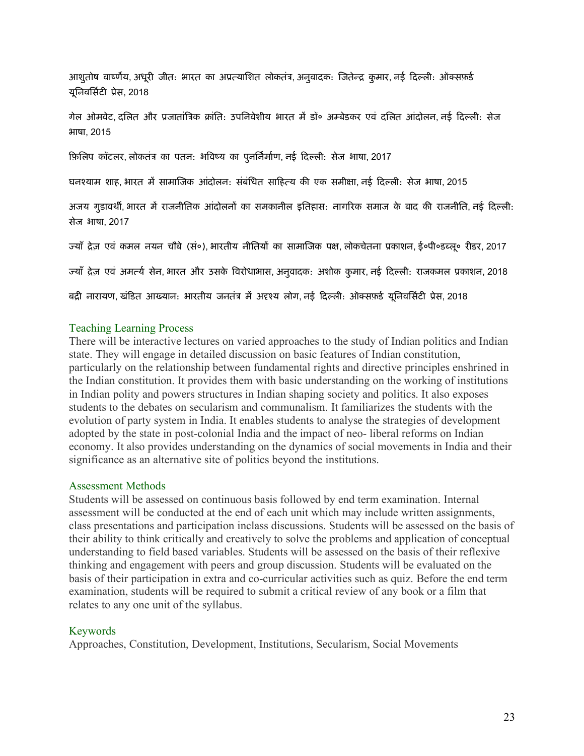आशुतोष वार्ष्णेय, अधूरी जीत: भारत का अप्रत्याशित लोकतंत्र, अनुवादक: जितेन्द्र कुमार, नई दिल्ली: ऑक्सफ़र्ड यनिवर्सिटी प्रेस, 2018

गेल ओमवेट, दलित और प्रजातांत्रिक क्रांति: उपनिवेशीय भारत में डॉ॰ अम्बेडकर एवं दलित आंदोलन, नई दिल्ली: सेज भाषा, 2015

फ़िलिप कॉटलर, लोकतंत्र का पतन: भविष्य का पुनर्निर्माण, नई दिल्ली: सेज भाषा, 2017

घनश्याम शाह, भारत में सामाजिक आंदोलन: संबंधित साहित्य की एक समीक्षा, नई दिल्ली: सेज भाषा, 2015

अजय गुडावर्थी, भारत में राजनीतिक आंदोलनों का समकानील इतिहास: नागरिक समाज के बाद की राजनीति, नई दिल्ली: सेज भाषा, 2017

ज्याँ द्रेज़ एवं कमल नयन चौबे (सं०), भारतीय नीतियों का सामाजिक पक्ष, लोकचेतना प्रकाशन, ई०पी०डब्लू० रीडर, 2017

ज्याँ द्रेज़ एवं अमर्त्य सेन, भारत और उसके विरोधाभास, अनुवादक: अशोक कुमार, नई दिल्ली: राजकमल प्रकाशन, 2018

बद्री नारायण, खंडित आख्यान: भारतीय जनतंत्र में अदृश्य लोग, नई दिल्ली: ऑक्सफ़ई यूनिवर्सिटी प्रेस, 2018

#### Teaching Learning Process

There will be interactive lectures on varied approaches to the study of Indian politics and Indian state. They will engage in detailed discussion on basic features of Indian constitution, particularly on the relationship between fundamental rights and directive principles enshrined in the Indian constitution. It provides them with basic understanding on the working of institutions in Indian polity and powers structures in Indian shaping society and politics. It also exposes students to the debates on secularism and communalism. It familiarizes the students with the evolution of party system in India. It enables students to analyse the strategies of development adopted by the state in post-colonial India and the impact of neo- liberal reforms on Indian economy. It also provides understanding on the dynamics of social movements in India and their significance as an alternative site of politics beyond the institutions.

#### Assessment Methods

Students will be assessed on continuous basis followed by end term examination. Internal assessment will be conducted at the end of each unit which may include written assignments, class presentations and participation inclass discussions. Students will be assessed on the basis of their ability to think critically and creatively to solve the problems and application of conceptual understanding to field based variables. Students will be assessed on the basis of their reflexive thinking and engagement with peers and group discussion. Students will be evaluated on the basis of their participation in extra and co-curricular activities such as quiz. Before the end term examination, students will be required to submit a critical review of any book or a film that relates to any one unit of the syllabus.

#### Keywords

Approaches, Constitution, Development, Institutions, Secularism, Social Movements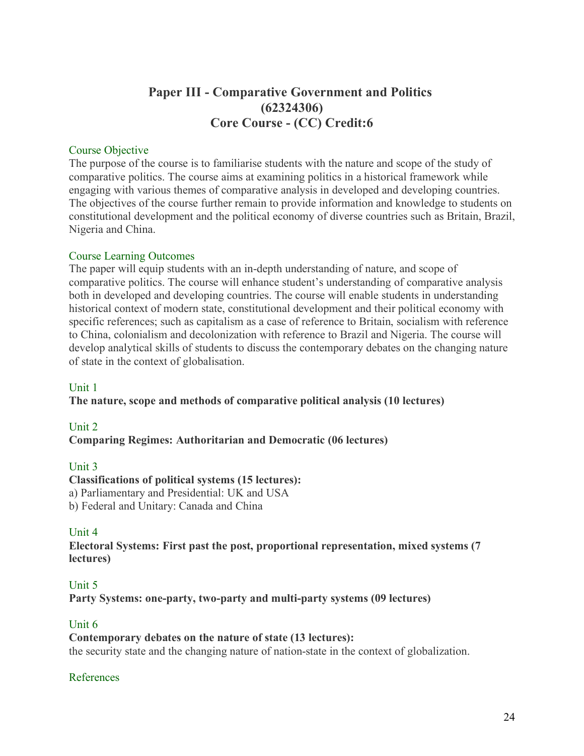# **Paper III - Comparative Government and Politics (62324306) Core Course - (CC) Credit:6**

#### Course Objective

The purpose of the course is to familiarise students with the nature and scope of the study of comparative politics. The course aims at examining politics in a historical framework while engaging with various themes of comparative analysis in developed and developing countries. The objectives of the course further remain to provide information and knowledge to students on constitutional development and the political economy of diverse countries such as Britain, Brazil, Nigeria and China.

#### Course Learning Outcomes

The paper will equip students with an in-depth understanding of nature, and scope of comparative politics. The course will enhance student's understanding of comparative analysis both in developed and developing countries. The course will enable students in understanding historical context of modern state, constitutional development and their political economy with specific references; such as capitalism as a case of reference to Britain, socialism with reference to China, colonialism and decolonization with reference to Brazil and Nigeria. The course will develop analytical skills of students to discuss the contemporary debates on the changing nature of state in the context of globalisation.

#### Unit 1

**The nature, scope and methods of comparative political analysis (10 lectures)**

#### Unit 2

**Comparing Regimes: Authoritarian and Democratic (06 lectures)**

#### Unit 3

#### **Classifications of political systems (15 lectures):**

a) Parliamentary and Presidential: UK and USA

b) Federal and Unitary: Canada and China

# Unit 4

**Electoral Systems: First past the post, proportional representation, mixed systems (7 lectures)**

# Unit 5

**Party Systems: one-party, two-party and multi-party systems (09 lectures)**

#### Unit 6

#### **Contemporary debates on the nature of state (13 lectures):**

the security state and the changing nature of nation-state in the context of globalization.

#### References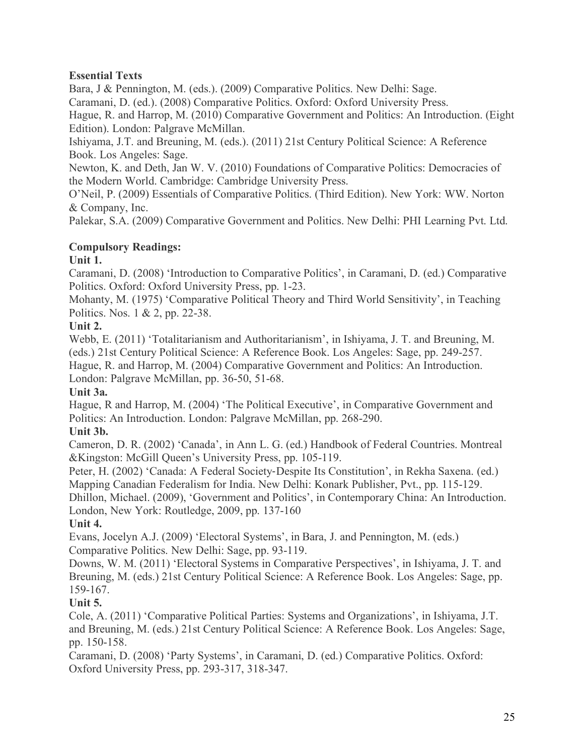# **Essential Texts**

Bara, J & Pennington, M. (eds.). (2009) Comparative Politics. New Delhi: Sage.

Caramani, D. (ed.). (2008) Comparative Politics. Oxford: Oxford University Press.

Hague, R. and Harrop, M. (2010) Comparative Government and Politics: An Introduction. (Eight Edition). London: Palgrave McMillan.

Ishiyama, J.T. and Breuning, M. (eds.). (2011) 21st Century Political Science: A Reference Book. Los Angeles: Sage.

Newton, K. and Deth, Jan W. V. (2010) Foundations of Comparative Politics: Democracies of the Modern World. Cambridge: Cambridge University Press.

O'Neil, P. (2009) Essentials of Comparative Politics. (Third Edition). New York: WW. Norton & Company, Inc.

Palekar, S.A. (2009) Comparative Government and Politics. New Delhi: PHI Learning Pvt. Ltd.

# **Compulsory Readings:**

# **Unit 1.**

Caramani, D. (2008) 'Introduction to Comparative Politics', in Caramani, D. (ed.) Comparative Politics. Oxford: Oxford University Press, pp. 1-23.

Mohanty, M. (1975) 'Comparative Political Theory and Third World Sensitivity', in Teaching Politics. Nos. 1 & 2, pp. 22-38.

# **Unit 2.**

Webb, E. (2011) 'Totalitarianism and Authoritarianism', in Ishiyama, J. T. and Breuning, M. (eds.) 21st Century Political Science: A Reference Book. Los Angeles: Sage, pp. 249-257. Hague, R. and Harrop, M. (2004) Comparative Government and Politics: An Introduction. London: Palgrave McMillan, pp. 36-50, 51-68.

# **Unit 3a.**

Hague, R and Harrop, M. (2004) 'The Political Executive', in Comparative Government and Politics: An Introduction. London: Palgrave McMillan, pp. 268-290.

# **Unit 3b.**

Cameron, D. R. (2002) 'Canada', in Ann L. G. (ed.) Handbook of Federal Countries. Montreal &Kingston: McGill Queen's University Press, pp. 105-119.

Peter, H. (2002) 'Canada: A Federal Society-Despite Its Constitution', in Rekha Saxena. (ed.) Mapping Canadian Federalism for India. New Delhi: Konark Publisher, Pvt., pp. 115-129.

Dhillon, Michael. (2009), 'Government and Politics', in Contemporary China: An Introduction. London, New York: Routledge, 2009, pp. 137-160

# **Unit 4.**

Evans, Jocelyn A.J. (2009) 'Electoral Systems', in Bara, J. and Pennington, M. (eds.) Comparative Politics. New Delhi: Sage, pp. 93-119.

Downs, W. M. (2011) 'Electoral Systems in Comparative Perspectives', in Ishiyama, J. T. and Breuning, M. (eds.) 21st Century Political Science: A Reference Book. Los Angeles: Sage, pp. 159-167.

# **Unit 5.**

Cole, A. (2011) 'Comparative Political Parties: Systems and Organizations', in Ishiyama, J.T. and Breuning, M. (eds.) 21st Century Political Science: A Reference Book. Los Angeles: Sage, pp. 150-158.

Caramani, D. (2008) 'Party Systems', in Caramani, D. (ed.) Comparative Politics. Oxford: Oxford University Press, pp. 293-317, 318-347.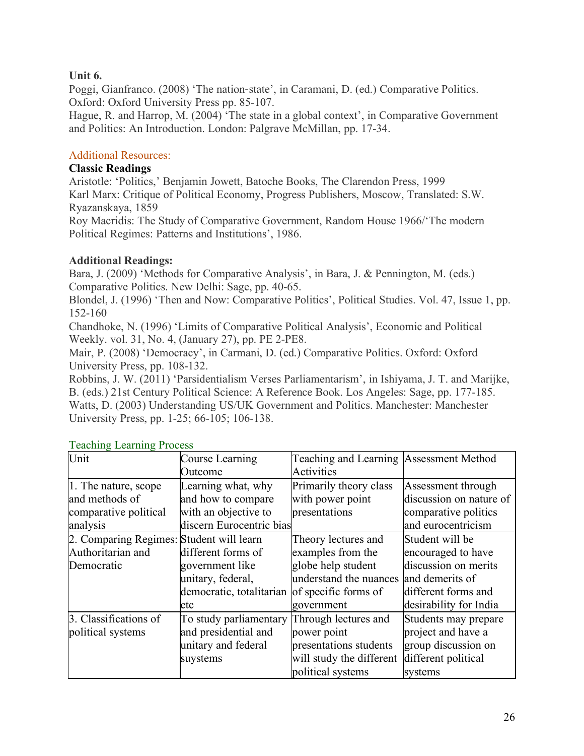# **Unit 6.**

Poggi, Gianfranco. (2008) 'The nation-state', in Caramani, D. (ed.) Comparative Politics. Oxford: Oxford University Press pp. 85-107.

Hague, R. and Harrop, M. (2004) 'The state in a global context', in Comparative Government and Politics: An Introduction. London: Palgrave McMillan, pp. 17-34.

# Additional Resources:

### **Classic Readings**

Aristotle: 'Politics,' Benjamin Jowett, Batoche Books, The Clarendon Press, 1999 Karl Marx: Critique of Political Economy, Progress Publishers, Moscow, Translated: S.W. Ryazanskaya, 1859

Roy Macridis: The Study of Comparative Government, Random House 1966/'The modern Political Regimes: Patterns and Institutions', 1986.

# **Additional Readings:**

Bara, J. (2009) 'Methods for Comparative Analysis', in Bara, J. & Pennington, M. (eds.) Comparative Politics. New Delhi: Sage, pp. 40-65.

Blondel, J. (1996) 'Then and Now: Comparative Politics', Political Studies. Vol. 47, Issue 1, pp. 152-160

Chandhoke, N. (1996) 'Limits of Comparative Political Analysis', Economic and Political Weekly. vol. 31, No. 4, (January 27), pp. PE 2-PE8.

Mair, P. (2008) 'Democracy', in Carmani, D. (ed.) Comparative Politics. Oxford: Oxford University Press, pp. 108-132.

Robbins, J. W. (2011) 'Parsidentialism Verses Parliamentarism', in Ishiyama, J. T. and Marijke, B. (eds.) 21st Century Political Science: A Reference Book. Los Angeles: Sage, pp. 177-185. Watts, D. (2003) Understanding US/UK Government and Politics. Manchester: Manchester University Press, pp. 1-25; 66-105; 106-138.

| Unit                                     | Course Learning          | Teaching and Learning Assessment Method |                         |
|------------------------------------------|--------------------------|-----------------------------------------|-------------------------|
|                                          | Outcome                  | <b>Activities</b>                       |                         |
| 1. The nature, scope                     | Learning what, why       | Primarily theory class                  | Assessment through      |
| and methods of                           | and how to compare       | with power point                        | discussion on nature of |
| comparative political                    | with an objective to     | presentations                           | comparative politics    |
| analysis                                 | discern Eurocentric bias |                                         | and eurocentricism      |
| 2. Comparing Regimes: Student will learn |                          | Theory lectures and                     | Student will be         |
| Authoritarian and                        | different forms of       | examples from the                       | encouraged to have      |
| Democratic                               | government like          | globe help student                      | discussion on merits    |
|                                          | unitary, federal,        | understand the nuances                  | and demerits of         |
|                                          | democratic, totalitarian | of specific forms of                    | different forms and     |
|                                          | etc                      | government                              | desirability for India  |
| 3. Classifications of                    | To study parliamentary   | Through lectures and                    | Students may prepare    |
| political systems                        | and presidential and     | power point                             | project and have a      |
|                                          | unitary and federal      | presentations students                  | group discussion on     |
|                                          | suystems                 | will study the different                | different political     |
|                                          |                          | political systems                       | systems                 |

#### Teaching Learning Process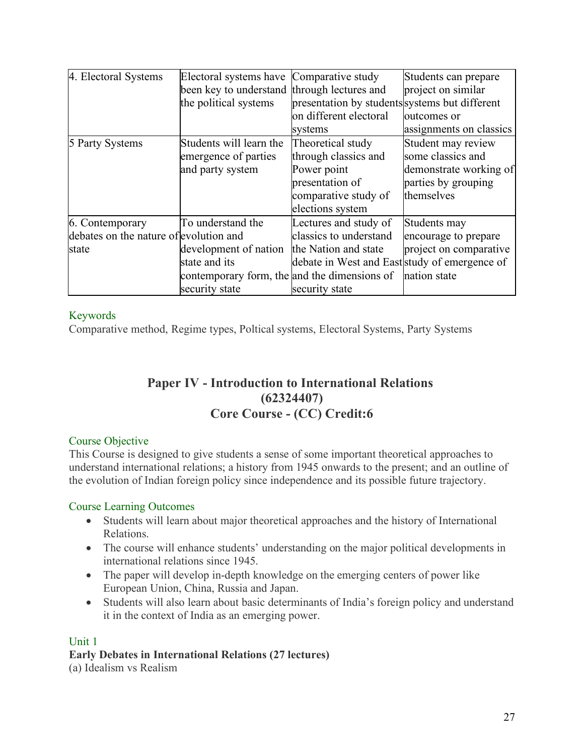| 4. Electoral Systems                   | Electoral systems have Comparative study     |                                                | Students can prepare    |
|----------------------------------------|----------------------------------------------|------------------------------------------------|-------------------------|
|                                        | been key to understand through lectures and  |                                                | project on similar      |
|                                        | the political systems                        | presentation by students systems but different |                         |
|                                        |                                              | on different electoral                         | outcomes or             |
|                                        |                                              | systems                                        | assignments on classics |
| 5 Party Systems                        | Students will learn the                      | Theoretical study                              | Student may review      |
|                                        | emergence of parties                         | through classics and                           | some classics and       |
|                                        | and party system                             | Power point                                    | demonstrate working of  |
|                                        |                                              | presentation of                                | parties by grouping     |
|                                        |                                              | comparative study of                           | themselves              |
|                                        |                                              | elections system                               |                         |
| 6. Contemporary                        | To understand the                            | Lectures and study of                          | Students may            |
| debates on the nature of evolution and |                                              | classics to understand                         | encourage to prepare    |
| state                                  | development of nation                        | the Nation and state                           | project on comparative  |
|                                        | state and its                                | debate in West and East study of emergence of  |                         |
|                                        | contemporary form, the and the dimensions of |                                                | nation state            |
|                                        | security state                               | security state                                 |                         |

# Keywords

Comparative method, Regime types, Poltical systems, Electoral Systems, Party Systems

# **Paper IV - Introduction to International Relations (62324407) Core Course - (CC) Credit:6**

# Course Objective

This Course is designed to give students a sense of some important theoretical approaches to understand international relations; a history from 1945 onwards to the present; and an outline of the evolution of Indian foreign policy since independence and its possible future trajectory.

# Course Learning Outcomes

- Students will learn about major theoretical approaches and the history of International Relations.
- The course will enhance students' understanding on the major political developments in international relations since 1945.
- The paper will develop in-depth knowledge on the emerging centers of power like European Union, China, Russia and Japan.
- Students will also learn about basic determinants of India's foreign policy and understand it in the context of India as an emerging power.

#### Unit 1

# **Early Debates in International Relations (27 lectures)**

(a) Idealism vs Realism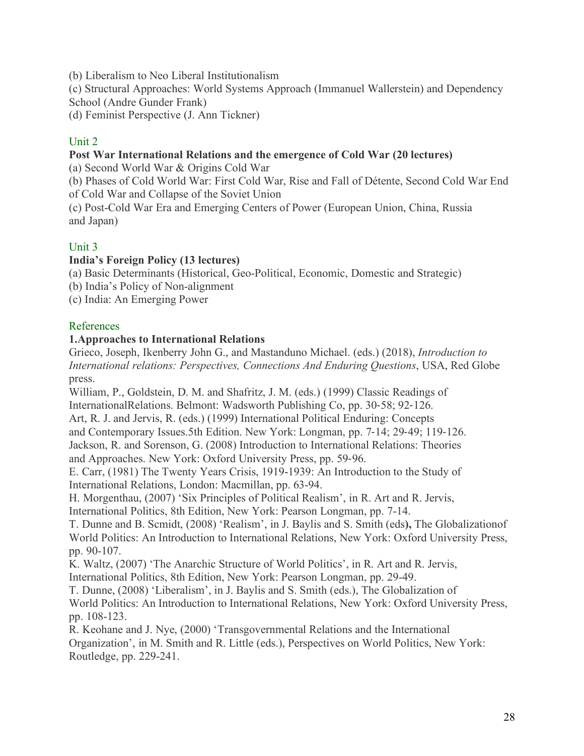(b) Liberalism to Neo Liberal Institutionalism

(c) Structural Approaches: World Systems Approach (Immanuel Wallerstein) and Dependency School (Andre Gunder Frank)

(d) Feminist Perspective (J. Ann Tickner)

# Unit 2

#### **Post War International Relations and the emergence of Cold War (20 lectures)**

(a) Second World War & Origins Cold War

(b) Phases of Cold World War: First Cold War, Rise and Fall of Détente, Second Cold War End of Cold War and Collapse of the Soviet Union

(c) Post-Cold War Era and Emerging Centers of Power (European Union, China, Russia and Japan)

# Unit 3

#### **India's Foreign Policy (13 lectures)**

(a) Basic Determinants (Historical, Geo-Political, Economic, Domestic and Strategic)

(b) India's Policy of Non-alignment

(c) India: An Emerging Power

#### References

#### **1.Approaches to International Relations**

Grieco, Joseph, Ikenberry John G., and Mastanduno Michael. (eds.) (2018), *Introduction to International relations: Perspectives, Connections And Enduring Questions*, USA, Red Globe press.

William, P., Goldstein, D. M. and Shafritz, J. M. (eds.) (1999) Classic Readings of InternationalRelations. Belmont: Wadsworth Publishing Co, pp. 30-58; 92-126.

Art, R. J. and Jervis, R. (eds.) (1999) International Political Enduring: Concepts

and Contemporary Issues.5th Edition. New York: Longman, pp. 7-14; 29-49; 119-126. Jackson, R. and Sorenson, G. (2008) Introduction to International Relations: Theories and Approaches. New York: Oxford University Press, pp. 59-96.

E. Carr, (1981) The Twenty Years Crisis, 1919-1939: An Introduction to the Study of International Relations, London: Macmillan, pp. 63-94.

H. Morgenthau, (2007) 'Six Principles of Political Realism', in R. Art and R. Jervis,

International Politics, 8th Edition, New York: Pearson Longman, pp. 7-14.

T. Dunne and B. Scmidt, (2008) 'Realism', in J. Baylis and S. Smith (eds**),** The Globalizationof World Politics: An Introduction to International Relations, New York: Oxford University Press, pp. 90-107.

K. Waltz, (2007) 'The Anarchic Structure of World Politics', in R. Art and R. Jervis, International Politics, 8th Edition, New York: Pearson Longman, pp. 29-49.

T. Dunne, (2008) 'Liberalism', in J. Baylis and S. Smith (eds.), The Globalization of World Politics: An Introduction to International Relations, New York: Oxford University Press, pp. 108-123.

R. Keohane and J. Nye, (2000) 'Transgovernmental Relations and the International Organization', in M. Smith and R. Little (eds.), Perspectives on World Politics, New York: Routledge, pp. 229-241.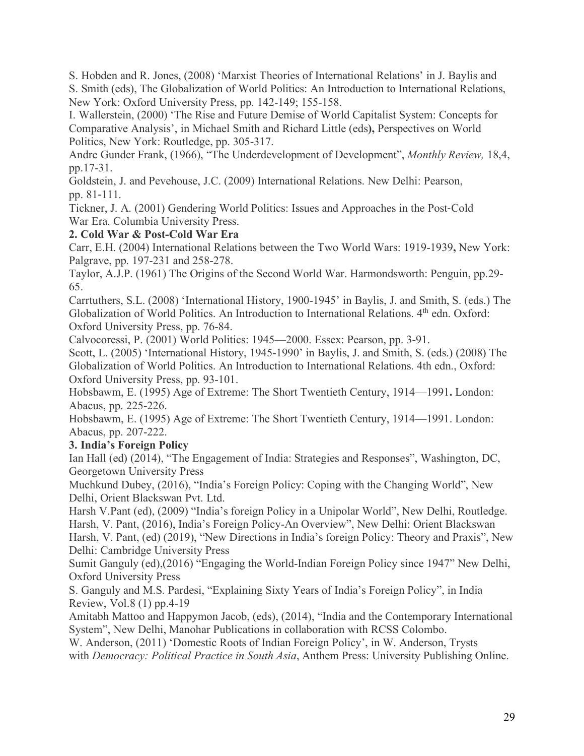S. Hobden and R. Jones, (2008) 'Marxist Theories of International Relations' in J. Baylis and

S. Smith (eds), The Globalization of World Politics: An Introduction to International Relations, New York: Oxford University Press, pp. 142-149; 155-158.

I. Wallerstein, (2000) 'The Rise and Future Demise of World Capitalist System: Concepts for Comparative Analysis', in Michael Smith and Richard Little (eds**),** Perspectives on World Politics, New York: Routledge, pp. 305-317.

Andre Gunder Frank, (1966), "The Underdevelopment of Development", *Monthly Review,* 18,4, pp.17-31.

Goldstein, J. and Pevehouse, J.C. (2009) International Relations. New Delhi: Pearson, pp. 81-111.

Tickner, J. A. (2001) Gendering World Politics: Issues and Approaches in the Post-Cold War Era. Columbia University Press.

# **2. Cold War & Post-Cold War Era**

Carr, E.H. (2004) International Relations between the Two World Wars: 1919-1939**,** New York: Palgrave, pp. 197-231 and 258-278.

Taylor, A.J.P. (1961) The Origins of the Second World War. Harmondsworth: Penguin, pp.29- 65.

Carrtuthers, S.L. (2008) 'International History, 1900-1945' in Baylis, J. and Smith, S. (eds.) The Globalization of World Politics. An Introduction to International Relations. 4<sup>th</sup> edn. Oxford: Oxford University Press, pp. 76-84.

Calvocoressi, P. (2001) World Politics: 1945—2000. Essex: Pearson, pp. 3-91.

Scott, L. (2005) 'International History, 1945-1990' in Baylis, J. and Smith, S. (eds.) (2008) The Globalization of World Politics. An Introduction to International Relations. 4th edn., Oxford: Oxford University Press, pp. 93-101.

Hobsbawm, E. (1995) Age of Extreme: The Short Twentieth Century, 1914—1991**.** London: Abacus, pp. 225-226.

Hobsbawm, E. (1995) Age of Extreme: The Short Twentieth Century, 1914—1991. London: Abacus, pp. 207-222.

# **3. India's Foreign Policy**

Ian Hall (ed) (2014), "The Engagement of India: Strategies and Responses", Washington, DC, Georgetown University Press

Muchkund Dubey, (2016), "India's Foreign Policy: Coping with the Changing World", New Delhi, Orient Blackswan Pvt. Ltd.

Harsh V.Pant (ed), (2009) "India's foreign Policy in a Unipolar World", New Delhi, Routledge. Harsh, V. Pant, (2016), India's Foreign Policy-An Overview", New Delhi: Orient Blackswan

Harsh, V. Pant, (ed) (2019), "New Directions in India's foreign Policy: Theory and Praxis", New Delhi: Cambridge University Press

Sumit Ganguly (ed),(2016) "Engaging the World-Indian Foreign Policy since 1947" New Delhi, Oxford University Press

S. Ganguly and M.S. Pardesi, "Explaining Sixty Years of India's Foreign Policy", in India Review, Vol.8 (1) pp.4-19

Amitabh Mattoo and Happymon Jacob, (eds), (2014), "India and the Contemporary International System", New Delhi, Manohar Publications in collaboration with RCSS Colombo.

W. Anderson, (2011) 'Domestic Roots of Indian Foreign Policy', in W. Anderson, Trysts with *Democracy: Political Practice in South Asia*, Anthem Press: University Publishing Online.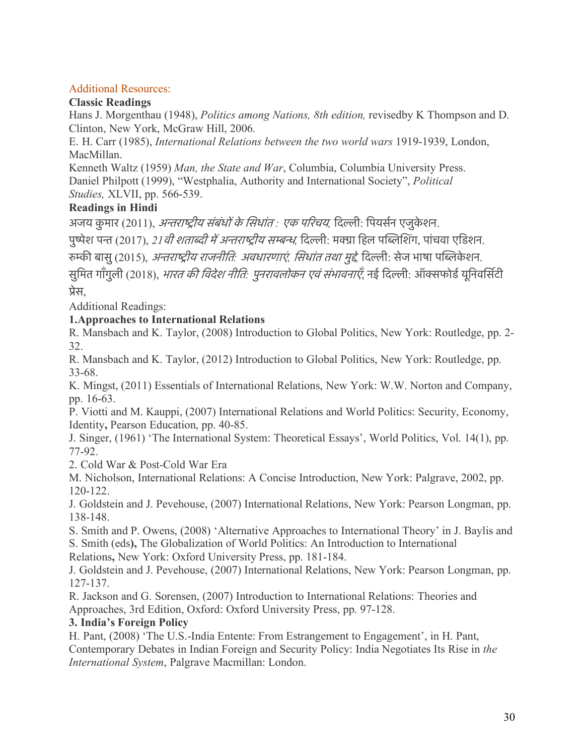# Additional Resources:

# **Classic Readings**

Hans J. Morgenthau (1948), *Politics among Nations, 8th edition,* revisedby K Thompson and D. Clinton, New York, McGraw Hill, 2006.

E. H. Carr (1985), *International Relations between the two world wars* 1919-1939, London, MacMillan.

Kenneth Waltz (1959) *Man, the State and War*, Columbia, Columbia University Press. Daniel Philpott (1999), "Westphalia, Authority and International Society", *Political Studies,* XLVII, pp. 566-539.

# **Readings in Hindi**

अजय कुमार (2011), *अन्तराष्ट्रीय संबंधों के सिधांत : एक परिचय*, दिल्ली: पियर्सन एजुकेशन.

पुष्पेश पन्त (2017), *21 वी शताब्दी में अन्तराष्ट्रीय सम्बन्ध*, दिल्ली: मक्ग्रा हिल पब्लिशिंग, पांचवा एडिशन.

रमकी बासु(2015), अनराषीय राजनीित*:* अवधारणाएं*,* िसधांत तथा मुदे*,* िदली: सेज भाषा पिबके शन.

सुमित गाँगुली (2018), *भारत की विदेश नीति: पुनरावलोकन एवं संभावनाएँ*, नई दिल्ली: ऑक्सफोर्ड यूनिवर्सिटी पेस,

Additional Readings:

# **1.Approaches to International Relations**

R. Mansbach and K. Taylor, (2008) Introduction to Global Politics, New York: Routledge, pp. 2- 32.

R. Mansbach and K. Taylor, (2012) Introduction to Global Politics, New York: Routledge, pp. 33-68.

K. Mingst, (2011) Essentials of International Relations, New York: W.W. Norton and Company, pp. 16-63.

P. Viotti and M. Kauppi, (2007) International Relations and World Politics: Security, Economy, Identity**,** Pearson Education, pp. 40-85.

J. Singer, (1961) 'The International System: Theoretical Essays', World Politics, Vol. 14(1), pp. 77-92.

2. Cold War & Post-Cold War Era

M. Nicholson, International Relations: A Concise Introduction, New York: Palgrave, 2002, pp. 120-122.

J. Goldstein and J. Pevehouse, (2007) International Relations, New York: Pearson Longman, pp. 138-148.

S. Smith and P. Owens, (2008) 'Alternative Approaches to International Theory' in J. Baylis and S. Smith (eds**),** The Globalization of World Politics: An Introduction to International

Relations**,** New York: Oxford University Press, pp. 181-184.

J. Goldstein and J. Pevehouse, (2007) International Relations, New York: Pearson Longman, pp. 127-137.

R. Jackson and G. Sorensen, (2007) Introduction to International Relations: Theories and Approaches, 3rd Edition, Oxford: Oxford University Press, pp. 97-128.

# **3. India's Foreign Policy**

H. Pant, (2008) 'The U.S.-India Entente: From Estrangement to Engagement', in H. Pant, Contemporary Debates in Indian Foreign and Security Policy: India Negotiates Its Rise in *the International System*, Palgrave Macmillan: London.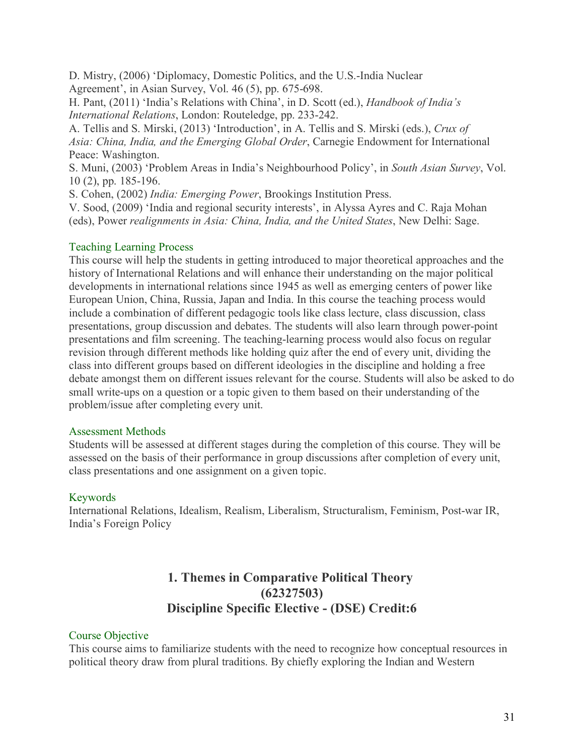D. Mistry, (2006) 'Diplomacy, Domestic Politics, and the U.S.-India Nuclear Agreement', in Asian Survey, Vol. 46 (5), pp. 675-698.

H. Pant, (2011) 'India's Relations with China', in D. Scott (ed.), *Handbook of India's International Relations*, London: Routeledge, pp. 233-242.

A. Tellis and S. Mirski, (2013) 'Introduction', in A. Tellis and S. Mirski (eds.), *Crux of Asia: China, India, and the Emerging Global Order*, Carnegie Endowment for International Peace: Washington.

S. Muni, (2003) 'Problem Areas in India's Neighbourhood Policy', in *South Asian Survey*, Vol. 10 (2), pp. 185-196.

S. Cohen, (2002) *India: Emerging Power*, Brookings Institution Press.

V. Sood, (2009) 'India and regional security interests', in Alyssa Ayres and C. Raja Mohan (eds), Power *realignments in Asia: China, India, and the United States*, New Delhi: Sage.

# Teaching Learning Process

This course will help the students in getting introduced to major theoretical approaches and the history of International Relations and will enhance their understanding on the major political developments in international relations since 1945 as well as emerging centers of power like European Union, China, Russia, Japan and India. In this course the teaching process would include a combination of different pedagogic tools like class lecture, class discussion, class presentations, group discussion and debates. The students will also learn through power-point presentations and film screening. The teaching-learning process would also focus on regular revision through different methods like holding quiz after the end of every unit, dividing the class into different groups based on different ideologies in the discipline and holding a free debate amongst them on different issues relevant for the course. Students will also be asked to do small write-ups on a question or a topic given to them based on their understanding of the problem/issue after completing every unit.

#### Assessment Methods

Students will be assessed at different stages during the completion of this course. They will be assessed on the basis of their performance in group discussions after completion of every unit, class presentations and one assignment on a given topic.

# Keywords

International Relations, Idealism, Realism, Liberalism, Structuralism, Feminism, Post-war IR, India's Foreign Policy

# **1. Themes in Comparative Political Theory (62327503) Discipline Specific Elective - (DSE) Credit:6**

# Course Objective

This course aims to familiarize students with the need to recognize how conceptual resources in political theory draw from plural traditions. By chiefly exploring the Indian and Western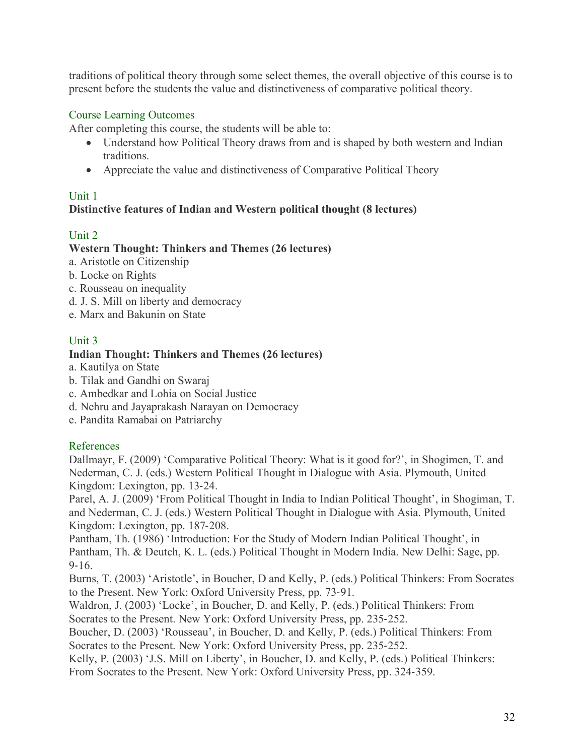traditions of political theory through some select themes, the overall objective of this course is to present before the students the value and distinctiveness of comparative political theory.

# Course Learning Outcomes

After completing this course, the students will be able to:

- Understand how Political Theory draws from and is shaped by both western and Indian traditions.
- Appreciate the value and distinctiveness of Comparative Political Theory

# Unit 1

# **Distinctive features of Indian and Western political thought (8 lectures)**

# Unit 2

# **Western Thought: Thinkers and Themes (26 lectures)**

- a. Aristotle on Citizenship
- b. Locke on Rights
- c. Rousseau on inequality
- d. J. S. Mill on liberty and democracy
- e. Marx and Bakunin on State

# Unit 3

# **Indian Thought: Thinkers and Themes (26 lectures)**

- a. Kautilya on State
- b. Tilak and Gandhi on Swaraj
- c. Ambedkar and Lohia on Social Justice
- d. Nehru and Jayaprakash Narayan on Democracy
- e. Pandita Ramabai on Patriarchy

# References

Dallmayr, F. (2009) 'Comparative Political Theory: What is it good for?', in Shogimen, T. and Nederman, C. J. (eds.) Western Political Thought in Dialogue with Asia. Plymouth, United Kingdom: Lexington, pp. 13-24.

Parel, A. J. (2009) 'From Political Thought in India to Indian Political Thought', in Shogiman, T. and Nederman, C. J. (eds.) Western Political Thought in Dialogue with Asia. Plymouth, United Kingdom: Lexington, pp. 187-208.

Pantham, Th. (1986) 'Introduction: For the Study of Modern Indian Political Thought', in Pantham, Th. & Deutch, K. L. (eds.) Political Thought in Modern India. New Delhi: Sage, pp. 9-16.

Burns, T. (2003) 'Aristotle', in Boucher, D and Kelly, P. (eds.) Political Thinkers: From Socrates to the Present. New York: Oxford University Press, pp. 73-91.

Waldron, J. (2003) 'Locke', in Boucher, D. and Kelly, P. (eds.) Political Thinkers: From Socrates to the Present. New York: Oxford University Press, pp. 235-252.

Boucher, D. (2003) 'Rousseau', in Boucher, D. and Kelly, P. (eds.) Political Thinkers: From Socrates to the Present. New York: Oxford University Press, pp. 235-252.

Kelly, P. (2003) 'J.S. Mill on Liberty', in Boucher, D. and Kelly, P. (eds.) Political Thinkers: From Socrates to the Present. New York: Oxford University Press, pp. 324-359.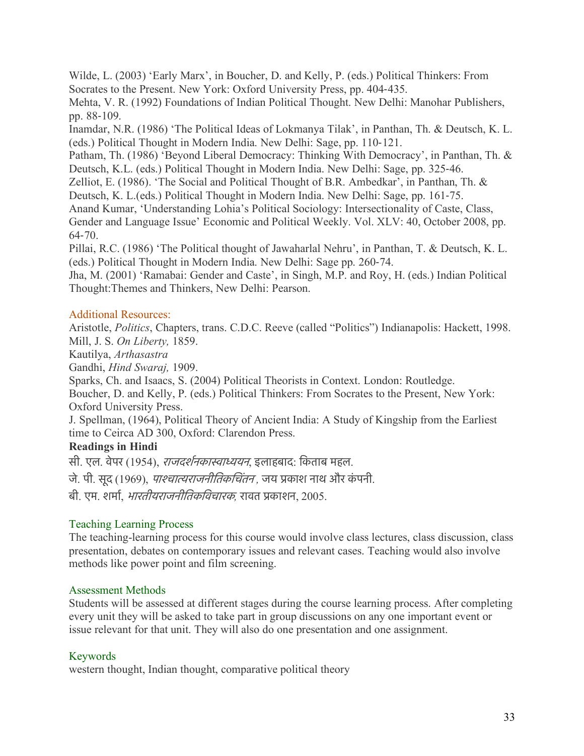Wilde, L. (2003) 'Early Marx', in Boucher, D. and Kelly, P. (eds.) Political Thinkers: From Socrates to the Present. New York: Oxford University Press, pp. 404-435.

Mehta, V. R. (1992) Foundations of Indian Political Thought. New Delhi: Manohar Publishers, pp. 88-109.

Inamdar, N.R. (1986) 'The Political Ideas of Lokmanya Tilak', in Panthan, Th. & Deutsch, K. L. (eds.) Political Thought in Modern India. New Delhi: Sage, pp. 110-121.

Patham, Th. (1986) 'Beyond Liberal Democracy: Thinking With Democracy', in Panthan, Th. & Deutsch, K.L. (eds.) Political Thought in Modern India. New Delhi: Sage, pp. 325-46.

Zelliot, E. (1986). 'The Social and Political Thought of B.R. Ambedkar', in Panthan, Th. &

Deutsch, K. L.(eds.) Political Thought in Modern India. New Delhi: Sage, pp. 161-75.

Anand Kumar, 'Understanding Lohia's Political Sociology: Intersectionality of Caste, Class,

Gender and Language Issue' Economic and Political Weekly. Vol. XLV: 40, October 2008, pp. 64-70.

Pillai, R.C. (1986) 'The Political thought of Jawaharlal Nehru', in Panthan, T. & Deutsch, K. L. (eds.) Political Thought in Modern India. New Delhi: Sage pp. 260-74.

Jha, M. (2001) 'Ramabai: Gender and Caste', in Singh, M.P. and Roy, H. (eds.) Indian Political Thought:Themes and Thinkers, New Delhi: Pearson.

# Additional Resources:

Aristotle, *Politics*, Chapters, trans. C.D.C. Reeve (called "Politics") Indianapolis: Hackett, 1998. Mill, J. S. *On Liberty,* 1859.

Kautilya, *Arthasastra*

Gandhi, *Hind Swaraj,* 1909.

Sparks, Ch. and Isaacs, S. (2004) Political Theorists in Context. London: Routledge.

Boucher, D. and Kelly, P. (eds.) Political Thinkers: From Socrates to the Present, New York: Oxford University Press.

J. Spellman, (1964), Political Theory of Ancient India: A Study of Kingship from the Earliest time to Ceirca AD 300, Oxford: Clarendon Press.

# **Readings in Hindi**

सी. एल. वेपर (1954), *राजदर्शनकास्वाध्ययन*, इलाहबाद: किताब महल.

जे. पी. सद (1969), *पाश्चात्यराजनीतिकचिंतन* , जय प्रकाश नाथ और कंपनी.

बी. एम. शमार, भारतीयराजनीितकिवचारक*,* रावत पकाशन, 2005.

# Teaching Learning Process

The teaching-learning process for this course would involve class lectures, class discussion, class presentation, debates on contemporary issues and relevant cases. Teaching would also involve methods like power point and film screening.

# Assessment Methods

Students will be assessed at different stages during the course learning process. After completing every unit they will be asked to take part in group discussions on any one important event or issue relevant for that unit. They will also do one presentation and one assignment.

# Keywords

western thought, Indian thought, comparative political theory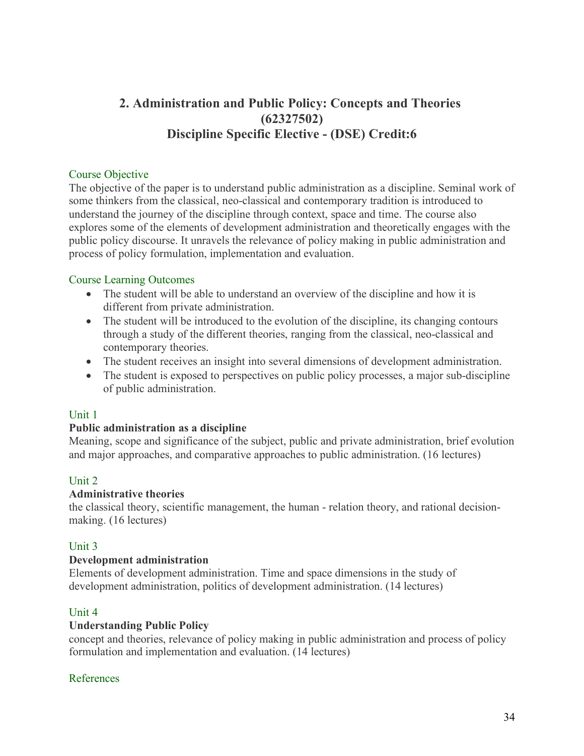# **2. Administration and Public Policy: Concepts and Theories (62327502) Discipline Specific Elective - (DSE) Credit:6**

#### Course Objective

The objective of the paper is to understand public administration as a discipline. Seminal work of some thinkers from the classical, neo-classical and contemporary tradition is introduced to understand the journey of the discipline through context, space and time. The course also explores some of the elements of development administration and theoretically engages with the public policy discourse. It unravels the relevance of policy making in public administration and process of policy formulation, implementation and evaluation.

#### Course Learning Outcomes

- The student will be able to understand an overview of the discipline and how it is different from private administration.
- The student will be introduced to the evolution of the discipline, its changing contours through a study of the different theories, ranging from the classical, neo-classical and contemporary theories.
- The student receives an insight into several dimensions of development administration.
- The student is exposed to perspectives on public policy processes, a major sub-discipline of public administration.

#### Unit 1

#### **Public administration as a discipline**

Meaning, scope and significance of the subject, public and private administration, brief evolution and major approaches, and comparative approaches to public administration. (16 lectures)

# Unit 2

#### **Administrative theories**

the classical theory, scientific management, the human - relation theory, and rational decisionmaking. (16 lectures)

#### Unit 3

#### **Development administration**

Elements of development administration. Time and space dimensions in the study of development administration, politics of development administration. (14 lectures)

# Unit 4

#### **Understanding Public Policy**

concept and theories, relevance of policy making in public administration and process of policy formulation and implementation and evaluation. (14 lectures)

#### References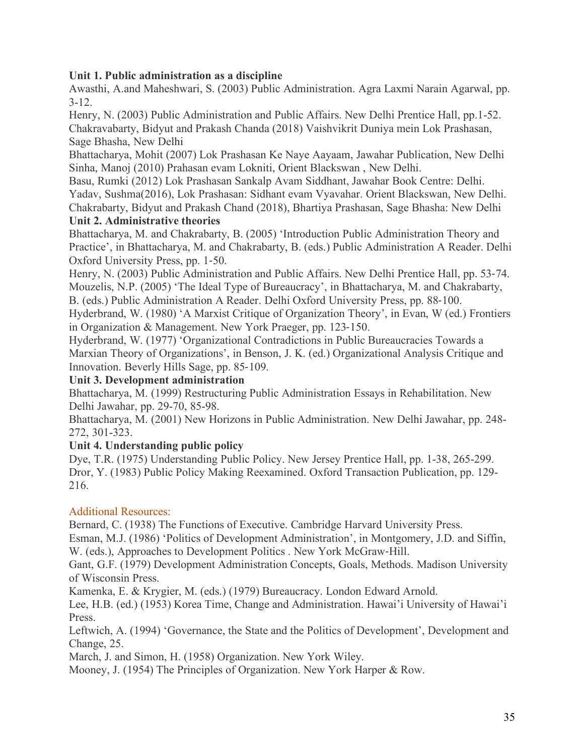# **Unit 1. Public administration as a discipline**

Awasthi, A.and Maheshwari, S. (2003) Public Administration. Agra Laxmi Narain Agarwal, pp. 3-12.

Henry, N. (2003) Public Administration and Public Affairs. New Delhi Prentice Hall, pp.1-52. Chakravabarty, Bidyut and Prakash Chanda (2018) Vaishvikrit Duniya mein Lok Prashasan, Sage Bhasha, New Delhi

Bhattacharya, Mohit (2007) Lok Prashasan Ke Naye Aayaam, Jawahar Publication, New Delhi Sinha, Manoj (2010) Prahasan evam Lokniti, Orient Blackswan , New Delhi.

Basu, Rumki (2012) Lok Prashasan Sankalp Avam Siddhant, Jawahar Book Centre: Delhi. Yadav, Sushma(2016), Lok Prashasan: Sidhant evam Vyavahar. Orient Blackswan, New Delhi. Chakrabarty, Bidyut and Prakash Chand (2018), Bhartiya Prashasan, Sage Bhasha: New Delhi

# **Unit 2. Administrative theories**

Bhattacharya, M. and Chakrabarty, B. (2005) 'Introduction Public Administration Theory and Practice', in Bhattacharya, M. and Chakrabarty, B. (eds.) Public Administration A Reader. Delhi Oxford University Press, pp. 1-50.

Henry, N. (2003) Public Administration and Public Affairs. New Delhi Prentice Hall, pp. 53-74. Mouzelis, N.P. (2005) 'The Ideal Type of Bureaucracy', in Bhattacharya, M. and Chakrabarty, B. (eds.) Public Administration A Reader. Delhi Oxford University Press, pp. 88-100.

Hyderbrand, W. (1980) 'A Marxist Critique of Organization Theory', in Evan, W (ed.) Frontiers in Organization & Management. New York Praeger, pp. 123-150.

Hyderbrand, W. (1977) 'Organizational Contradictions in Public Bureaucracies Towards a Marxian Theory of Organizations', in Benson, J. K. (ed.) Organizational Analysis Critique and Innovation. Beverly Hills Sage, pp. 85-109.

# **Unit 3. Development administration**

Bhattacharya, M. (1999) Restructuring Public Administration Essays in Rehabilitation. New Delhi Jawahar, pp. 29-70, 85-98.

Bhattacharya, M. (2001) New Horizons in Public Administration. New Delhi Jawahar, pp. 248- 272, 301-323.

# **Unit 4. Understanding public policy**

Dye, T.R. (1975) Understanding Public Policy. New Jersey Prentice Hall, pp. 1-38, 265-299. Dror, Y. (1983) Public Policy Making Reexamined. Oxford Transaction Publication, pp. 129- 216.

# Additional Resources:

Bernard, C. (1938) The Functions of Executive. Cambridge Harvard University Press.

Esman, M.J. (1986) 'Politics of Development Administration', in Montgomery, J.D. and Siffin, W. (eds.), Approaches to Development Politics . New York McGraw-Hill.

Gant, G.F. (1979) Development Administration Concepts, Goals, Methods. Madison University of Wisconsin Press.

Kamenka, E. & Krygier, M. (eds.) (1979) Bureaucracy. London Edward Arnold.

Lee, H.B. (ed.) (1953) Korea Time, Change and Administration. Hawai'i University of Hawai'i Press.

Leftwich, A. (1994) 'Governance, the State and the Politics of Development', Development and Change, 25.

March, J. and Simon, H. (1958) Organization. New York Wiley.

Mooney, J. (1954) The Principles of Organization. New York Harper & Row.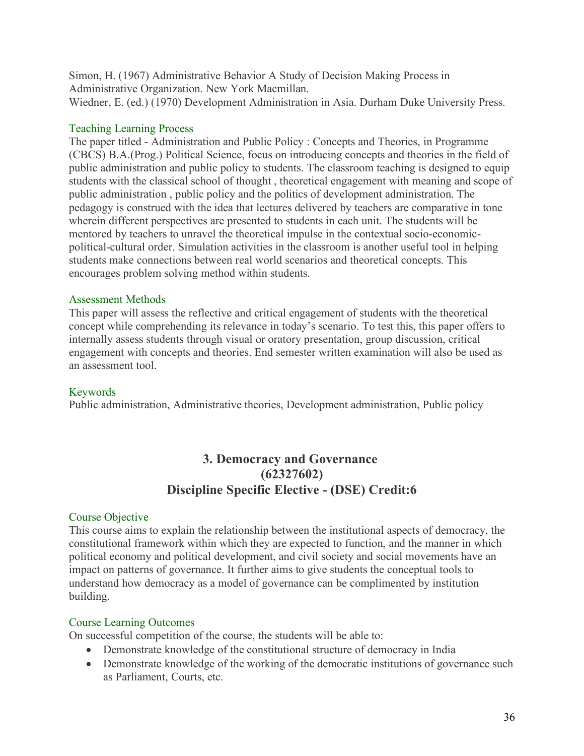Simon, H. (1967) Administrative Behavior A Study of Decision Making Process in Administrative Organization. New York Macmillan. Wiedner, E. (ed.) (1970) Development Administration in Asia. Durham Duke University Press.

#### Teaching Learning Process

The paper titled - Administration and Public Policy : Concepts and Theories, in Programme (CBCS) B.A.(Prog.) Political Science, focus on introducing concepts and theories in the field of public administration and public policy to students. The classroom teaching is designed to equip students with the classical school of thought , theoretical engagement with meaning and scope of public administration , public policy and the politics of development administration. The pedagogy is construed with the idea that lectures delivered by teachers are comparative in tone wherein different perspectives are presented to students in each unit. The students will be mentored by teachers to unravel the theoretical impulse in the contextual socio-economicpolitical-cultural order. Simulation activities in the classroom is another useful tool in helping students make connections between real world scenarios and theoretical concepts. This encourages problem solving method within students.

#### Assessment Methods

This paper will assess the reflective and critical engagement of students with the theoretical concept while comprehending its relevance in today's scenario. To test this, this paper offers to internally assess students through visual or oratory presentation, group discussion, critical engagement with concepts and theories. End semester written examination will also be used as an assessment tool.

# Keywords

Public administration, Administrative theories, Development administration, Public policy

# **3. Democracy and Governance (62327602) Discipline Specific Elective - (DSE) Credit:6**

# Course Objective

This course aims to explain the relationship between the institutional aspects of democracy, the constitutional framework within which they are expected to function, and the manner in which political economy and political development, and civil society and social movements have an impact on patterns of governance. It further aims to give students the conceptual tools to understand how democracy as a model of governance can be complimented by institution building.

# Course Learning Outcomes

On successful competition of the course, the students will be able to:

- Demonstrate knowledge of the constitutional structure of democracy in India
- Demonstrate knowledge of the working of the democratic institutions of governance such as Parliament, Courts, etc.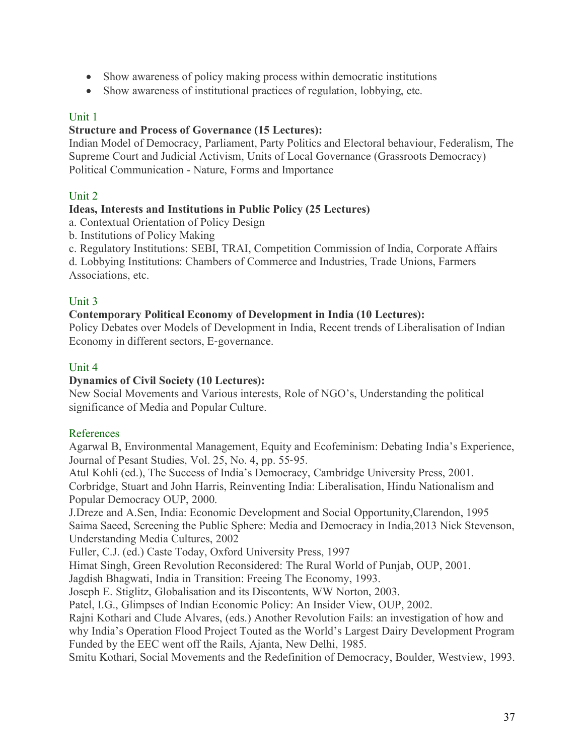- Show awareness of policy making process within democratic institutions
- Show awareness of institutional practices of regulation, lobbying, etc.

# Unit 1

### **Structure and Process of Governance (15 Lectures):**

Indian Model of Democracy, Parliament, Party Politics and Electoral behaviour, Federalism, The Supreme Court and Judicial Activism, Units of Local Governance (Grassroots Democracy) Political Communication - Nature, Forms and Importance

# Unit 2

#### **Ideas, Interests and Institutions in Public Policy (25 Lectures)**

a. Contextual Orientation of Policy Design

b. Institutions of Policy Making

c. Regulatory Institutions: SEBI, TRAI, Competition Commission of India, Corporate Affairs

d. Lobbying Institutions: Chambers of Commerce and Industries, Trade Unions, Farmers Associations, etc.

#### Unit 3

#### **Contemporary Political Economy of Development in India (10 Lectures):**

Policy Debates over Models of Development in India, Recent trends of Liberalisation of Indian Economy in different sectors, E-governance.

#### Unit 4

### **Dynamics of Civil Society (10 Lectures):**

New Social Movements and Various interests, Role of NGO's, Understanding the political significance of Media and Popular Culture.

# References

Agarwal B, Environmental Management, Equity and Ecofeminism: Debating India's Experience, Journal of Pesant Studies, Vol. 25, No. 4, pp. 55-95.

Atul Kohli (ed.), The Success of India's Democracy, Cambridge University Press, 2001. Corbridge, Stuart and John Harris, Reinventing India: Liberalisation, Hindu Nationalism and Popular Democracy OUP, 2000.

J.Dreze and A.Sen, India: Economic Development and Social Opportunity,Clarendon, 1995 Saima Saeed, Screening the Public Sphere: Media and Democracy in India,2013 Nick Stevenson, Understanding Media Cultures, 2002

Fuller, C.J. (ed.) Caste Today, Oxford University Press, 1997

Himat Singh, Green Revolution Reconsidered: The Rural World of Punjab, OUP, 2001.

Jagdish Bhagwati, India in Transition: Freeing The Economy, 1993.

Joseph E. Stiglitz, Globalisation and its Discontents, WW Norton, 2003.

Patel, I.G., Glimpses of Indian Economic Policy: An Insider View, OUP, 2002.

Rajni Kothari and Clude Alvares, (eds.) Another Revolution Fails: an investigation of how and why India's Operation Flood Project Touted as the World's Largest Dairy Development Program Funded by the EEC went off the Rails, Ajanta, New Delhi, 1985.

Smitu Kothari, Social Movements and the Redefinition of Democracy, Boulder, Westview, 1993.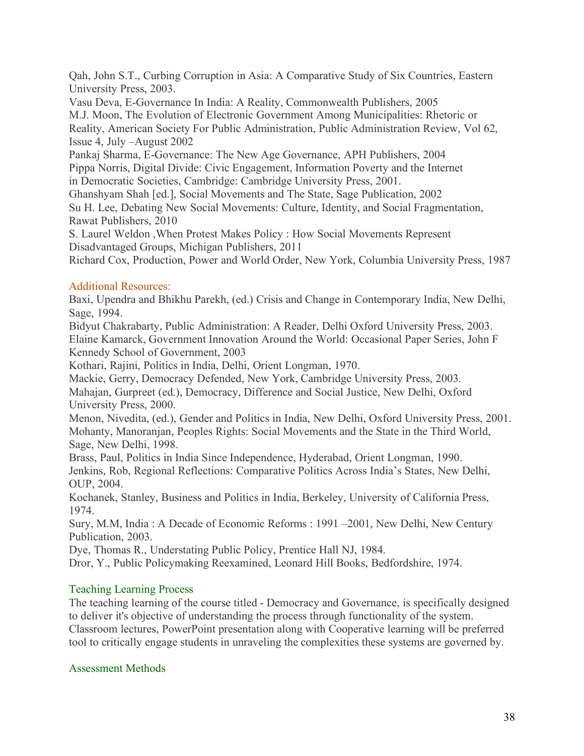Qah, John S.T., Curbing Corruption in Asia: A Comparative Study of Six Countries, Eastern University Press, 2003.

Vasu Deva, E-Governance In India: A Reality, Commonwealth Publishers, 2005 M.J. Moon, The Evolution of Electronic Government Among Municipalities: Rhetoric or Reality, American Society For Public Administration, Public Administration Review, Vol 62, Issue 4, July –August 2002

Pankaj Sharma, E-Governance: The New Age Governance, APH Publishers, 2004 Pippa Norris, Digital Divide: Civic Engagement, Information Poverty and the Internet in Democratic Societies, Cambridge: Cambridge University Press, 2001.

Ghanshyam Shah [ed.], Social Movements and The State, Sage Publication, 2002 Su H. Lee, Debating New Social Movements: Culture, Identity, and Social Fragmentation, Rawat Publishers, 2010

S. Laurel Weldon ,When Protest Makes Policy : How Social Movements Represent Disadvantaged Groups, Michigan Publishers, 2011

Richard Cox, Production, Power and World Order, New York, Columbia University Press, 1987

# Additional Resources:

Baxi, Upendra and Bhikhu Parekh, (ed.) Crisis and Change in Contemporary India, New Delhi, Sage, 1994.

Bidyut Chakrabarty, Public Administration: A Reader, Delhi Oxford University Press, 2003. Elaine Kamarck, Government Innovation Around the World: Occasional Paper Series, John F Kennedy School of Government, 2003

Kothari, Rajini, Politics in India, Delhi, Orient Longman, 1970.

Mackie, Gerry, Democracy Defended, New York, Cambridge University Press, 2003.

Mahajan, Gurpreet (ed.), Democracy, Difference and Social Justice, New Delhi, Oxford University Press, 2000.

Menon, Nivedita, (ed.), Gender and Politics in India, New Delhi, Oxford University Press, 2001. Mohanty, Manoranjan, Peoples Rights: Social Movements and the State in the Third World, Sage, New Delhi, 1998.

Brass, Paul, Politics in India Since Independence, Hyderabad, Orient Longman, 1990. Jenkins, Rob, Regional Reflections: Comparative Politics Across India's States, New Delhi, OUP, 2004.

Kochanek, Stanley, Business and Politics in India, Berkeley, University of California Press, 1974.

Sury, M.M, India : A Decade of Economic Reforms : 1991 –2001, New Delhi, New Century Publication, 2003.

Dye, Thomas R., Understating Public Policy, Prentice Hall NJ, 1984.

Dror, Y., Public Policymaking Reexamined, Leonard Hill Books, Bedfordshire, 1974.

# Teaching Learning Process

The teaching learning of the course titled - Democracy and Governance, is specifically designed to deliver it's objective of understanding the process through functionality of the system. Classroom lectures, PowerPoint presentation along with Cooperative learning will be preferred tool to critically engage students in unraveling the complexities these systems are governed by.

# Assessment Methods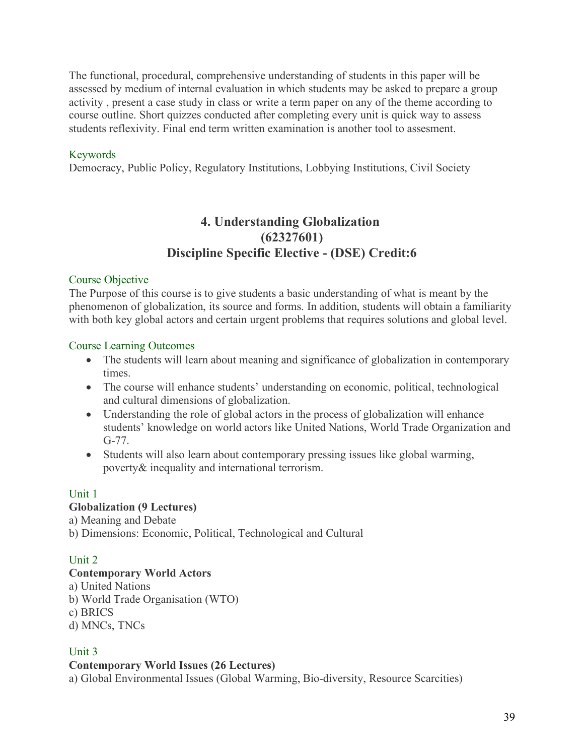The functional, procedural, comprehensive understanding of students in this paper will be assessed by medium of internal evaluation in which students may be asked to prepare a group activity , present a case study in class or write a term paper on any of the theme according to course outline. Short quizzes conducted after completing every unit is quick way to assess students reflexivity. Final end term written examination is another tool to assesment.

# Keywords

Democracy, Public Policy, Regulatory Institutions, Lobbying Institutions, Civil Society

# **4. Understanding Globalization (62327601) Discipline Specific Elective - (DSE) Credit:6**

#### Course Objective

The Purpose of this course is to give students a basic understanding of what is meant by the phenomenon of globalization, its source and forms. In addition, students will obtain a familiarity with both key global actors and certain urgent problems that requires solutions and global level.

#### Course Learning Outcomes

- The students will learn about meaning and significance of globalization in contemporary times.
- The course will enhance students' understanding on economic, political, technological and cultural dimensions of globalization.
- Understanding the role of global actors in the process of globalization will enhance students' knowledge on world actors like United Nations, World Trade Organization and G-77.
- Students will also learn about contemporary pressing issues like global warming, poverty& inequality and international terrorism.

#### Unit 1 **Globalization (9 Lectures)**

a) Meaning and Debate b) Dimensions: Economic, Political, Technological and Cultural

# Unit 2

# **Contemporary World Actors**

a) United Nations b) World Trade Organisation (WTO) c) BRICS d) MNCs, TNCs

# Unit 3

# **Contemporary World Issues (26 Lectures)**

a) Global Environmental Issues (Global Warming, Bio-diversity, Resource Scarcities)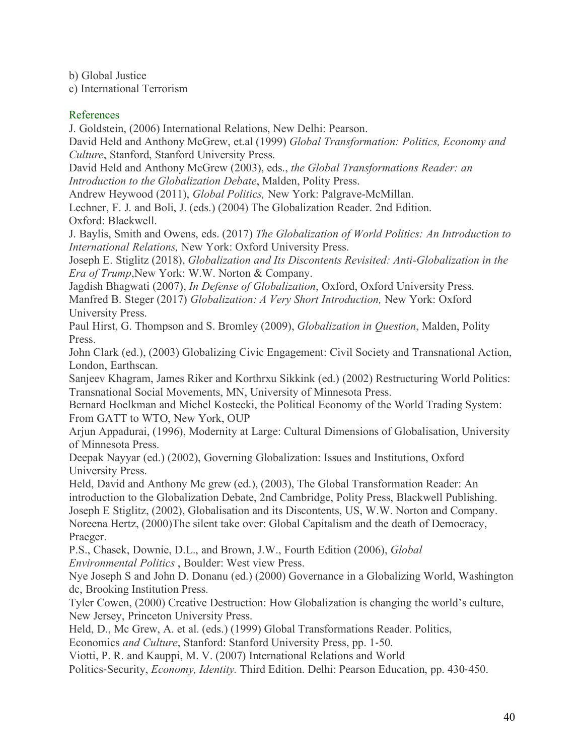b) Global Justice

c) International Terrorism

# References

J. Goldstein, (2006) International Relations, New Delhi: Pearson.

David Held and Anthony McGrew, et.al (1999) *Global Transformation: Politics, Economy and Culture*, Stanford, Stanford University Press.

David Held and Anthony McGrew (2003), eds., *the Global Transformations Reader: an Introduction to the Globalization Debate*, Malden, Polity Press.

Andrew Heywood (2011), *Global Politics,* New York: Palgrave-McMillan.

Lechner, F. J. and Boli, J. (eds.) (2004) The Globalization Reader. 2nd Edition. Oxford: Blackwell.

J. Baylis, Smith and Owens, eds. (2017) *The Globalization of World Politics: An Introduction to International Relations,* New York: Oxford University Press.

Joseph E. Stiglitz (2018), *Globalization and Its Discontents Revisited: Anti-Globalization in the Era of Trump*,New York: W.W. Norton & Company.

Jagdish Bhagwati (2007), *In Defense of Globalization*, Oxford, Oxford University Press. Manfred B. Steger (2017) *Globalization: A Very Short Introduction,* New York: Oxford University Press.

Paul Hirst, G. Thompson and S. Bromley (2009), *Globalization in Question*, Malden, Polity Press.

John Clark (ed.), (2003) Globalizing Civic Engagement: Civil Society and Transnational Action, London, Earthscan.

Sanjeev Khagram, James Riker and Korthrxu Sikkink (ed.) (2002) Restructuring World Politics: Transnational Social Movements, MN, University of Minnesota Press.

Bernard Hoelkman and Michel Kostecki, the Political Economy of the World Trading System: From GATT to WTO, New York, OUP

Arjun Appadurai, (1996), Modernity at Large: Cultural Dimensions of Globalisation, University of Minnesota Press.

Deepak Nayyar (ed.) (2002), Governing Globalization: Issues and Institutions, Oxford University Press.

Held, David and Anthony Mc grew (ed.), (2003), The Global Transformation Reader: An introduction to the Globalization Debate, 2nd Cambridge, Polity Press, Blackwell Publishing. Joseph E Stiglitz, (2002), Globalisation and its Discontents, US, W.W. Norton and Company. Noreena Hertz, (2000)The silent take over: Global Capitalism and the death of Democracy, Praeger.

P.S., Chasek, Downie, D.L., and Brown, J.W., Fourth Edition (2006), *Global Environmental Politics* , Boulder: West view Press.

Nye Joseph S and John D. Donanu (ed.) (2000) Governance in a Globalizing World, Washington dc, Brooking Institution Press.

Tyler Cowen, (2000) Creative Destruction: How Globalization is changing the world's culture, New Jersey, Princeton University Press.

Held, D., Mc Grew, A. et al. (eds.) (1999) Global Transformations Reader. Politics,

Economics *and Culture*, Stanford: Stanford University Press, pp. 1-50.

Viotti, P. R. and Kauppi, M. V. (2007) International Relations and World

Politics-Security, *Economy, Identity.* Third Edition. Delhi: Pearson Education, pp. 430-450.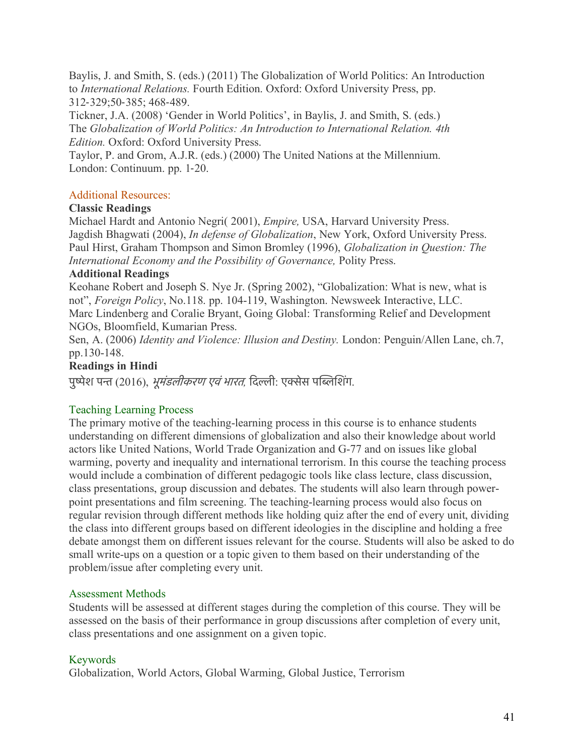Baylis, J. and Smith, S. (eds.) (2011) The Globalization of World Politics: An Introduction to *International Relations.* Fourth Edition. Oxford: Oxford University Press, pp. 312-329;50-385; 468-489.

Tickner, J.A. (2008) 'Gender in World Politics', in Baylis, J. and Smith, S. (eds.) The *Globalization of World Politics: An Introduction to International Relation. 4th Edition.* Oxford: Oxford University Press.

Taylor, P. and Grom, A.J.R. (eds.) (2000) The United Nations at the Millennium. London: Continuum. pp. 1-20.

# Additional Resources:

# **Classic Readings**

Michael Hardt and Antonio Negri( 2001), *Empire,* USA, Harvard University Press. Jagdish Bhagwati (2004), *In defense of Globalization*, New York, Oxford University Press. Paul Hirst, Graham Thompson and Simon Bromley (1996), *Globalization in Question: The International Economy and the Possibility of Governance,* Polity Press.

# **Additional Readings**

Keohane Robert and Joseph S. Nye Jr. (Spring 2002), "Globalization: What is new, what is not", *Foreign Policy*, No.118. pp. 104-119, Washington. Newsweek Interactive, LLC. Marc Lindenberg and Coralie Bryant, Going Global: Transforming Relief and Development NGOs, Bloomfield, Kumarian Press.

Sen, A. (2006) *Identity and Violence: Illusion and Destiny.* London: Penguin/Allen Lane, ch.7, pp.130-148.

# **Readings in Hindi**

पुष्पेश पन्त (2016), *भूमंडलीकरण एवं भारत*, दिल्ली: एक्सेस पब्लिशिंग.

# Teaching Learning Process

The primary motive of the teaching-learning process in this course is to enhance students understanding on different dimensions of globalization and also their knowledge about world actors like United Nations, World Trade Organization and G-77 and on issues like global warming, poverty and inequality and international terrorism. In this course the teaching process would include a combination of different pedagogic tools like class lecture, class discussion, class presentations, group discussion and debates. The students will also learn through powerpoint presentations and film screening. The teaching-learning process would also focus on regular revision through different methods like holding quiz after the end of every unit, dividing the class into different groups based on different ideologies in the discipline and holding a free debate amongst them on different issues relevant for the course. Students will also be asked to do small write-ups on a question or a topic given to them based on their understanding of the problem/issue after completing every unit.

# Assessment Methods

Students will be assessed at different stages during the completion of this course. They will be assessed on the basis of their performance in group discussions after completion of every unit, class presentations and one assignment on a given topic.

# Keywords

Globalization, World Actors, Global Warming, Global Justice, Terrorism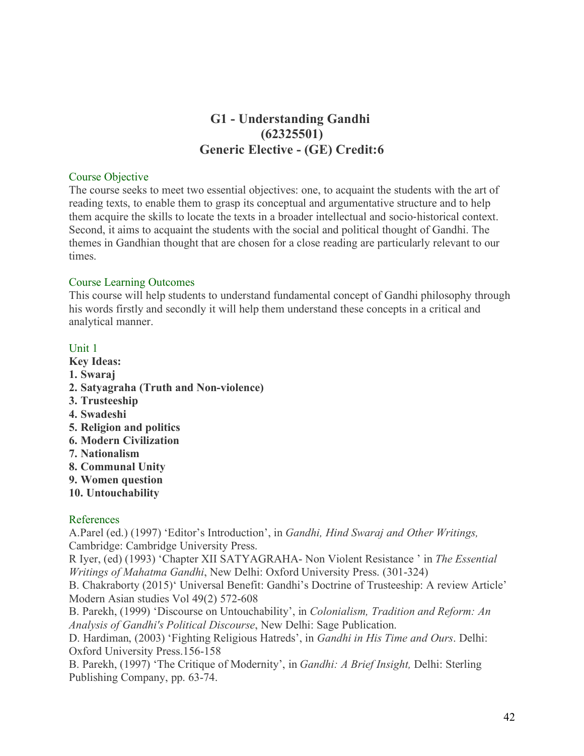# **G1 - Understanding Gandhi (62325501) Generic Elective - (GE) Credit:6**

#### Course Objective

The course seeks to meet two essential objectives: one, to acquaint the students with the art of reading texts, to enable them to grasp its conceptual and argumentative structure and to help them acquire the skills to locate the texts in a broader intellectual and socio-historical context. Second, it aims to acquaint the students with the social and political thought of Gandhi. The themes in Gandhian thought that are chosen for a close reading are particularly relevant to our times.

#### Course Learning Outcomes

This course will help students to understand fundamental concept of Gandhi philosophy through his words firstly and secondly it will help them understand these concepts in a critical and analytical manner.

#### Unit 1

- **Key Ideas: 1. Swaraj**
- **2. Satyagraha (Truth and Non-violence)**
- **3. Trusteeship**
- **4. Swadeshi**
- **5. Religion and politics**
- **6. Modern Civilization**
- **7. Nationalism**
- **8. Communal Unity**
- **9. Women question**
- **10. Untouchability**

# References

A.Parel (ed.) (1997) 'Editor's Introduction', in *Gandhi, Hind Swaraj and Other Writings,*  Cambridge: Cambridge University Press.

R Iyer, (ed) (1993) 'Chapter XII SATYAGRAHA- Non Violent Resistance ' in *The Essential Writings of Mahatma Gandhi*, New Delhi: Oxford University Press. (301-324)

B. Chakraborty (2015)' Universal Benefit: Gandhi's Doctrine of Trusteeship: A review Article' Modern Asian studies Vol 49(2) 572-608

B. Parekh, (1999) 'Discourse on Untouchability', in *Colonialism, Tradition and Reform: An Analysis of Gandhi's Political Discourse*, New Delhi: Sage Publication.

D. Hardiman, (2003) 'Fighting Religious Hatreds', in *Gandhi in His Time and Ours*. Delhi: Oxford University Press.156-158

B. Parekh, (1997) 'The Critique of Modernity', in *Gandhi: A Brief Insight,* Delhi: Sterling Publishing Company, pp. 63-74.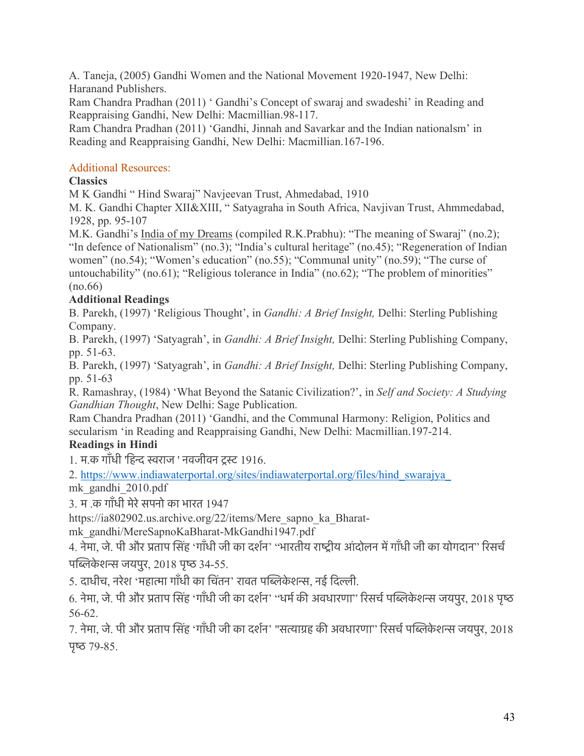A. Taneja, (2005) Gandhi Women and the National Movement 1920-1947, New Delhi: Haranand Publishers.

Ram Chandra Pradhan (2011) ' Gandhi's Concept of swaraj and swadeshi' in Reading and Reappraising Gandhi, New Delhi: Macmillian.98-117.

Ram Chandra Pradhan (2011) 'Gandhi, Jinnah and Savarkar and the Indian nationalsm' in Reading and Reappraising Gandhi, New Delhi: Macmillian.167-196.

# Additional Resources:

# **Classics**

M K Gandhi " Hind Swaraj" Navjeevan Trust, Ahmedabad, 1910

M. K. Gandhi Chapter XII&XIII, " Satyagraha in South Africa, Navjivan Trust, Ahmmedabad, 1928, pp. 95-107

M.K. Gandhi's India of my Dreams (compiled R.K.Prabhu): "The meaning of Swaraj" (no.2); "In defence of Nationalism" (no.3); "India's cultural heritage" (no.45); "Regeneration of Indian women" (no.54); "Women's education" (no.55); "Communal unity" (no.59); "The curse of untouchability" (no.61); "Religious tolerance in India" (no.62); "The problem of minorities" (no.66)

# **Additional Readings**

B. Parekh, (1997) 'Religious Thought', in *Gandhi: A Brief Insight,* Delhi: Sterling Publishing Company.

B. Parekh, (1997) 'Satyagrah', in *Gandhi: A Brief Insight,* Delhi: Sterling Publishing Company, pp. 51-63.

B. Parekh, (1997) 'Satyagrah', in *Gandhi: A Brief Insight,* Delhi: Sterling Publishing Company, pp. 51-63

R. Ramashray, (1984) 'What Beyond the Satanic Civilization?', in *Self and Society: A Studying Gandhian Thought*, New Delhi: Sage Publication.

Ram Chandra Pradhan (2011) 'Gandhi, and the Communal Harmony: Religion, Politics and secularism 'in Reading and Reappraising Gandhi, New Delhi: Macmillian.197-214.

# **Readings in Hindi**

1. म.क गाँधी 'िहन सराज ' नवजीवन टस 1916.

2. https://www.indiawaterportal.org/sites/indiawaterportal.org/files/hind\_swarajya\_

mk\_gandhi\_2010.pdf

3. म .क गाँधी मेरेसपनो का भारत 1947

https://ia802902.us.archive.org/22/items/Mere\_sapno\_ka\_Bharat-

mk\_gandhi/MereSapnoKaBharat-MkGandhi1947.pdf

4. नेमा, जे. पी और प्रताप सिंह 'गाँधी जी का दर्शन' ''भारतीय राष्ट्रीय आंदोलन में गाँधी जी का योगदान'' रिसर्च पब्लिकेशन्स जयपुर,  $2018$  पृष्ठ  $34-55$ .

5. दाधीच, नरेश 'महात्मा गाँधी का चिंतन' रावत पब्लिकेशन्स, नई दिल्ली.

6. नेमा, जे. पी और प्रताप सिंह 'गाँधी जी का दर्शन' "धर्म की अवधारणा" रिसर्च पब्लिकेशन्स जयपुर, 2018 पृष्ठ 56-62.

7. नेमा, जे. पी और प्रताप सिंह 'गाँधी जी का दर्शन' "सत्याग्रह की अवधारणा" रिसर्च पब्लिकेशन्स जयपुर, 2018 पृष्ठ  $79-85$ .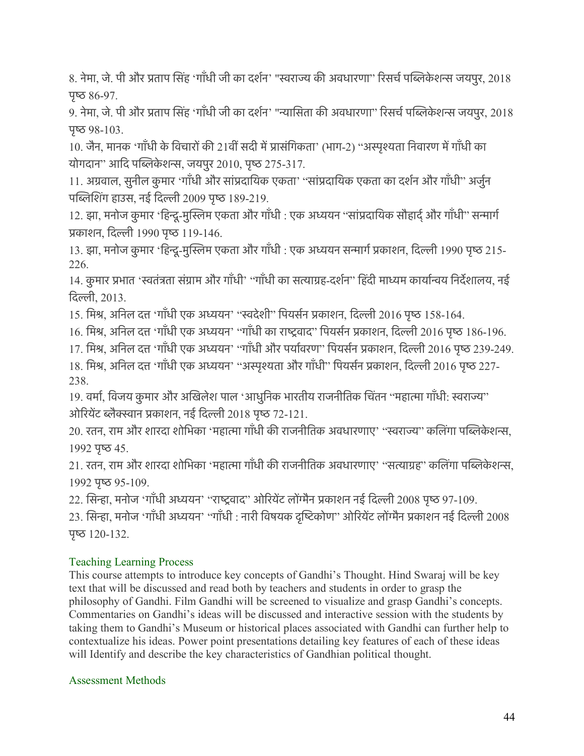8. नेमा, जे. पी और प्रताप सिंह 'गाँधी जी का दर्शन' "स्वराज्य की अवधारणा" रिसर्च पब्लिकेशन्स जयपुर, 2018 पृष्ठ  $86-97$ .

9. नेमा, जे. पी और प्रताप सिंह 'गाँधी जी का दर्शन' "न्यासिता की अवधारणा" रिसर्च पब्लिकेशन्स जयपुर, 2018  $\Psi$ छ 98-103.

10. जैन, मानक 'गाँधी के विचारों की 21वीं सदी में प्रासंगिकता' (भाग-2) "अस्पृश्यता निवारण में गाँधी का योगदान" आदि पब्लिकेशन्स, जयपुर 2010, पृष्ठ 275-317.

11. अग्रवाल, सुनील कुमार 'गाँधी और सांप्रदायिक एकता' ''सांप्रदायिक एकता का दर्शन और गाँधी'' अर्जुन पब्लिशिंग हाउस, नई दिल्ली 2009 पृष्ठ 189-219.

12. झा, मनोज कुमार 'हिन्दू-मुस्लिम एकता और गाँधी : एक अध्ययन "सांप्रदायिक सौहार्द् और गाँधी" सन्मार्ग प्रकाशन, दिल्ली 1990 पृष्ठ 119-146.

13. झा, मनोज कुमार 'हिन्दू-मुस्लिम एकता और गाँधी : एक अध्ययन सन्मार्ग प्रकाशन, दिल्ली 1990 पृष्ठ 215-226.

14. कुमार प्रभात 'स्वतंत्रता संग्राम और गाँधी' ''गाँधी का सत्याग्रह-दर्शन'' हिंदी माध्यम कार्यान्वय निर्देशालय, नई िदली, 2013.

15. मिश्र, अनिल दत्त 'गाँधी एक अध्ययन' "स्वदेशी" पियर्सन प्रकाशन, दिल्ली 2016 पृष्ठ 158-164.

16. मिश्र, अनिल दत्त 'गाँधी एक अध्ययन' "गाँधी का राष्ट्रवाद" पियर्सन प्रकाशन, दिल्ली 2016 पृष्ठ 186-196.

17. मिश्र, अनिल दत्त 'गाँधी एक अध्ययन' "गाँधी और पर्यावरण" पियर्सन प्रकाशन, दिल्ली 2016 पृष्ठ 239-249.

18. मिश्र, अनिल दत्त 'गाँधी एक अध्ययन' "अस्पृश्यता और गाँधी" पियर्सन प्रकाशन, दिल्ली 2016 पृष्ठ 227-238.

19. वर्मा, विजय कुमार और अखिलेश पाल 'आधुनिक भारतीय राजनीतिक चिंतन ''महात्मा गाँधी: स्वराज्य'' ओरियेंट ब्लैक्स्वान प्रकाशन, नई दिल्ली 2018 पृष्ठ 72-121.

20. रतन, राम और शारदा शोभिका 'महात्मा गाँधी की राजनीतिक अवधारणाए' "स्वराज्य" कलिंगा पब्लिकेशन्स, 1992 पृष्ठ 45.

21. रतन, राम और शारदा शोभिका 'महात्मा गाँधी की राजनीतिक अवधारणाए' ''सत्याग्रह'' कलिंगा पब्लिकेशन्स, 1992 पृष्ठ 95-109.

22. सिन्हा, मनोज 'गाँधी अध्ययन' "राष्ट्रवाद" ओरियेंट लोंग्मैन प्रकाशन नई दिल्ली 2008 पृष्ठ 97-109.

23. सिन्हा, मनोज 'गाँधी अध्ययन' ''गाँधी : नारी विषयक दृष्टिकोण'' ओरियेंट लोंग्मैन प्रकाशन नई दिल्ली 2008 पृष्ठ  $120-132$ .

# Teaching Learning Process

This course attempts to introduce key concepts of Gandhi's Thought. Hind Swaraj will be key text that will be discussed and read both by teachers and students in order to grasp the philosophy of Gandhi. Film Gandhi will be screened to visualize and grasp Gandhi's concepts. Commentaries on Gandhi's ideas will be discussed and interactive session with the students by taking them to Gandhi's Museum or historical places associated with Gandhi can further help to contextualize his ideas. Power point presentations detailing key features of each of these ideas will Identify and describe the key characteristics of Gandhian political thought.

# Assessment Methods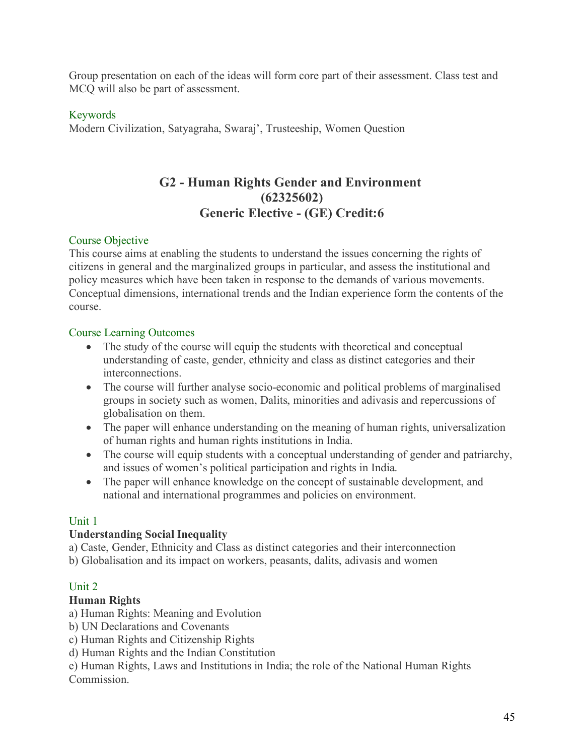Group presentation on each of the ideas will form core part of their assessment. Class test and MCQ will also be part of assessment.

### Keywords

Modern Civilization, Satyagraha, Swaraj', Trusteeship, Women Question

# **G2 - Human Rights Gender and Environment (62325602) Generic Elective - (GE) Credit:6**

#### Course Objective

This course aims at enabling the students to understand the issues concerning the rights of citizens in general and the marginalized groups in particular, and assess the institutional and policy measures which have been taken in response to the demands of various movements. Conceptual dimensions, international trends and the Indian experience form the contents of the course.

#### Course Learning Outcomes

- The study of the course will equip the students with theoretical and conceptual understanding of caste, gender, ethnicity and class as distinct categories and their interconnections.
- The course will further analyse socio-economic and political problems of marginalised groups in society such as women, Dalits, minorities and adivasis and repercussions of globalisation on them.
- The paper will enhance understanding on the meaning of human rights, universalization of human rights and human rights institutions in India.
- The course will equip students with a conceptual understanding of gender and patriarchy, and issues of women's political participation and rights in India.
- The paper will enhance knowledge on the concept of sustainable development, and national and international programmes and policies on environment.

#### Unit 1

#### **Understanding Social Inequality**

a) Caste, Gender, Ethnicity and Class as distinct categories and their interconnection

b) Globalisation and its impact on workers, peasants, dalits, adivasis and women

# Unit 2

# **Human Rights**

- a) Human Rights: Meaning and Evolution
- b) UN Declarations and Covenants
- c) Human Rights and Citizenship Rights
- d) Human Rights and the Indian Constitution

e) Human Rights, Laws and Institutions in India; the role of the National Human Rights **Commission**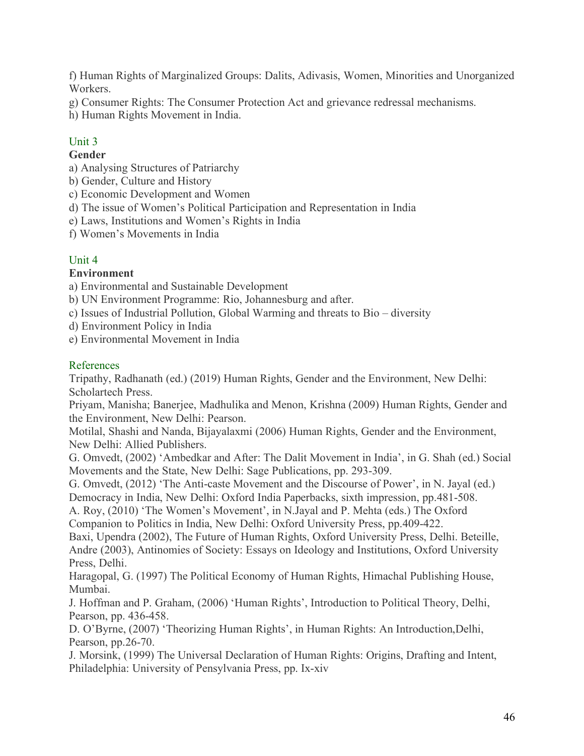f) Human Rights of Marginalized Groups: Dalits, Adivasis, Women, Minorities and Unorganized Workers.

- g) Consumer Rights: The Consumer Protection Act and grievance redressal mechanisms.
- h) Human Rights Movement in India.

# Unit 3

# **Gender**

- a) Analysing Structures of Patriarchy
- b) Gender, Culture and History
- c) Economic Development and Women
- d) The issue of Women's Political Participation and Representation in India
- e) Laws, Institutions and Women's Rights in India
- f) Women's Movements in India

# Unit 4

# **Environment**

a) Environmental and Sustainable Development

b) UN Environment Programme: Rio, Johannesburg and after.

- c) Issues of Industrial Pollution, Global Warming and threats to Bio diversity
- d) Environment Policy in India
- e) Environmental Movement in India

# References

Tripathy, Radhanath (ed.) (2019) Human Rights, Gender and the Environment, New Delhi: Scholartech Press.

Priyam, Manisha; Banerjee, Madhulika and Menon, Krishna (2009) Human Rights, Gender and the Environment, New Delhi: Pearson.

Motilal, Shashi and Nanda, Bijayalaxmi (2006) Human Rights, Gender and the Environment, New Delhi: Allied Publishers.

G. Omvedt, (2002) 'Ambedkar and After: The Dalit Movement in India', in G. Shah (ed.) Social Movements and the State, New Delhi: Sage Publications, pp. 293-309.

G. Omvedt, (2012) 'The Anti-caste Movement and the Discourse of Power', in N. Jayal (ed.)

Democracy in India, New Delhi: Oxford India Paperbacks, sixth impression, pp.481-508.

A. Roy, (2010) 'The Women's Movement', in N.Jayal and P. Mehta (eds.) The Oxford Companion to Politics in India, New Delhi: Oxford University Press, pp.409-422.

Baxi, Upendra (2002), The Future of Human Rights, Oxford University Press, Delhi. Beteille, Andre (2003), Antinomies of Society: Essays on Ideology and Institutions, Oxford University Press, Delhi.

Haragopal, G. (1997) The Political Economy of Human Rights, Himachal Publishing House, Mumbai.

J. Hoffman and P. Graham, (2006) 'Human Rights', Introduction to Political Theory, Delhi, Pearson, pp. 436-458.

D. O'Byrne, (2007) 'Theorizing Human Rights', in Human Rights: An Introduction,Delhi, Pearson, pp.26-70.

J. Morsink, (1999) The Universal Declaration of Human Rights: Origins, Drafting and Intent, Philadelphia: University of Pensylvania Press, pp. Ix-xiv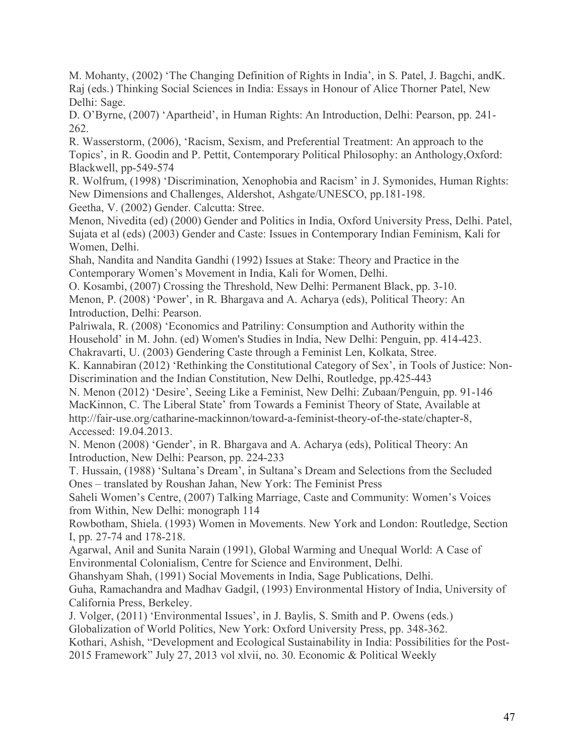M. Mohanty, (2002) 'The Changing Definition of Rights in India', in S. Patel, J. Bagchi, andK. Raj (eds.) Thinking Social Sciences in India: Essays in Honour of Alice Thorner Patel, New Delhi: Sage.

D. O'Byrne, (2007) 'Apartheid', in Human Rights: An Introduction, Delhi: Pearson, pp. 241- 262.

R. Wasserstorm, (2006), 'Racism, Sexism, and Preferential Treatment: An approach to the Topics', in R. Goodin and P. Pettit, Contemporary Political Philosophy: an Anthology,Oxford: Blackwell, pp-549-574

R. Wolfrum, (1998) 'Discrimination, Xenophobia and Racism' in J. Symonides, Human Rights: New Dimensions and Challenges, Aldershot, Ashgate/UNESCO, pp.181-198. Geetha, V. (2002) Gender. Calcutta: Stree.

Menon, Nivedita (ed) (2000) Gender and Politics in India, Oxford University Press, Delhi. Patel, Sujata et al (eds) (2003) Gender and Caste: Issues in Contemporary Indian Feminism, Kali for Women, Delhi.

Shah, Nandita and Nandita Gandhi (1992) Issues at Stake: Theory and Practice in the Contemporary Women's Movement in India, Kali for Women, Delhi.

O. Kosambi, (2007) Crossing the Threshold, New Delhi: Permanent Black, pp. 3-10. Menon, P. (2008) 'Power', in R. Bhargava and A. Acharya (eds), Political Theory: An Introduction, Delhi: Pearson.

Palriwala, R. (2008) 'Economics and Patriliny: Consumption and Authority within the Household' in M. John. (ed) Women's Studies in India, New Delhi: Penguin, pp. 414-423.

Chakravarti, U. (2003) Gendering Caste through a Feminist Len, Kolkata, Stree.

K. Kannabiran (2012) 'Rethinking the Constitutional Category of Sex', in Tools of Justice: Non-Discrimination and the Indian Constitution, New Delhi, Routledge, pp.425-443

N. Menon (2012) 'Desire', Seeing Like a Feminist, New Delhi: Zubaan/Penguin, pp. 91-146 MacKinnon, C. The Liberal State' from Towards a Feminist Theory of State, Available at http://fair-use.org/catharine-mackinnon/toward-a-feminist-theory-of-the-state/chapter-8, Accessed: 19.04.2013.

N. Menon (2008) 'Gender', in R. Bhargava and A. Acharya (eds), Political Theory: An Introduction, New Delhi: Pearson, pp. 224-233

T. Hussain, (1988) 'Sultana's Dream', in Sultana's Dream and Selections from the Secluded Ones – translated by Roushan Jahan, New York: The Feminist Press

Saheli Women's Centre, (2007) Talking Marriage, Caste and Community: Women's Voices from Within, New Delhi: monograph 114

Rowbotham, Shiela. (1993) Women in Movements. New York and London: Routledge, Section I, pp. 27-74 and 178-218.

Agarwal, Anil and Sunita Narain (1991), Global Warming and Unequal World: A Case of Environmental Colonialism, Centre for Science and Environment, Delhi.

Ghanshyam Shah, (1991) Social Movements in India, Sage Publications, Delhi.

Guha, Ramachandra and Madhav Gadgil, (1993) Environmental History of India, University of California Press, Berkeley.

J. Volger, (2011) 'Environmental Issues', in J. Baylis, S. Smith and P. Owens (eds.)

Globalization of World Politics, New York: Oxford University Press, pp. 348-362.

Kothari, Ashish, "Development and Ecological Sustainability in India: Possibilities for the Post-2015 Framework" July 27, 2013 vol xlvii, no. 30. Economic & Political Weekly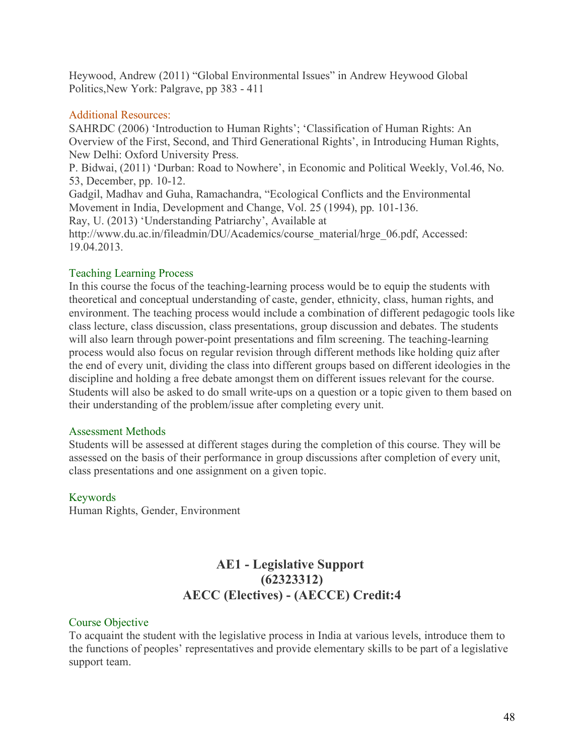Heywood, Andrew (2011) "Global Environmental Issues" in Andrew Heywood Global Politics,New York: Palgrave, pp 383 - 411

#### Additional Resources:

SAHRDC (2006) 'Introduction to Human Rights'; 'Classification of Human Rights: An Overview of the First, Second, and Third Generational Rights', in Introducing Human Rights, New Delhi: Oxford University Press. P. Bidwai, (2011) 'Durban: Road to Nowhere', in Economic and Political Weekly, Vol.46, No. 53, December, pp. 10-12. Gadgil, Madhav and Guha, Ramachandra, "Ecological Conflicts and the Environmental Movement in India, Development and Change, Vol. 25 (1994), pp. 101-136. Ray, U. (2013) 'Understanding Patriarchy', Available at http://www.du.ac.in/fileadmin/DU/Academics/course\_material/hrge\_06.pdf, Accessed: 19.04.2013.

# Teaching Learning Process

In this course the focus of the teaching-learning process would be to equip the students with theoretical and conceptual understanding of caste, gender, ethnicity, class, human rights, and environment. The teaching process would include a combination of different pedagogic tools like class lecture, class discussion, class presentations, group discussion and debates. The students will also learn through power-point presentations and film screening. The teaching-learning process would also focus on regular revision through different methods like holding quiz after the end of every unit, dividing the class into different groups based on different ideologies in the discipline and holding a free debate amongst them on different issues relevant for the course. Students will also be asked to do small write-ups on a question or a topic given to them based on their understanding of the problem/issue after completing every unit.

#### Assessment Methods

Students will be assessed at different stages during the completion of this course. They will be assessed on the basis of their performance in group discussions after completion of every unit, class presentations and one assignment on a given topic.

# Keywords

Human Rights, Gender, Environment

# **AE1 - Legislative Support (62323312) AECC (Electives) - (AECCE) Credit:4**

# Course Objective

To acquaint the student with the legislative process in India at various levels, introduce them to the functions of peoples' representatives and provide elementary skills to be part of a legislative support team.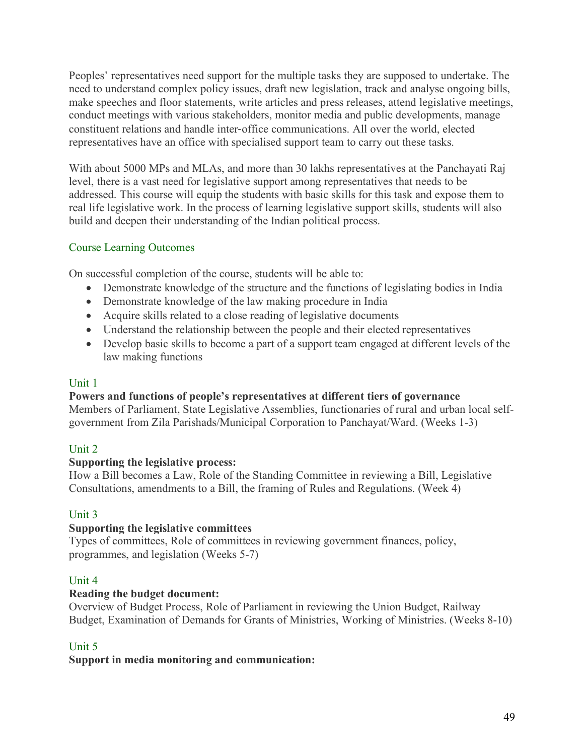Peoples' representatives need support for the multiple tasks they are supposed to undertake. The need to understand complex policy issues, draft new legislation, track and analyse ongoing bills, make speeches and floor statements, write articles and press releases, attend legislative meetings, conduct meetings with various stakeholders, monitor media and public developments, manage constituent relations and handle inter-office communications. All over the world, elected representatives have an office with specialised support team to carry out these tasks.

With about 5000 MPs and MLAs, and more than 30 lakhs representatives at the Panchayati Raj level, there is a vast need for legislative support among representatives that needs to be addressed. This course will equip the students with basic skills for this task and expose them to real life legislative work. In the process of learning legislative support skills, students will also build and deepen their understanding of the Indian political process.

# Course Learning Outcomes

On successful completion of the course, students will be able to:

- Demonstrate knowledge of the structure and the functions of legislating bodies in India
- Demonstrate knowledge of the law making procedure in India
- Acquire skills related to a close reading of legislative documents
- Understand the relationship between the people and their elected representatives
- Develop basic skills to become a part of a support team engaged at different levels of the law making functions

# Unit 1

# **Powers and functions of people's representatives at different tiers of governance**

Members of Parliament, State Legislative Assemblies, functionaries of rural and urban local selfgovernment from Zila Parishads/Municipal Corporation to Panchayat/Ward. (Weeks 1-3)

# Unit 2

# **Supporting the legislative process:**

How a Bill becomes a Law, Role of the Standing Committee in reviewing a Bill, Legislative Consultations, amendments to a Bill, the framing of Rules and Regulations. (Week 4)

# Unit 3

# **Supporting the legislative committees**

Types of committees, Role of committees in reviewing government finances, policy, programmes, and legislation (Weeks 5-7)

# Unit 4

# **Reading the budget document:**

Overview of Budget Process, Role of Parliament in reviewing the Union Budget, Railway Budget, Examination of Demands for Grants of Ministries, Working of Ministries. (Weeks 8-10)

# Unit 5

# **Support in media monitoring and communication:**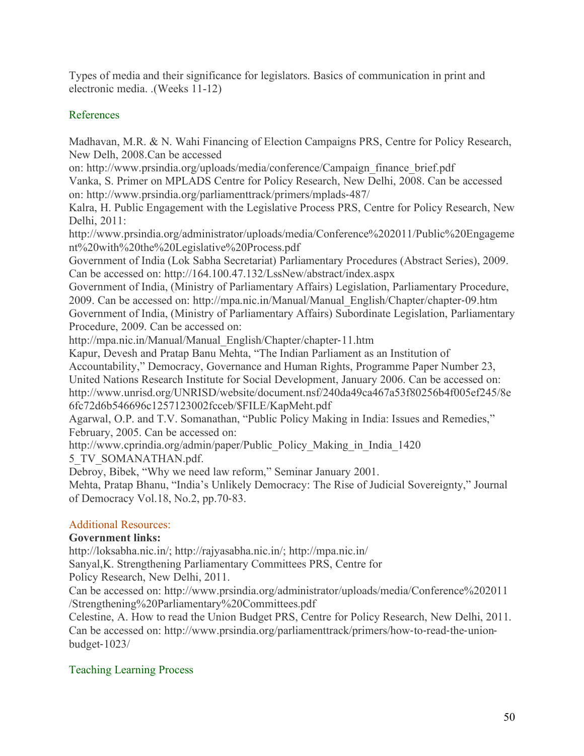Types of media and their significance for legislators. Basics of communication in print and electronic media. .(Weeks 11-12)

# References

Madhavan, M.R. & N. Wahi Financing of Election Campaigns PRS, Centre for Policy Research, New Delh, 2008.Can be accessed

on: http://www.prsindia.org/uploads/media/conference/Campaign\_finance\_brief.pdf Vanka, S. Primer on MPLADS Centre for Policy Research, New Delhi, 2008. Can be accessed on: http://www.prsindia.org/parliamenttrack/primers/mplads-487/

Kalra, H. Public Engagement with the Legislative Process PRS, Centre for Policy Research, New Delhi, 2011:

http://www.prsindia.org/administrator/uploads/media/Conference%202011/Public%20Engageme nt%20with%20the%20Legislative%20Process.pdf

Government of India (Lok Sabha Secretariat) Parliamentary Procedures (Abstract Series), 2009. Can be accessed on: http://164.100.47.132/LssNew/abstract/index.aspx

Government of India, (Ministry of Parliamentary Affairs) Legislation, Parliamentary Procedure, 2009. Can be accessed on: http://mpa.nic.in/Manual/Manual\_English/Chapter/chapter-09.htm Government of India, (Ministry of Parliamentary Affairs) Subordinate Legislation, Parliamentary Procedure, 2009. Can be accessed on:

http://mpa.nic.in/Manual/Manual\_English/Chapter/chapter-11.htm

Kapur, Devesh and Pratap Banu Mehta, "The Indian Parliament as an Institution of

Accountability," Democracy, Governance and Human Rights, Programme Paper Number 23,

United Nations Research Institute for Social Development, January 2006. Can be accessed on:

http://www.unrisd.org/UNRISD/website/document.nsf/240da49ca467a53f80256b4f005ef245/8e 6fc72d6b546696c1257123002fcceb/\$FILE/KapMeht.pdf

Agarwal, O.P. and T.V. Somanathan, "Public Policy Making in India: Issues and Remedies," February, 2005. Can be accessed on:

http://www.cprindia.org/admin/paper/Public\_Policy\_Making\_in\_India\_1420

5\_TV\_SOMANATHAN.pdf.

Debroy, Bibek, "Why we need law reform," Seminar January 2001.

Mehta, Pratap Bhanu, "India's Unlikely Democracy: The Rise of Judicial Sovereignty," Journal of Democracy Vol.18, No.2, pp.70-83.

# Additional Resources:

# **Government links:**

http://loksabha.nic.in/; http://rajyasabha.nic.in/; http://mpa.nic.in/

Sanyal,K. Strengthening Parliamentary Committees PRS, Centre for

Policy Research, New Delhi, 2011.

Can be accessed on: http://www.prsindia.org/administrator/uploads/media/Conference%202011 /Strengthening%20Parliamentary%20Committees.pdf

Celestine, A. How to read the Union Budget PRS, Centre for Policy Research, New Delhi, 2011. Can be accessed on: http://www.prsindia.org/parliamenttrack/primers/how-to-read-the-unionbudget-1023/

# Teaching Learning Process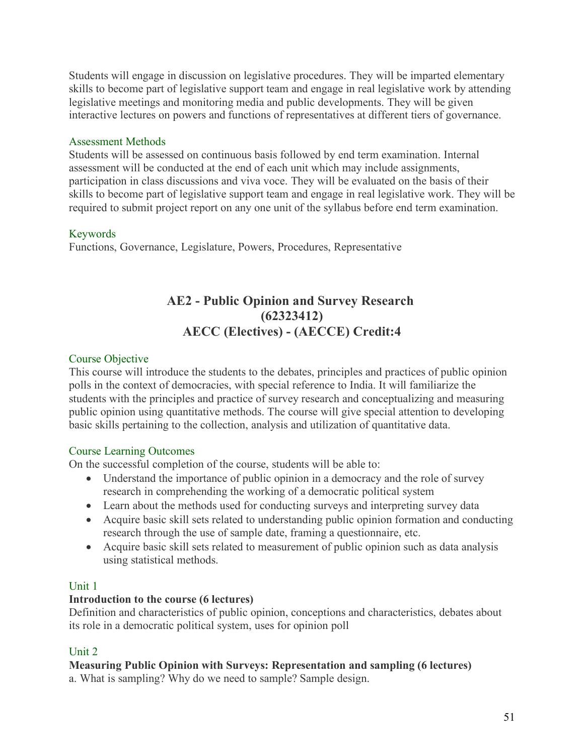Students will engage in discussion on legislative procedures. They will be imparted elementary skills to become part of legislative support team and engage in real legislative work by attending legislative meetings and monitoring media and public developments. They will be given interactive lectures on powers and functions of representatives at different tiers of governance.

# Assessment Methods

Students will be assessed on continuous basis followed by end term examination. Internal assessment will be conducted at the end of each unit which may include assignments, participation in class discussions and viva voce. They will be evaluated on the basis of their skills to become part of legislative support team and engage in real legislative work. They will be required to submit project report on any one unit of the syllabus before end term examination.

# Keywords

Functions, Governance, Legislature, Powers, Procedures, Representative

# **AE2 - Public Opinion and Survey Research (62323412) AECC (Electives) - (AECCE) Credit:4**

# Course Objective

This course will introduce the students to the debates, principles and practices of public opinion polls in the context of democracies, with special reference to India. It will familiarize the students with the principles and practice of survey research and conceptualizing and measuring public opinion using quantitative methods. The course will give special attention to developing basic skills pertaining to the collection, analysis and utilization of quantitative data.

# Course Learning Outcomes

On the successful completion of the course, students will be able to:

- Understand the importance of public opinion in a democracy and the role of survey research in comprehending the working of a democratic political system
- Learn about the methods used for conducting surveys and interpreting survey data
- Acquire basic skill sets related to understanding public opinion formation and conducting research through the use of sample date, framing a questionnaire, etc.
- Acquire basic skill sets related to measurement of public opinion such as data analysis using statistical methods.

# Unit 1

# **Introduction to the course (6 lectures)**

Definition and characteristics of public opinion, conceptions and characteristics, debates about its role in a democratic political system, uses for opinion poll

# Unit 2

# **Measuring Public Opinion with Surveys: Representation and sampling (6 lectures)**

a. What is sampling? Why do we need to sample? Sample design.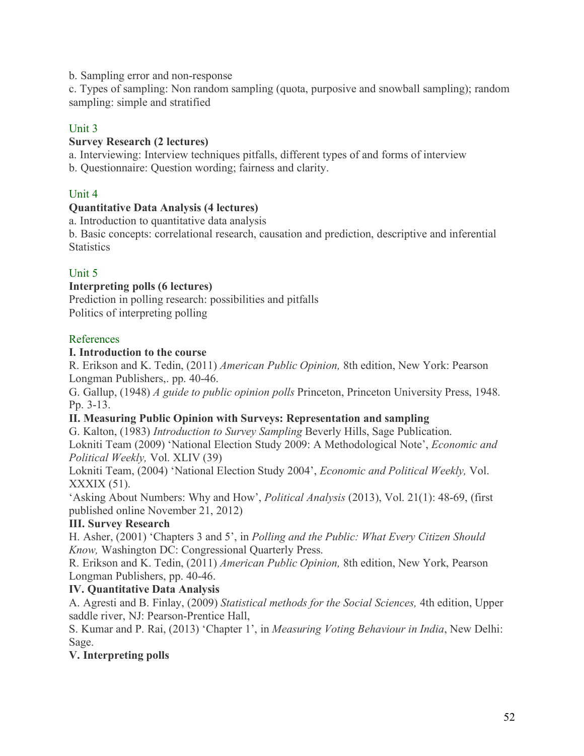b. Sampling error and non-response

c. Types of sampling: Non random sampling (quota, purposive and snowball sampling); random sampling: simple and stratified

# Unit 3

# **Survey Research (2 lectures)**

a. Interviewing: Interview techniques pitfalls, different types of and forms of interview

b. Questionnaire: Question wording; fairness and clarity.

# Unit 4

# **Quantitative Data Analysis (4 lectures)**

a. Introduction to quantitative data analysis

b. Basic concepts: correlational research, causation and prediction, descriptive and inferential **Statistics** 

# Unit 5

# **Interpreting polls (6 lectures)**

Prediction in polling research: possibilities and pitfalls Politics of interpreting polling

# References

# **I. Introduction to the course**

R. Erikson and K. Tedin, (2011) *American Public Opinion,* 8th edition, New York: Pearson Longman Publishers,. pp. 40-46.

G. Gallup, (1948) *A guide to public opinion polls* Princeton, Princeton University Press, 1948. Pp. 3-13.

# **II. Measuring Public Opinion with Surveys: Representation and sampling**

G. Kalton, (1983) *Introduction to Survey Sampling* Beverly Hills, Sage Publication.

Lokniti Team (2009) 'National Election Study 2009: A Methodological Note', *Economic and Political Weekly,* Vol. XLIV (39)

Lokniti Team, (2004) 'National Election Study 2004', *Economic and Political Weekly,* Vol. XXXIX (51).

'Asking About Numbers: Why and How', *Political Analysis* (2013), Vol. 21(1): 48-69, (first published online November 21, 2012)

# **III. Survey Research**

H. Asher, (2001) 'Chapters 3 and 5', in *Polling and the Public: What Every Citizen Should Know,* Washington DC: Congressional Quarterly Press.

R. Erikson and K. Tedin, (2011) *American Public Opinion,* 8th edition, New York, Pearson Longman Publishers, pp. 40-46.

# **IV. Quantitative Data Analysis**

A. Agresti and B. Finlay, (2009) *Statistical methods for the Social Sciences,* 4th edition, Upper saddle river, NJ: Pearson-Prentice Hall,

S. Kumar and P. Rai, (2013) 'Chapter 1', in *Measuring Voting Behaviour in India*, New Delhi: Sage.

# **V. Interpreting polls**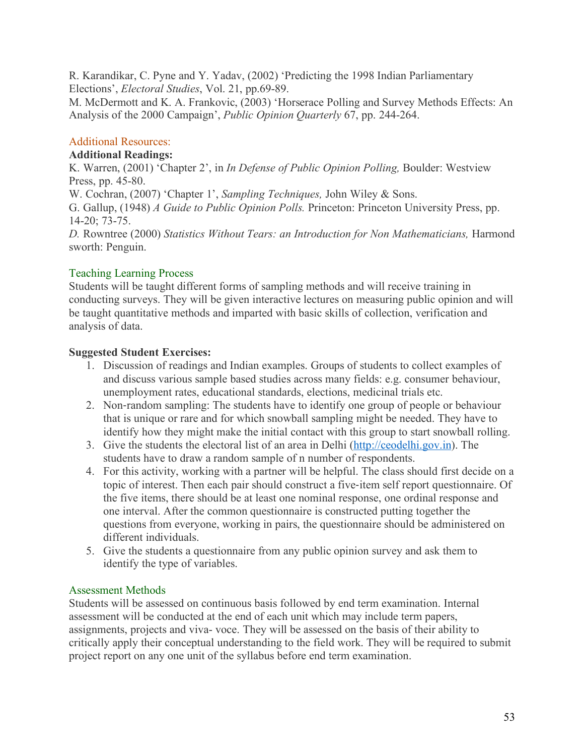R. Karandikar, C. Pyne and Y. Yadav, (2002) 'Predicting the 1998 Indian Parliamentary Elections', *Electoral Studies*, Vol. 21, pp.69-89.

M. McDermott and K. A. Frankovic, (2003) 'Horserace Polling and Survey Methods Effects: An Analysis of the 2000 Campaign', *Public Opinion Quarterly* 67, pp. 244-264.

# Additional Resources:

#### **Additional Readings:**

K. Warren, (2001) 'Chapter 2', in *In Defense of Public Opinion Polling,* Boulder: Westview Press, pp. 45-80.

W. Cochran, (2007) 'Chapter 1', *Sampling Techniques,* John Wiley & Sons.

G. Gallup, (1948) *A Guide to Public Opinion Polls.* Princeton: Princeton University Press, pp. 14-20; 73-75.

*D.* Rowntree (2000) *Statistics Without Tears: an Introduction for Non Mathematicians,* Harmond sworth: Penguin.

# Teaching Learning Process

Students will be taught different forms of sampling methods and will receive training in conducting surveys. They will be given interactive lectures on measuring public opinion and will be taught quantitative methods and imparted with basic skills of collection, verification and analysis of data.

# **Suggested Student Exercises:**

- 1. Discussion of readings and Indian examples. Groups of students to collect examples of and discuss various sample based studies across many fields: e.g. consumer behaviour, unemployment rates, educational standards, elections, medicinal trials etc.
- 2. Non-random sampling: The students have to identify one group of people or behaviour that is unique or rare and for which snowball sampling might be needed. They have to identify how they might make the initial contact with this group to start snowball rolling.
- 3. Give the students the electoral list of an area in Delhi (http://ceodelhi.gov.in). The students have to draw a random sample of n number of respondents.
- 4. For this activity, working with a partner will be helpful. The class should first decide on a topic of interest. Then each pair should construct a five-item self report questionnaire. Of the five items, there should be at least one nominal response, one ordinal response and one interval. After the common questionnaire is constructed putting together the questions from everyone, working in pairs, the questionnaire should be administered on different individuals.
- 5. Give the students a questionnaire from any public opinion survey and ask them to identify the type of variables.

# Assessment Methods

Students will be assessed on continuous basis followed by end term examination. Internal assessment will be conducted at the end of each unit which may include term papers, assignments, projects and viva- voce. They will be assessed on the basis of their ability to critically apply their conceptual understanding to the field work. They will be required to submit project report on any one unit of the syllabus before end term examination.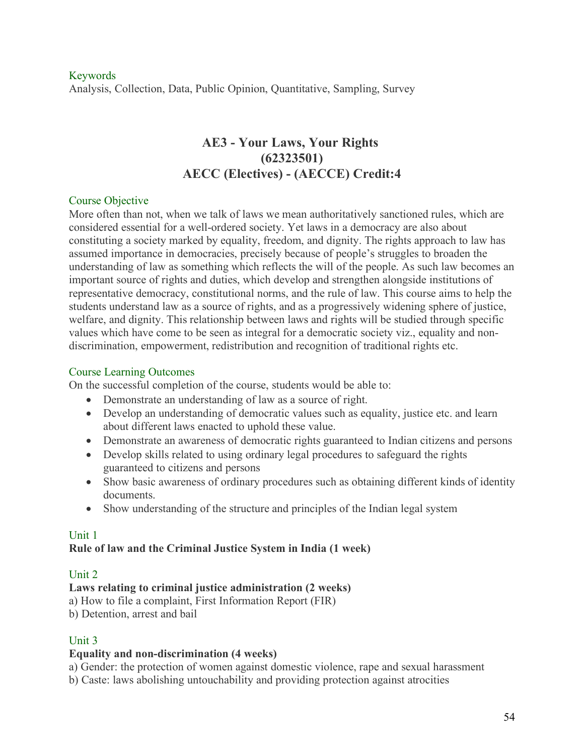# Keywords Analysis, Collection, Data, Public Opinion, Quantitative, Sampling, Survey

# **AE3 - Your Laws, Your Rights (62323501) AECC (Electives) - (AECCE) Credit:4**

#### Course Objective

More often than not, when we talk of laws we mean authoritatively sanctioned rules, which are considered essential for a well-ordered society. Yet laws in a democracy are also about constituting a society marked by equality, freedom, and dignity. The rights approach to law has assumed importance in democracies, precisely because of people's struggles to broaden the understanding of law as something which reflects the will of the people. As such law becomes an important source of rights and duties, which develop and strengthen alongside institutions of representative democracy, constitutional norms, and the rule of law. This course aims to help the students understand law as a source of rights, and as a progressively widening sphere of justice, welfare, and dignity. This relationship between laws and rights will be studied through specific values which have come to be seen as integral for a democratic society viz., equality and nondiscrimination, empowerment, redistribution and recognition of traditional rights etc.

### Course Learning Outcomes

On the successful completion of the course, students would be able to:

- Demonstrate an understanding of law as a source of right.
- Develop an understanding of democratic values such as equality, justice etc. and learn about different laws enacted to uphold these value.
- Demonstrate an awareness of democratic rights guaranteed to Indian citizens and persons
- Develop skills related to using ordinary legal procedures to safeguard the rights guaranteed to citizens and persons
- Show basic awareness of ordinary procedures such as obtaining different kinds of identity documents.
- Show understanding of the structure and principles of the Indian legal system

# Unit 1

# **Rule of law and the Criminal Justice System in India (1 week)**

# Unit 2

# **Laws relating to criminal justice administration (2 weeks)**

a) How to file a complaint, First Information Report (FIR)

b) Detention, arrest and bail

# Unit 3

# **Equality and non-discrimination (4 weeks)**

a) Gender: the protection of women against domestic violence, rape and sexual harassment

b) Caste: laws abolishing untouchability and providing protection against atrocities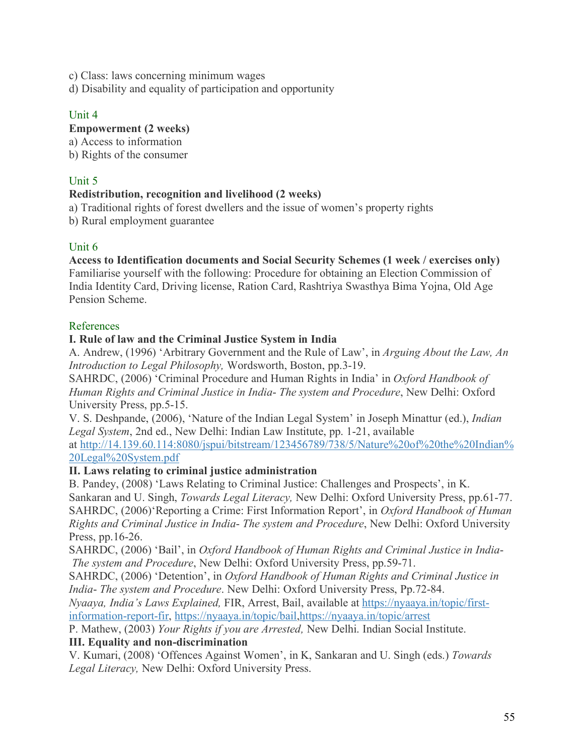c) Class: laws concerning minimum wages

d) Disability and equality of participation and opportunity

# Unit 4

# **Empowerment (2 weeks)**

a) Access to information

b) Rights of the consumer

# Unit 5

# **Redistribution, recognition and livelihood (2 weeks)**

a) Traditional rights of forest dwellers and the issue of women's property rights

b) Rural employment guarantee

# Unit 6

# **Access to Identification documents and Social Security Schemes (1 week / exercises only)**

Familiarise yourself with the following: Procedure for obtaining an Election Commission of India Identity Card, Driving license, Ration Card, Rashtriya Swasthya Bima Yojna, Old Age Pension Scheme.

# References

# **I. Rule of law and the Criminal Justice System in India**

A. Andrew, (1996) 'Arbitrary Government and the Rule of Law', in *Arguing About the Law, An Introduction to Legal Philosophy,* Wordsworth, Boston, pp.3-19.

SAHRDC, (2006) 'Criminal Procedure and Human Rights in India' in *Oxford Handbook of Human Rights and Criminal Justice in India*- *The system and Procedure*, New Delhi: Oxford University Press, pp.5-15.

V. S. Deshpande, (2006), 'Nature of the Indian Legal System' in Joseph Minattur (ed.), *Indian Legal System*, 2nd ed., New Delhi: Indian Law Institute, pp. 1-21, available

at http://14.139.60.114:8080/jspui/bitstream/123456789/738/5/Nature%20of%20the%20Indian% 20Legal%20System.pdf

# **II. Laws relating to criminal justice administration**

B. Pandey, (2008) 'Laws Relating to Criminal Justice: Challenges and Prospects', in K. Sankaran and U. Singh, *Towards Legal Literacy,* New Delhi: Oxford University Press, pp.61-77. SAHRDC, (2006)'Reporting a Crime: First Information Report', in *Oxford Handbook of Human Rights and Criminal Justice in India*- *The system and Procedure*, New Delhi: Oxford University Press, pp.16-26.

SAHRDC, (2006) 'Bail', in *Oxford Handbook of Human Rights and Criminal Justice in India*-*The system and Procedure*, New Delhi: Oxford University Press, pp.59-71.

SAHRDC, (2006) 'Detention', in *Oxford Handbook of Human Rights and Criminal Justice in India*- *The system and Procedure*. New Delhi: Oxford University Press, Pp.72-84.

*Nyaaya, India's Laws Explained,* FIR, Arrest, Bail, available at https://nyaaya.in/topic/firstinformation-report-fir, https://nyaaya.in/topic/bail,https://nyaaya.in/topic/arrest

P. Mathew, (2003) *Your Rights if you are Arrested,* New Delhi. Indian Social Institute.

# **III. Equality and non-discrimination**

V. Kumari, (2008) 'Offences Against Women', in K, Sankaran and U. Singh (eds.) *Towards Legal Literacy,* New Delhi: Oxford University Press.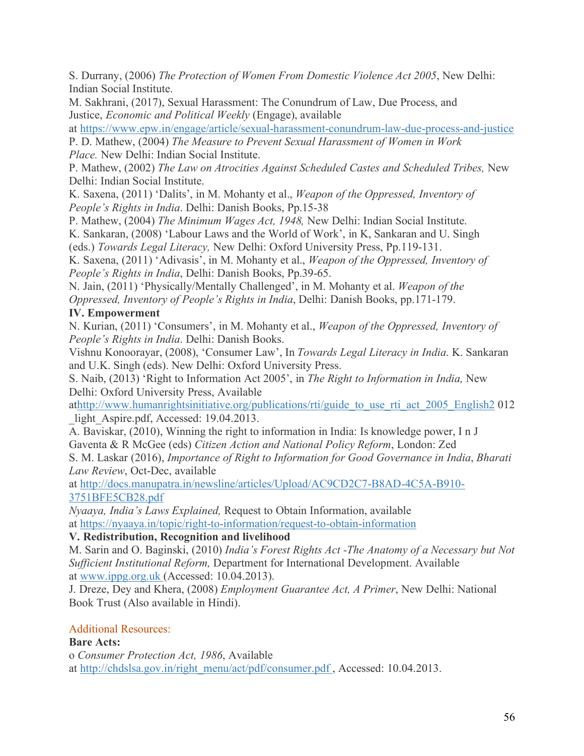S. Durrany, (2006) *The Protection of Women From Domestic Violence Act 2005*, New Delhi: Indian Social Institute.

M. Sakhrani, (2017), Sexual Harassment: The Conundrum of Law, Due Process, and Justice, *Economic and Political Weekly* (Engage), available

at https://www.epw.in/engage/article/sexual-harassment-conundrum-law-due-process-and-justice

P. D. Mathew, (2004) *The Measure to Prevent Sexual Harassment of Women in Work Place.* New Delhi: Indian Social Institute.

P. Mathew, (2002) *The Law on Atrocities Against Scheduled Castes and Scheduled Tribes,* New Delhi: Indian Social Institute.

K. Saxena, (2011) 'Dalits', in M. Mohanty et al., *Weapon of the Oppressed, Inventory of People's Rights in India*. Delhi: Danish Books, Pp.15-38

P. Mathew, (2004) *The Minimum Wages Act, 1948,* New Delhi: Indian Social Institute.

K. Sankaran, (2008) 'Labour Laws and the World of Work', in K, Sankaran and U. Singh (eds.) *Towards Legal Literacy,* New Delhi: Oxford University Press, Pp.119-131.

K. Saxena, (2011) 'Adivasis', in M. Mohanty et al., *Weapon of the Oppressed, Inventory of People's Rights in India*, Delhi: Danish Books, Pp.39-65.

N. Jain, (2011) 'Physically/Mentally Challenged', in M. Mohanty et al. *Weapon of the Oppressed, Inventory of People's Rights in India*, Delhi: Danish Books, pp.171-179.

# **IV. Empowerment**

N. Kurian, (2011) 'Consumers', in M. Mohanty et al., *Weapon of the Oppressed, Inventory of People's Rights in India*. Delhi: Danish Books.

Vishnu Konoorayar, (2008), 'Consumer Law', In *Towards Legal Literacy in India*. K. Sankaran and U.K. Singh (eds). New Delhi: Oxford University Press.

S. Naib, (2013) 'Right to Information Act 2005', in *The Right to Information in India,* New Delhi: Oxford University Press, Available

athttp://www.humanrightsinitiative.org/publications/rti/guide to use rti act 2005 English2 012 light\_Aspire.pdf, Accessed: 19.04.2013.

A. Baviskar, (2010), Winning the right to information in India: Is knowledge power, I n J Gaventa & R McGee (eds) *Citizen Action and National Policy Reform*, London: Zed

S. M. Laskar (2016), *Importance of Right to Information for Good Governance in India*, *Bharati Law Review*, Oct-Dec, available

at http://docs.manupatra.in/newsline/articles/Upload/AC9CD2C7-B8AD-4C5A-B910- 3751BFE5CB28.pdf

*Nyaaya, India's Laws Explained,* Request to Obtain Information, available at https://nyaaya.in/topic/right-to-information/request-to-obtain-information

# **V. Redistribution, Recognition and livelihood**

M. Sarin and O. Baginski, (2010) *India's Forest Rights Act -The Anatomy of a Necessary but Not Sufficient Institutional Reform,* Department for International Development. Available at www.ippg.org.uk (Accessed: 10.04.2013).

J. Dreze, Dey and Khera, (2008) *Employment Guarantee Act, A Primer*, New Delhi: National Book Trust (Also available in Hindi).

# Additional Resources:

# **Bare Acts:**

o *Consumer Protection Act, 1986*, Available at http://chdslsa.gov.in/right\_menu/act/pdf/consumer.pdf , Accessed: 10.04.2013.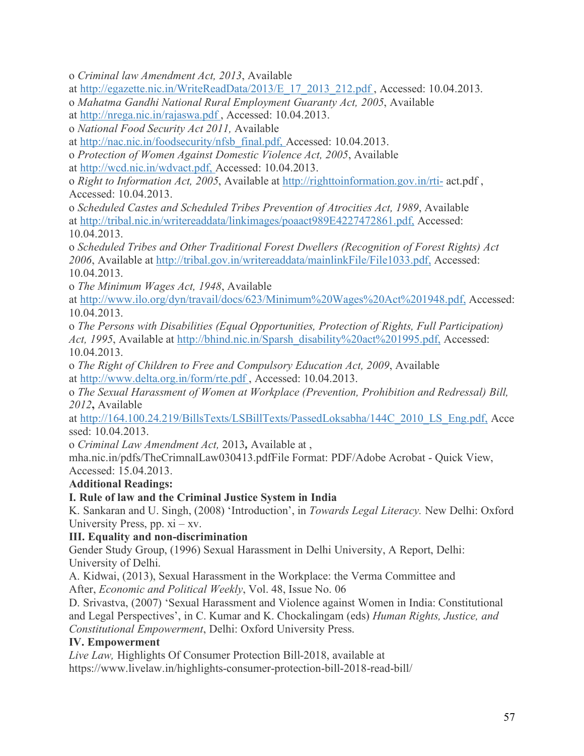o *Criminal law Amendment Act, 2013*, Available

at http://egazette.nic.in/WriteReadData/2013/E\_17\_2013\_212.pdf , Accessed: 10.04.2013.

o *Mahatma Gandhi National Rural Employment Guaranty Act, 2005*, Available

at http://nrega.nic.in/rajaswa.pdf , Accessed: 10.04.2013.

o *National Food Security Act 2011,* Available

at http://nac.nic.in/foodsecurity/nfsb\_final.pdf, Accessed: 10.04.2013.

o *Protection of Women Against Domestic Violence Act, 2005*, Available

at http://wcd.nic.in/wdvact.pdf, Accessed: 10.04.2013.

o *Right to Information Act, 2005*, Available at http://righttoinformation.gov.in/rti- act.pdf , Accessed: 10.04.2013.

o *Scheduled Castes and Scheduled Tribes Prevention of Atrocities Act, 1989*, Available at http://tribal.nic.in/writereaddata/linkimages/poaact989E4227472861.pdf, Accessed: 10.04.2013.

o *Scheduled Tribes and Other Traditional Forest Dwellers (Recognition of Forest Rights) Act 2006*, Available at http://tribal.gov.in/writereaddata/mainlinkFile/File1033.pdf, Accessed: 10.04.2013.

o *The Minimum Wages Act, 1948*, Available

at http://www.ilo.org/dyn/travail/docs/623/Minimum%20Wages%20Act%201948.pdf, Accessed: 10.04.2013.

o *The Persons with Disabilities (Equal Opportunities, Protection of Rights, Full Participation) Act, 1995*, Available at http://bhind.nic.in/Sparsh\_disability%20act%201995.pdf, Accessed: 10.04.2013.

o *The Right of Children to Free and Compulsory Education Act, 2009*, Available at http://www.delta.org.in/form/rte.pdf , Accessed: 10.04.2013.

o *The Sexual Harassment of Women at Workplace (Prevention, Prohibition and Redressal) Bill, 2012***,** Available

at http://164.100.24.219/BillsTexts/LSBillTexts/PassedLoksabha/144C\_2010\_LS\_Eng.pdf, Acce ssed: 10.04.2013.

o *Criminal Law Amendment Act,* 2013*,* Available at ,

mha.nic.in/pdfs/TheCrimnalLaw030413.pdfFile Format: PDF/Adobe Acrobat - Quick View, Accessed: 15.04.2013.

**Additional Readings:**

# **I. Rule of law and the Criminal Justice System in India**

K. Sankaran and U. Singh, (2008) 'Introduction', in *Towards Legal Literacy.* New Delhi: Oxford University Press, pp.  $xi - xy$ .

# **III. Equality and non-discrimination**

Gender Study Group, (1996) Sexual Harassment in Delhi University, A Report, Delhi: University of Delhi.

A. Kidwai, (2013), Sexual Harassment in the Workplace: the Verma Committee and After, *Economic and Political Weekly*, Vol. 48, Issue No. 06

D. Srivastva, (2007) 'Sexual Harassment and Violence against Women in India: Constitutional and Legal Perspectives', in C. Kumar and K. Chockalingam (eds) *Human Rights, Justice, and Constitutional Empowerment*, Delhi: Oxford University Press.

# **IV. Empowerment**

*Live Law,* Highlights Of Consumer Protection Bill-2018, available at https://www.livelaw.in/highlights-consumer-protection-bill-2018-read-bill/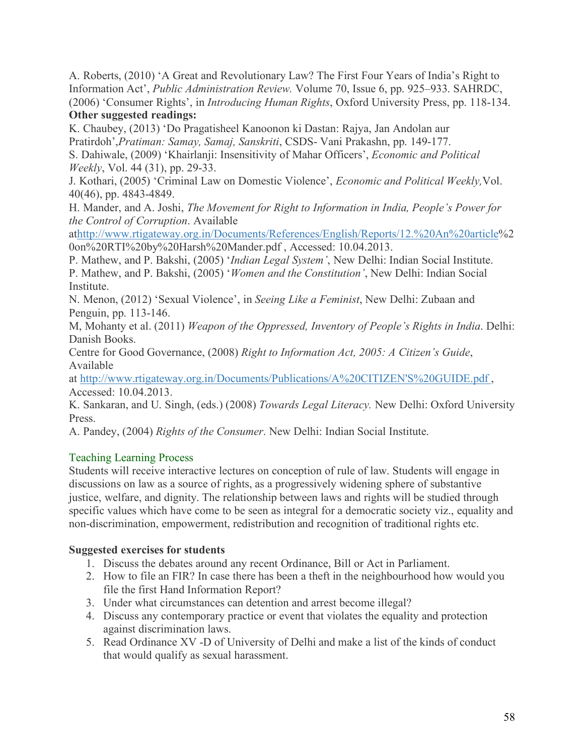A. Roberts, (2010) 'A Great and Revolutionary Law? The First Four Years of India's Right to Information Act', *Public Administration Review.* Volume 70, Issue 6, pp. 925–933. SAHRDC, (2006) 'Consumer Rights', in *Introducing Human Rights*, Oxford University Press, pp. 118-134. **Other suggested readings:**

K. Chaubey, (2013) 'Do Pragatisheel Kanoonon ki Dastan: Rajya, Jan Andolan aur Pratirdoh',*Pratiman: Samay, Samaj, Sanskriti*, CSDS- Vani Prakashn, pp. 149-177. S. Dahiwale, (2009) 'Khairlanji: Insensitivity of Mahar Officers', *Economic and Political* 

*Weekly*, Vol. 44 (31), pp. 29-33.

J. Kothari, (2005) 'Criminal Law on Domestic Violence', *Economic and Political Weekly,*Vol. 40(46), pp. 4843-4849.

H. Mander, and A. Joshi, *The Movement for Right to Information in India, People's Power for the Control of Corruption*. Available

athttp://www.rtigateway.org.in/Documents/References/English/Reports/12.%20An%20article%2 0on%20RTI%20by%20Harsh%20Mander.pdf , Accessed: 10.04.2013.

P. Mathew, and P. Bakshi, (2005) '*Indian Legal System'*, New Delhi: Indian Social Institute. P. Mathew, and P. Bakshi, (2005) '*Women and the Constitution'*, New Delhi: Indian Social Institute.

N. Menon, (2012) 'Sexual Violence', in *Seeing Like a Feminist*, New Delhi: Zubaan and Penguin, pp. 113-146.

M, Mohanty et al. (2011) *Weapon of the Oppressed, Inventory of People's Rights in India*. Delhi: Danish Books.

Centre for Good Governance, (2008) *Right to Information Act, 2005: A Citizen's Guide*, Available

at http://www.rtigateway.org.in/Documents/Publications/A%20CITIZEN'S%20GUIDE.pdf , Accessed: 10.04.2013.

K. Sankaran, and U. Singh, (eds.) (2008) *Towards Legal Literacy.* New Delhi: Oxford University Press.

A. Pandey, (2004) *Rights of the Consumer*. New Delhi: Indian Social Institute.

# Teaching Learning Process

Students will receive interactive lectures on conception of rule of law. Students will engage in discussions on law as a source of rights, as a progressively widening sphere of substantive justice, welfare, and dignity. The relationship between laws and rights will be studied through specific values which have come to be seen as integral for a democratic society viz., equality and non-discrimination, empowerment, redistribution and recognition of traditional rights etc.

# **Suggested exercises for students**

- 1. Discuss the debates around any recent Ordinance, Bill or Act in Parliament.
- 2. How to file an FIR? In case there has been a theft in the neighbourhood how would you file the first Hand Information Report?
- 3. Under what circumstances can detention and arrest become illegal?
- 4. Discuss any contemporary practice or event that violates the equality and protection against discrimination laws.
- 5. Read Ordinance XV -D of University of Delhi and make a list of the kinds of conduct that would qualify as sexual harassment.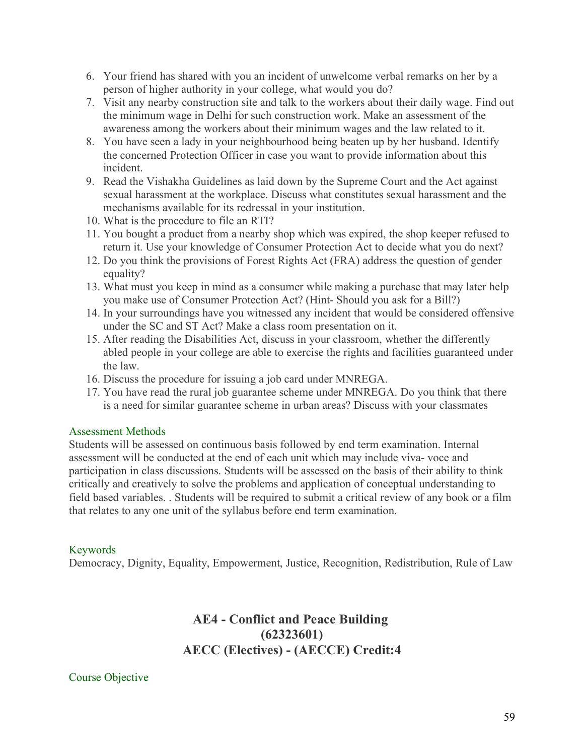- 6. Your friend has shared with you an incident of unwelcome verbal remarks on her by a person of higher authority in your college, what would you do?
- 7. Visit any nearby construction site and talk to the workers about their daily wage. Find out the minimum wage in Delhi for such construction work. Make an assessment of the awareness among the workers about their minimum wages and the law related to it.
- 8. You have seen a lady in your neighbourhood being beaten up by her husband. Identify the concerned Protection Officer in case you want to provide information about this incident.
- 9. Read the Vishakha Guidelines as laid down by the Supreme Court and the Act against sexual harassment at the workplace. Discuss what constitutes sexual harassment and the mechanisms available for its redressal in your institution.
- 10. What is the procedure to file an RTI?
- 11. You bought a product from a nearby shop which was expired, the shop keeper refused to return it. Use your knowledge of Consumer Protection Act to decide what you do next?
- 12. Do you think the provisions of Forest Rights Act (FRA) address the question of gender equality?
- 13. What must you keep in mind as a consumer while making a purchase that may later help you make use of Consumer Protection Act? (Hint- Should you ask for a Bill?)
- 14. In your surroundings have you witnessed any incident that would be considered offensive under the SC and ST Act? Make a class room presentation on it.
- 15. After reading the Disabilities Act, discuss in your classroom, whether the differently abled people in your college are able to exercise the rights and facilities guaranteed under the law.
- 16. Discuss the procedure for issuing a job card under MNREGA.
- 17. You have read the rural job guarantee scheme under MNREGA. Do you think that there is a need for similar guarantee scheme in urban areas? Discuss with your classmates

# Assessment Methods

Students will be assessed on continuous basis followed by end term examination. Internal assessment will be conducted at the end of each unit which may include viva- voce and participation in class discussions. Students will be assessed on the basis of their ability to think critically and creatively to solve the problems and application of conceptual understanding to field based variables. . Students will be required to submit a critical review of any book or a film that relates to any one unit of the syllabus before end term examination.

# Keywords

Democracy, Dignity, Equality, Empowerment, Justice, Recognition, Redistribution, Rule of Law

# **AE4 - Conflict and Peace Building (62323601) AECC (Electives) - (AECCE) Credit:4**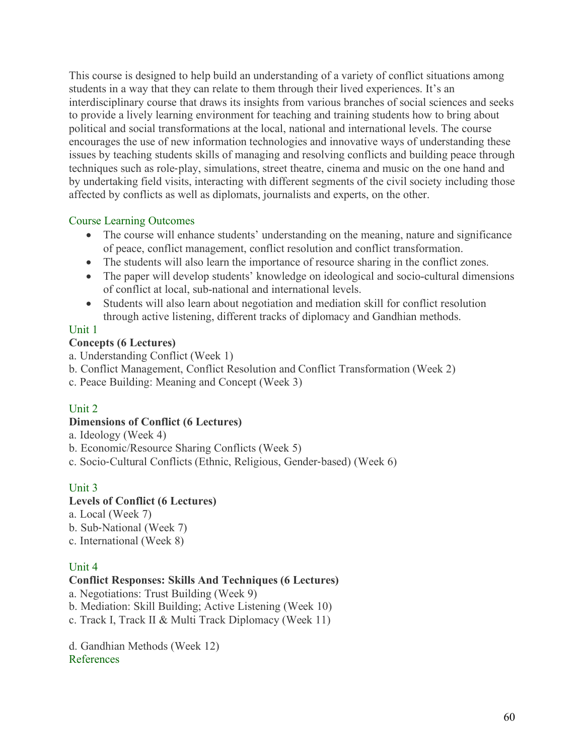This course is designed to help build an understanding of a variety of conflict situations among students in a way that they can relate to them through their lived experiences. It's an interdisciplinary course that draws its insights from various branches of social sciences and seeks to provide a lively learning environment for teaching and training students how to bring about political and social transformations at the local, national and international levels. The course encourages the use of new information technologies and innovative ways of understanding these issues by teaching students skills of managing and resolving conflicts and building peace through techniques such as role-play, simulations, street theatre, cinema and music on the one hand and by undertaking field visits, interacting with different segments of the civil society including those affected by conflicts as well as diplomats, journalists and experts, on the other.

# Course Learning Outcomes

- The course will enhance students' understanding on the meaning, nature and significance of peace, conflict management, conflict resolution and conflict transformation.
- The students will also learn the importance of resource sharing in the conflict zones.
- The paper will develop students' knowledge on ideological and socio-cultural dimensions of conflict at local, sub-national and international levels.
- Students will also learn about negotiation and mediation skill for conflict resolution through active listening, different tracks of diplomacy and Gandhian methods.

# Unit 1

# **Concepts (6 Lectures)**

- a. Understanding Conflict (Week 1)
- b. Conflict Management, Conflict Resolution and Conflict Transformation (Week 2)
- c. Peace Building: Meaning and Concept (Week 3)

# Unit 2

# **Dimensions of Conflict (6 Lectures)**

- a. Ideology (Week 4)
- b. Economic/Resource Sharing Conflicts (Week 5)
- c. Socio-Cultural Conflicts (Ethnic, Religious, Gender-based) (Week 6)

# Unit 3

# **Levels of Conflict (6 Lectures)**

- a. Local (Week 7)
- b. Sub-National (Week 7)
- c. International (Week 8)

# Unit 4

# **Conflict Responses: Skills And Techniques (6 Lectures)**

- a. Negotiations: Trust Building (Week 9)
- b. Mediation: Skill Building; Active Listening (Week 10)
- c. Track I, Track II & Multi Track Diplomacy (Week 11)
- d. Gandhian Methods (Week 12) References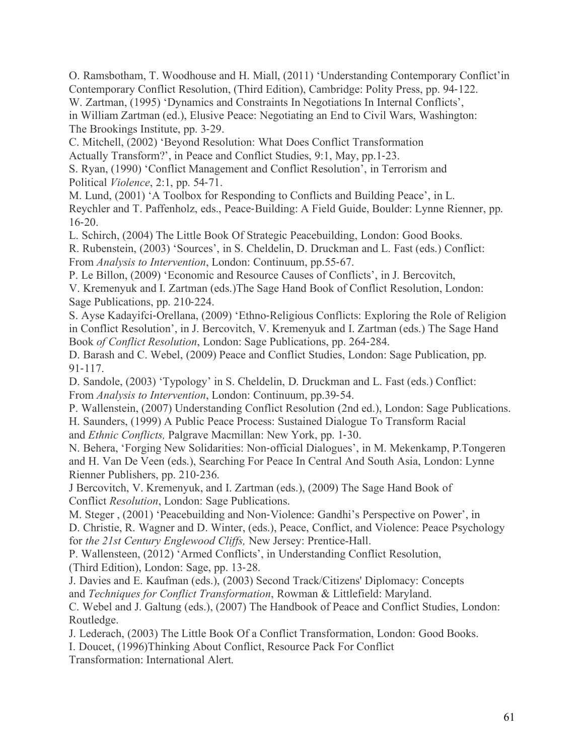O. Ramsbotham, T. Woodhouse and H. Miall, (2011) 'Understanding Contemporary Conflict'in Contemporary Conflict Resolution, (Third Edition), Cambridge: Polity Press, pp. 94-122. W. Zartman, (1995) 'Dynamics and Constraints In Negotiations In Internal Conflicts', in William Zartman (ed.), Elusive Peace: Negotiating an End to Civil Wars, Washington: The Brookings Institute, pp. 3-29.

C. Mitchell, (2002) 'Beyond Resolution: What Does Conflict Transformation

Actually Transform?', in Peace and Conflict Studies, 9:1, May, pp.1-23.

S. Ryan, (1990) 'Conflict Management and Conflict Resolution', in Terrorism and Political *Violence*, 2:1, pp. 54-71.

M. Lund, (2001) 'A Toolbox for Responding to Conflicts and Building Peace', in L. Reychler and T. Paffenholz, eds., Peace-Building: A Field Guide, Boulder: Lynne Rienner, pp. 16-20.

L. Schirch, (2004) The Little Book Of Strategic Peacebuilding, London: Good Books.

R. Rubenstein, (2003) 'Sources', in S. Cheldelin, D. Druckman and L. Fast (eds.) Conflict: From *Analysis to Intervention*, London: Continuum, pp.55-67.

P. Le Billon, (2009) 'Economic and Resource Causes of Conflicts', in J. Bercovitch,

V. Kremenyuk and I. Zartman (eds.)The Sage Hand Book of Conflict Resolution, London: Sage Publications, pp. 210-224.

S. Ayse Kadayifci-Orellana, (2009) 'Ethno-Religious Conflicts: Exploring the Role of Religion in Conflict Resolution', in J. Bercovitch, V. Kremenyuk and I. Zartman (eds.) The Sage Hand Book *of Conflict Resolution*, London: Sage Publications, pp. 264-284.

D. Barash and C. Webel, (2009) Peace and Conflict Studies, London: Sage Publication, pp. 91-117.

D. Sandole, (2003) 'Typology' in S. Cheldelin, D. Druckman and L. Fast (eds.) Conflict: From *Analysis to Intervention*, London: Continuum, pp.39-54.

P. Wallenstein, (2007) Understanding Conflict Resolution (2nd ed.), London: Sage Publications. H. Saunders, (1999) A Public Peace Process: Sustained Dialogue To Transform Racial and *Ethnic Conflicts,* Palgrave Macmillan: New York, pp. 1-30.

N. Behera, 'Forging New Solidarities: Non-official Dialogues', in M. Mekenkamp, P.Tongeren and H. Van De Veen (eds.), Searching For Peace In Central And South Asia, London: Lynne Rienner Publishers, pp. 210-236.

J Bercovitch, V. Kremenyuk, and I. Zartman (eds.), (2009) The Sage Hand Book of Conflict *Resolution*, London: Sage Publications.

M. Steger , (2001) 'Peacebuilding and Non-Violence: Gandhi's Perspective on Power', in D. Christie, R. Wagner and D. Winter, (eds.), Peace, Conflict, and Violence: Peace Psychology for *the 21st Century Englewood Cliffs,* New Jersey: Prentice-Hall.

P. Wallensteen, (2012) 'Armed Conflicts', in Understanding Conflict Resolution, (Third Edition), London: Sage, pp. 13-28.

J. Davies and E. Kaufman (eds.), (2003) Second Track/Citizens' Diplomacy: Concepts and *Techniques for Conflict Transformation*, Rowman & Littlefield: Maryland.

C. Webel and J. Galtung (eds.), (2007) The Handbook of Peace and Conflict Studies, London: Routledge.

J. Lederach, (2003) The Little Book Of a Conflict Transformation, London: Good Books.

I. Doucet, (1996)Thinking About Conflict, Resource Pack For Conflict

Transformation: International Alert.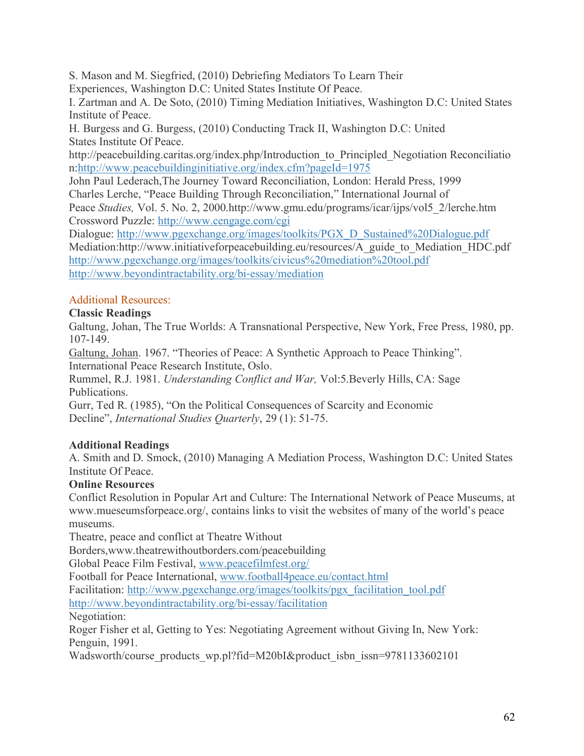S. Mason and M. Siegfried, (2010) Debriefing Mediators To Learn Their Experiences, Washington D.C: United States Institute Of Peace.

I. Zartman and A. De Soto, (2010) Timing Mediation Initiatives, Washington D.C: United States Institute of Peace.

H. Burgess and G. Burgess, (2010) Conducting Track II, Washington D.C: United States Institute Of Peace.

http://peacebuilding.caritas.org/index.php/Introduction to Principled Negotiation Reconciliatio n:http://www.peacebuildinginitiative.org/index.cfm?pageId=1975

John Paul Lederach,The Journey Toward Reconciliation, London: Herald Press, 1999 Charles Lerche, "Peace Building Through Reconciliation," International Journal of Peace *Studies,* Vol. 5. No. 2, 2000.http://www.gmu.edu/programs/icar/ijps/vol5\_2/lerche.htm Crossword Puzzle: http://www.cengage.com/cgi

Dialogue: http://www.pgexchange.org/images/toolkits/PGX\_D\_Sustained%20Dialogue.pdf Mediation:http://www.initiativeforpeacebuilding.eu/resources/A\_guide\_to\_Mediation\_HDC.pdf http://www.pgexchange.org/images/toolkits/civicus%20mediation%20tool.pdf http://www.beyondintractability.org/bi-essay/mediation

# Additional Resources:

# **Classic Readings**

Galtung, Johan, The True Worlds: A Transnational Perspective, New York, Free Press, 1980, pp. 107-149.

Galtung, Johan. 1967. "Theories of Peace: A Synthetic Approach to Peace Thinking". International Peace Research Institute, Oslo.

Rummel, R.J. 1981. *Understanding Conflict and War,* Vol:5.Beverly Hills, CA: Sage Publications.

Gurr, Ted R. (1985), "On the Political Consequences of Scarcity and Economic Decline", *International Studies Quarterly*, 29 (1): 51-75.

# **Additional Readings**

A. Smith and D. Smock, (2010) Managing A Mediation Process, Washington D.C: United States Institute Of Peace.

# **Online Resources**

Conflict Resolution in Popular Art and Culture: The International Network of Peace Museums, at www.mueseumsforpeace.org/, contains links to visit the websites of many of the world's peace museums.

Theatre, peace and conflict at Theatre Without

Borders,www.theatrewithoutborders.com/peacebuilding

Global Peace Film Festival, www.peacefilmfest.org/

Football for Peace International, www.football4peace.eu/contact.html

Facilitation: http://www.pgexchange.org/images/toolkits/pgx\_facilitation\_tool.pdf

http://www.beyondintractability.org/bi-essay/facilitation

Negotiation:

Roger Fisher et al, Getting to Yes: Negotiating Agreement without Giving In, New York: Penguin, 1991.

Wadsworth/course\_products\_wp.pl?fid=M20bI&product\_isbn\_issn=9781133602101